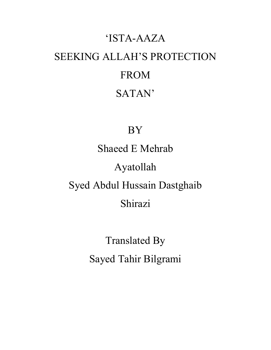# 'ISTA-AAZA SEEKING ALLAH'S PROTECTION FROM SATAN'

# BY

Shaeed E Mehrab Ayatollah Syed Abdul Hussain Dastghaib Shirazi

> Translated By Sayed Tahir Bilgrami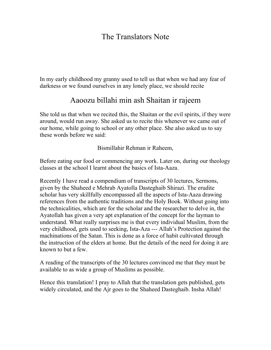# The Translators Note

In my early childhood my granny used to tell us that when we had any fear of darkness or we found ourselves in any lonely place, we should recite

# Aaoozu billahi min ash Shaitan ir rajeem

She told us that when we recited this, the Shaitan or the evil spirits, if they were around, would run away. She asked us to recite this whenever we came out of our home, while going to school or any other place. She also asked us to say these words before we said:

Bismillahir Rehman ir Raheem,

Before eating our food or commencing any work. Later on, during our theology classes at the school I learnt about the basics of Ista-Aaza.

Recently I have read a compendium of transcripts of 30 lectures, Sermons, given by the Shaheed e Mehrab Ayatolla Dasteghaib Shirazi. The erudite scholar has very skillfully encompassed all the aspects of Ista-Aaza drawing references from the authentic traditions and the Holy Book. Without going into the technicalities, which are for the scholar and the researcher to delve in, the Ayatollah has given a very apt explanation of the concept for the layman to understand. What really surprises me is that every individual Muslim, from the very childhood, gets used to seeking, Ista-Aza --- Allah's Protection against the machinations of the Satan. This is done as a force of habit cultivated through the instruction of the elders at home. But the details of the need for doing it are known to but a few.

A reading of the transcripts of the 30 lectures convinced me that they must be available to as wide a group of Muslims as possible.

Hence this translation! I pray to Allah that the translation gets published, gets widely circulated, and the Ajr goes to the Shaheed Dasteghaib. Insha Allah!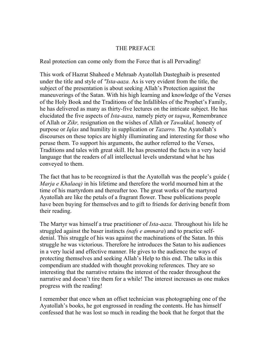#### THE PREFACE

Real protection can come only from the Force that is all Pervading!

This work of Hazrat Shaheed e Mehraab Ayatollah Dasteghaib is presented under the title and style of *"Ista-aaza.* As is very evident from the title, the subject of the presentation is about seeking Allah's Protection against the maneuverings of the Satan. With his high learning and knowledge of the Verses of the Holy Book and the Traditions of the Infallibles of the Prophet's Family, he has delivered as many as thirty-five lectures on the intricate subject. He has elucidated the five aspects of *Ista-aaza,* namely piety or *taqwa*, Remembrance of Allah or *Zikr,* resignation on the wishes of Allah or *Tawakkal,* honesty of purpose or *Iqlas* and humility in supplication or *Tazarro.* The Ayatollah's discourses on these topics are highly illuminating and interesting for those who peruse them. To support his arguments, the author referred to the Verses, Traditions and tales with great skill. He has presented the facts in a very lucid language that the readers of all intellectual levels understand what he has conveyed to them.

The fact that has to be recognized is that the Ayatollah was the people's guide ( *Marja e Khalaeq)* in his lifetime and therefore the world mourned him at the time of his martyrdom and thereafter too. The great works of the martyred Ayatollah are like the petals of a fragrant flower. These publications people have been buying for themselves and to gift to friends for deriving benefit from their reading.

The Martyr was himself a true practitioner of *Ista-aaza.* Throughout his life he struggled against the baser instincts *(nafs e ammara*) and to practice selfdenial. This struggle of his was against the machinations of the Satan. In this struggle he was victorious. Therefore he introduces the Satan to his audiences in a very lucid and effective manner. He gives to the audience the ways of protecting themselves and seeking Allah's Help to this end. The talks in this compendium are studded with thought provoking references. They are so interesting that the narrative retains the interest of the reader throughout the narrative and doesn't tire them for a while! The interest increases as one makes progress with the reading!

I remember that once when an offset technician was photographing one of the Ayatollah's books, he got engrossed in reading the contents. He has himself confessed that he was lost so much in reading the book that he forgot that the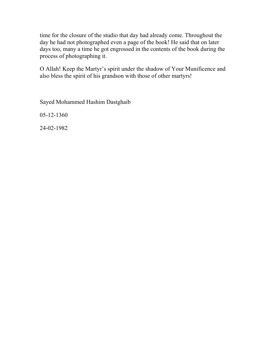time for the closure of the studio that day had already come. Throughout the day he had not photographed even a page of the book! He said that on later days too, many a time he got engrossed in the contents of the book during the process of photographing it.

O Allah! Keep the Martyr's spirit under the shadow of Your Munificence and also bless the spirit of his grandson with those of other martyrs!

Sayed Mohammed Hashim Dastghaib

05-12-1360

24-02-1982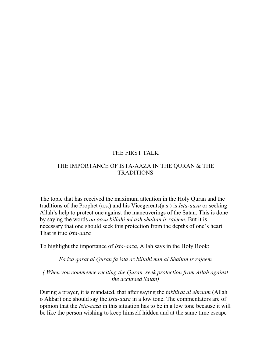#### THE FIRST TALK

#### THE IMPORTANCE OF ISTA-AAZA IN THE QURAN & THE TRADITIONS

The topic that has received the maximum attention in the Holy Quran and the traditions of the Prophet (a.s.) and his Vicegerents(a.s.) is *Ista-aaza* or seeking Allah's help to protect one against the maneuverings of the Satan. This is done by saying the words *aa oozu billahi mi ash shaitan ir rajeem.* But it is necessary that one should seek this protection from the depths of one's heart. That is true *Ista-aaza* 

To highlight the importance of *Ista-aaza*, Allah says in the Holy Book:

*Fa iza qarat al Quran fa ista az billahi min al Shaitan ir rajeem* 

*( When you commence reciting the Quran, seek protection from Allah against the accursed Satan)* 

During a prayer, it is mandated, that after saying the *takbirat al ehraam* (Allah o Akbar) one should say the *Ista-aaza* in a low tone. The commentators are of opinion that the *Ista-aaza* in this situation has to be in a low tone because it will be like the person wishing to keep himself hidden and at the same time escape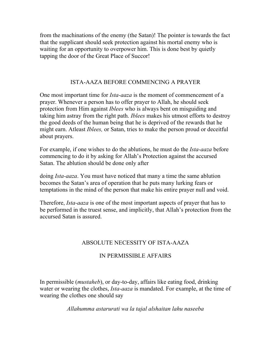from the machinations of the enemy (the Satan)! The pointer is towards the fact that the supplicant should seek protection against his mortal enemy who is waiting for an opportunity to overpower him. This is done best by quietly tapping the door of the Great Place of Succor!

#### ISTA-AAZA BEFORE COMMENCING A PRAYER

One most important time for *Ista-aaza* is the moment of commencement of a prayer. Whenever a person has to offer prayer to Allah, he should seek protection from Him against *Iblees* who is always bent on misguiding and taking him astray from the right path. *Iblees* makes his utmost efforts to destroy the good deeds of the human being that he is deprived of the rewards that he might earn. Atleast *Iblees,* or Satan, tries to make the person proud or deceitful about prayers.

For example, if one wishes to do the ablutions, he must do the *Ista-aaza* before commencing to do it by asking for Allah's Protection against the accursed Satan. The ablution should be done only after

doing *Ista-aaza*. You must have noticed that many a time the same ablution becomes the Satan's area of operation that he puts many lurking fears or temptations in the mind of the person that make his entire prayer null and void.

Therefore, *Ista-aaza* is one of the most important aspects of prayer that has to be performed in the truest sense, and implicitly, that Allah's protection from the accursed Satan is assured.

# ABSOLUTE NECESSITY OF ISTA-AAZA

# IN PERMISSIBLE AFFAIRS

In permissible (*mustaheb*), or day-to-day, affairs like eating food, drinking water or wearing the clothes, *Ista-aaza* is mandated. For example, at the time of wearing the clothes one should say

*Allahumma astarurati wa la tajal alshaitan lahu naseeba*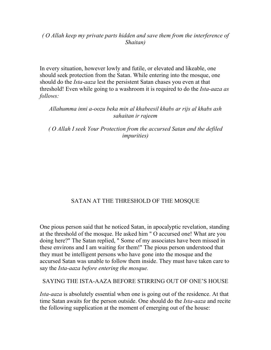#### *( O Allah keep my private parts hidden and save them from the interference of Shaitan)*

In every situation, however lowly and futile, or elevated and likeable, one should seek protection from the Satan. While entering into the mosque, one should do the *Ista-aaza* lest the persistent Satan chases you even at that threshold! Even while going to a washroom it is required to do the *Ista-aaza as follows:* 

#### *Allahumma inni a-oozu beka min al khabeesil khabs ar rijs al khabs ash sahaitan ir rajeem*

*( O Allah I seek Your Protection from the accursed Satan and the defiled impurities)* 

# SATAN AT THE THRESHOLD OF THE MOSQUE

One pious person said that he noticed Satan, in apocalyptic revelation, standing at the threshold of the mosque. He asked him " O accursed one! What are you doing here?" The Satan replied, " Some of my associates have been missed in these environs and I am waiting for them!" The pious person understood that they must be intelligent persons who have gone into the mosque and the accursed Satan was unable to follow them inside. They must have taken care to say the *Ista-aaza before entering the mosque.* 

#### SAYING THE ISTA-AAZA BEFORE STIRRING OUT OF ONE'S HOUSE

*Ista-aaza* is absolutely essential when one is going out of the residence. At that time Satan awaits for the person outside. One should do the *Ista-aaza* and recite the following supplication at the moment of emerging out of the house: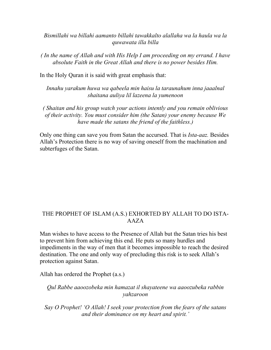*Bismillahi wa billahi aamanto billahi tawakkalto alallaha wa la haula wa la quwawata illa billa* 

*( In the name of Allah and with His Help I am proceeding on my errand. I have absolute Faith in the Great Allah and there is no power besides Him.* 

In the Holy Quran it is said with great emphasis that:

*Innahu yarakum huwa wa qabeela min haisu la taraunahum inna jaaalnal shaitana auliya lil lazeena la yumenoon* 

*( Shaitan and his group watch your actions intently and you remain oblivious of their activity. You must consider him (the Satan) your enemy because We have made the satans the friend of the faithless.)* 

Only one thing can save you from Satan the accursed. That is *Ista-aaz.* Besides Allah's Protection there is no way of saving oneself from the machination and subterfuges of the Satan.

#### THE PROPHET OF ISLAM (A.S.) EXHORTED BY ALLAH TO DO ISTA-AAZA

Man wishes to have access to the Presence of Allah but the Satan tries his best to prevent him from achieving this end. He puts so many hurdles and impediments in the way of men that it becomes impossible to reach the desired destination. The one and only way of precluding this risk is to seek Allah's protection against Satan.

Allah has ordered the Prophet (a.s.)

#### *Qul Rabbe aaoozobeka min hamazat il shayateene wa aaoozubeka rabbin yahzaroon*

*Say O Prophet! 'O Allah! I seek your protection from the fears of the satans and their dominance on my heart and spirit.'*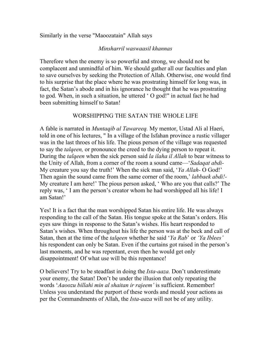#### Similarly in the verse "Maoozatain" Allah says

#### *Minsharril waswaasil khannas*

Therefore when the enemy is so powerful and strong, we should not be complacent and unmindful of him. We should gather all our faculties and plan to save ourselves by seeking the Protection of Allah. Otherwise, one would find to his surprise that the place where he was prostrating himself for long was, in fact, the Satan's abode and in his ignorance he thought that he was prostrating to god. When, in such a situation, he uttered ' O god!" in actual fact he had been submitting himself to Satan!

#### WORSHIPPING THE SATAN THE WHOLE LIFE

A fable is narrated in *Muntaqib al Tawareeq.* My mentor, Ustad Ali al Haeri, told in one of his lectures, " In a village of the Isfahan province a rustic villager was in the last throes of his life. The pious person of the village was requested to say the *talqeen,* or pronounce the creed to the dying person to repeat it. During the *talqeen* when the sick person said *la ilaha il Allah* to bear witness to the Unity of Allah, from a corner of the room a sound came—'*Sadaqat abdi-*My creature you say the truth!' When the sick man said, '*Ya Allah-* O God!' Then again the sound came from the same corner of the room,' *labbaek abdi!-*  My creature I am here!' The pious person asked, ' Who are you that calls?' The reply was, ' I am the person's creator whom he had worshipped all his life! I am Satan!'

Yes! It is a fact that the man worshipped Satan his entire life. He was always responding to the call of the Satan. His tongue spoke at the Satan's orders. His eyes saw things in response to the Satan's wishes. His heart responded to Satan's wishes. When throughout his life the person was at the beck and call of Satan, then at the time of the *talqeen* whether he said '*Ya Rab*' or *'Ya Iblees'*  his respondent can only be Satan. Even if the curtains got raised in the person's last moments, and he was repentant, even then he would get only disappointment! Of what use will be this repentance!

O believers! Try to be steadfast in doing the *Ista-aaza.* Don't underestimate your enemy, the Satan! Don't be under the illusion that only repeating the words '*Aaoozu billahi min al shaitan ir rajeem'* is sufficient. Remember! Unless you understand the purport of these words and mould your actions as per the Commandments of Allah, the *Ista-aaza* will not be of any utility.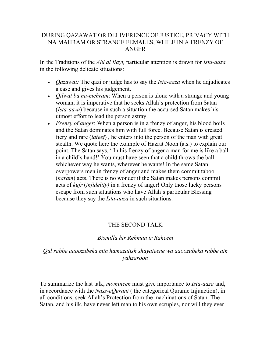#### DURING QAZAWAT OR DELIVERENCE OF JUSTICE, PRIVACY WITH NA MAHRAM OR STRANGE FEMALES, WHILE IN A FRENZY OF ANGER

In the Traditions of the *Ahl al Bayt,* particular attention is drawn for *Ista-aaza*  in the following delicate situations:

- *Qazawat:* The qazi or judge has to say the *Ista-aaza* when he adjudicates a case and gives his judgement.
- *Qilwat ba na-mehram*: When a person is alone with a strange and young woman, it is imperative that he seeks Allah's protection from Satan (*Ista-aaza*) because in such a situation the accursed Satan makes his utmost effort to lead the person astray.
- *Frenzy of anger*: When a person is in a frenzy of anger, his blood boils and the Satan dominates him with full force. Because Satan is created fiery and rare (*lateef*) , he enters into the person of the man with great stealth. We quote here the example of Hazrat Nooh (a.s.) to explain our point. The Satan says, ' In his frenzy of anger a man for me is like a ball in a child's hand!' You must have seen that a child throws the ball whichever way he wants, wherever he wants! In the same Satan overpowers men in frenzy of anger and makes them commit taboo (*haram*) acts. There is no wonder if the Satan makes persons commit acts of *kufr* (*infidelity)* in a frenzy of anger! Only those lucky persons escape from such situations who have Allah's particular Blessing because they say the *Ista-aaza* in such situations.

#### THE SECOND TALK

#### *Bismilla hir Rehman ir Raheem*

#### *Qul rabbe aaoozubeka min hamazatish shayateene wa aaoozubeka rabbe ain yahzaroon*

To summarize the last talk, *momineen* must give importance to *Ista-aaza* and, in accordance with the *Nass-eQurani* ( the categorical Quranic Injunction), in all conditions, seek Allah's Protection from the machinations of Satan. The Satan, and his ilk, have never left man to his own scruples, nor will they ever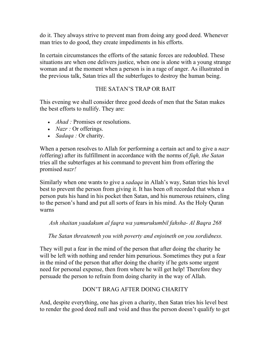do it. They always strive to prevent man from doing any good deed. Whenever man tries to do good, they create impediments in his efforts.

In certain circumstances the efforts of the satanic forces are redoubled. These situations are when one delivers justice, when one is alone with a young strange woman and at the moment when a person is in a rage of anger. As illustrated in the previous talk, Satan tries all the subterfuges to destroy the human being.

# THE SATAN'S TRAP OR BAIT

This evening we shall consider three good deeds of men that the Satan makes the best efforts to nullify. They are:

- *Ahad*: Promises or resolutions.
- *Nazr* : Or offerings.
- *Sadaqa* : Or charity.

When a person resolves to Allah for performing a certain act and to give a *nazr (*offering) after its fulfillment in accordance with the norms of *fiqh, the Satan*  tries all the subterfuges at his command to prevent him from offering the promised *nazr!*

Similarly when one wants to give a *sadaqa* in Allah's way, Satan tries his level best to prevent the person from giving it. It has been oft recorded that when a person puts his hand in his pocket then Satan, and his numerous retainers, cling to the person's hand and put all sorts of fears in his mind. As the Holy Quran warns

*Ash shaitan yaadakum al faqra wa yamurukumbil fahsha- Al Baqra 268* 

*The Satan threateneth you with poverty and enjoineth on you sordidness.* 

They will put a fear in the mind of the person that after doing the charity he will be left with nothing and render him penurious. Sometimes they put a fear in the mind of the person that after doing the charity if he gets some urgent need for personal expense, then from where he will get help! Therefore they persuade the person to refrain from doing charity in the way of Allah.

# DON'T BRAG AFTER DOING CHARITY

And, despite everything, one has given a charity, then Satan tries his level best to render the good deed null and void and thus the person doesn't qualify to get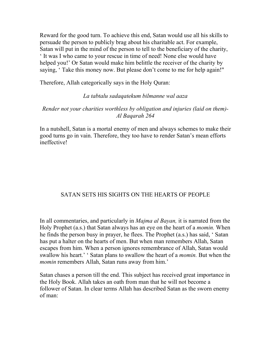Reward for the good turn. To achieve this end, Satan would use all his skills to persuade the person to publicly brag about his charitable act. For example, Satan will put in the mind of the person to tell to the beneficiary of the charity, ' It was I who came to your rescue in time of need! None else would have helped you!' Or Satan would make him belittle the receiver of the charity by saying, 'Take this money now. But please don't come to me for help again!"

Therefore, Allah categorically says in the Holy Quran:

#### *La tabtalu sadaqatekum bilmanne wal aaza*

#### *Render not your charities worthless by obligation and injuries (laid on them)- Al Baqarah 264*

In a nutshell, Satan is a mortal enemy of men and always schemes to make their good turns go in vain. Therefore, they too have to render Satan's mean efforts ineffective!

# SATAN SETS HIS SIGHTS ON THE HEARTS OF PEOPLE

In all commentaries, and particularly in *Majma al Bayan,* it is narrated from the Holy Prophet (a.s.) that Satan always has an eye on the heart of a *momin.* When he finds the person busy in prayer, he flees. The Prophet (a.s.) has said, ' Satan has put a halter on the hearts of men. But when man remembers Allah, Satan escapes from him. When a person ignores remembrance of Allah, Satan would swallow his heart.' ' Satan plans to swallow the heart of a *momin.* But when the *momin* remembers Allah, Satan runs away from him.'

Satan chases a person till the end. This subject has received great importance in the Holy Book. Allah takes an oath from man that he will not become a follower of Satan. In clear terms Allah has described Satan as the sworn enemy of man: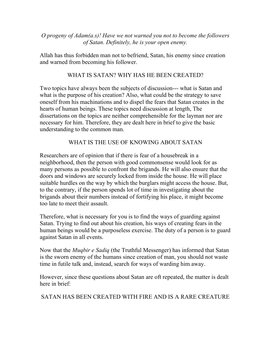*O progeny of Adam(a.s)! Have we not warned you not to become the followers of Satan. Definitely, he is your open enemy.* 

Allah has thus forbidden man not to befriend, Satan, his enemy since creation and warned from becoming his follower.

#### WHAT IS SATAN? WHY HAS HE BEEN CREATED?

Two topics have always been the subjects of discussion--- what is Satan and what is the purpose of his creation? Also, what could be the strategy to save oneself from his machinations and to dispel the fears that Satan creates in the hearts of human beings. These topics need discussion at length, The dissertations on the topics are neither comprehensible for the layman nor are necessary for him. Therefore, they are dealt here in brief to give the basic understanding to the common man.

#### WHAT IS THE USE OF KNOWING ABOUT SATAN

Researchers are of opinion that if there is fear of a housebreak in a neighborhood, then the person with good commonsense would look for as many persons as possible to confront the brigands. He will also ensure that the doors and windows are securely locked from inside the house. He will place suitable hurdles on the way by which the burglars might access the house. But, to the contrary, if the person spends lot of time in investigating about the brigands about their numbers instead of fortifying his place, it might become too late to meet their assault.

Therefore, what is necessary for you is to find the ways of guarding against Satan. Trying to find out about his creation, his ways of creating fears in the human beings would be a purposeless exercise. The duty of a person is to guard against Satan in all events.

Now that the *Muqbir e Sadiq* (the Truthful Messenger) has informed that Satan is the sworn enemy of the humans since creation of man, you should not waste time in futile talk and, instead, search for ways of warding him away.

However, since these questions about Satan are oft repeated, the matter is dealt here in brief:

SATAN HAS BEEN CREATED WITH FIRE AND IS A RARE CREATURE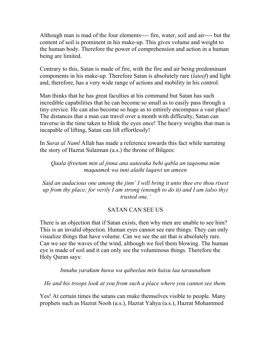Although man is mad of the four elements---- fire, water, soil and air---- but the content of soil is prominent in his make-up. This gives volume and weight to the human body. Therefore the power of comprehension and action in a human being are limited.

Contrary to this, Satan is made of fire, with the fire and air being predominant components in his make-up. Therefore Satan is absolutely rare (*lateef*) and light and, therefore, has a very wide range of actions and mobility in his control.

Man thinks that he has great faculties at his command but Satan has such incredible capabilities that he can become so small as to easily pass through a tiny crevice. He can also become so huge as to entirely encompass a vast place! The distances that a man can travel over a month with difficulty, Satan can traverse in the time taken to blink the eyes once! The heavy weights that man is incapable of lifting, Satan can lift effortlessly!

In *Surat al Naml* Allah has made a reference towards this fact while narrating the story of Hazrat Sulaiman (a.s.) the throne of Bilqees:

*Qaala ifreetum min al jinna ana aateeaka behi qabla an taqooma mim maqaamek wa inni alaihi laqawi un ameen* 

*Said an audacious one among the jinn' I will bring it unto thee ere thou risest up from thy place; for verily I am strong (enough to do it) and I am (also thy) trusted one.'* 

#### SATAN CAN SEE US

There is an objection that if Satan exists, then why men are unable to see him? This is an invalid objection. Human eyes cannot see rare things. They can only visualize things that have volume. Can we see the air that is absolutely rare. Can we see the waves of the wind, although we feel them blowing. The human eye is made of soil and it can only see the voluminous things. Therefore the Holy Quran says:

*Innahu yarakum huwa wa qabeelau min haisu laa taraunahum* 

*He and his troops look at you from such a place where you cannot see them.* 

Yes! At certain times the satans can make themselves visible to people. Many prophets such as Hazrat Nooh (a.s.), Hazrat Yahya (a.s.), Hazrat Mohammed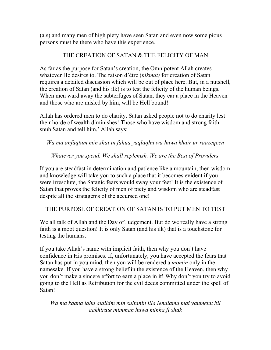(a.s) and many men of high piety have seen Satan and even now some pious persons must be there who have this experience.

#### THE CREATION OF SATAN & THE FELICITY OF MAN

As far as the purpose for Satan's creation, the Omnipotent Allah creates whatever He desires to. The raison d'être (*hikmat)* for creation of Satan requires a detailed discussion which will be out of place here. But, in a nutshell, the creation of Satan (and his ilk) is to test the felicity of the human beings. When men ward away the subterfuges of Satan, they ear a place in the Heaven and those who are misled by him, will be Hell bound!

Allah has ordered men to do charity. Satan asked people not to do charity lest their horde of wealth diminishes! Those who have wisdom and strong faith snub Satan and tell him,' Allah says:

#### *Wa ma anfaqtum min shai in fahua yaqlaqhu wa huwa khair ur raazeqeen*

#### *Whatever you spend, We shall replenish. We are the Best of Providers.*

If you are steadfast in determination and patience like a mountain, then wisdom and knowledge will take you to such a place that it becomes evident if you were irresolute, the Satanic fears would sway your feet! It is the existence of Satan that proves the felicity of men of piety and wisdom who are steadfast despite all the stratagems of the accursed one!

THE PURPOSE OF CREATION OF SATAN IS TO PUT MEN TO TEST

We all talk of Allah and the Day of Judgement. But do we really have a strong faith is a moot question! It is only Satan (and his ilk) that is a touchstone for testing the humans.

If you take Allah's name with implicit faith, then why you don't have confidence in His promises. If, unfortunately, you have accepted the fears that Satan has put in you mind, then you will be rendered a *momin* only in the namesake. If you have a strong belief in the existence of the Heaven, then why you don't make a sincere effort to earn a place in it! Why don't you try to avoid going to the Hell as Retribution for the evil deeds committed under the spell of Satan!

*Wa ma kaana lahu alaihim min sultanin illa lenalama mai yaumenu bil aakhirate mimman huwa minha fi shak*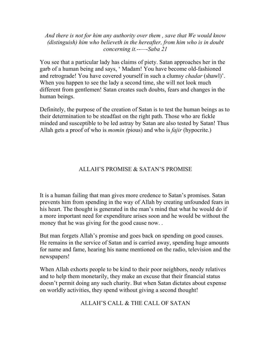*And there is not for him any authority over them , save that We would know (distinguish) him who believeth in the hereafter, from him who is in doubt concerning it.--—-Saba 21* 

You see that a particular lady has claims of piety. Satan approaches her in the garb of a human being and says, ' Madam! You have become old-fashioned and retrograde! You have covered yourself in such a clumsy *chadar* (shawl)'. When you happen to see the lady a second time, she will not look much different from gentlemen! Satan creates such doubts, fears and changes in the human beings.

Definitely, the purpose of the creation of Satan is to test the human beings as to their determination to be steadfast on the right path. Those who are fickle minded and susceptible to be led astray by Satan are also tested by Satan! Thus Allah gets a proof of who is *momin (*pious) and who is *fajir* (hypocrite.)

# ALLAH'S PROMISE & SATAN'S PROMISE

It is a human failing that man gives more credence to Satan's promises. Satan prevents him from spending in the way of Allah by creating unfounded fears in his heart. The thought is generated in the man's mind that what he would do if a more important need for expenditure arises soon and he would be without the money that he was giving for the good cause now...

But man forgets Allah's promise and goes back on spending on good causes. He remains in the service of Satan and is carried away, spending huge amounts for name and fame, hearing his name mentioned on the radio, television and the newspapers!

When Allah exhorts people to be kind to their poor neighbors, needy relatives and to help them monetarily, they make an excuse that their financial status doesn't permit doing any such charity. But when Satan dictates about expense on worldly activities, they spend without giving a second thought!

ALLAH'S CALL & THE CALL OF SATAN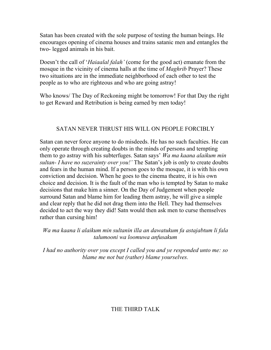Satan has been created with the sole purpose of testing the human beings. He encourages opening of cinema houses and trains satanic men and entangles the two- legged animals in his bait.

Doesn't the call of '*Haiaalal falah'* (come for the good act) emanate from the mosque in the vicinity of cinema halls at the time of *Maghrib* Prayer? These two situations are in the immediate neighborhood of each other to test the people as to who are righteous and who are going astray!

Who knows/ The Day of Reckoning might be tomorrow! For that Day the right to get Reward and Retribution is being earned by men today!

# SATAN NEVER THRUST HIS WILL ON PEOPLE FORCIBLY

Satan can never force anyone to do misdeeds. He has no such faculties. He can only operate through creating doubts in the minds of persons and tempting them to go astray with his subterfuges. Satan says' *Wa ma kaana alaikum min sultan- I have no suzerainty over you!'* The Satan's job is only to create doubts and fears in the human mind. If a person goes to the mosque, it is with his own conviction and decision. When he goes to the cinema theatre, it is his own choice and decision. It is the fault of the man who is tempted by Satan to make decisions that make him a sinner. On the Day of Judgement when people surround Satan and blame him for leading them astray, he will give a simple and clear reply that he did not drag them into the Hell. They had themselves decided to act the way they did! Satn would then ask men to curse themselves rather than cursing him!

*Wa ma kaana li alaikum min sultanin illa an dawatukum fa astajabtum li fala talumooni wa loomuwa anfusakum* 

*I had no authority over you except I called you and ye responded unto me: so blame me not but (rather) blame yourselves.* 

# THE THIRD TALK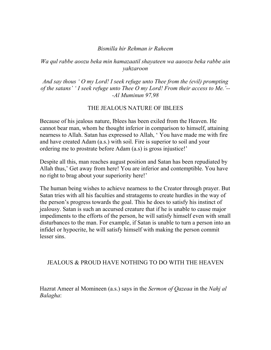#### *Bismilla hir Rehman ir Raheem*

#### *Wa qul rabbe aoozu beka min hamazaatil shayateen wa aaoozu beka rabbe ain yahzaroon*

*And say thous ' O my Lord! I seek refuge unto Thee from the (evil) prompting of the satans' ' I seek refuge unto Thee O my Lord! From their access to Me.'-- -Al Muminun 97,98* 

#### THE JEALOUS NATURE OF IBLEES

Because of his jealous nature, Iblees has been exiled from the Heaven. He cannot bear man, whom he thought inferior in comparison to himself, attaining nearness to Allah. Satan has expressed to Allah, ' You have made me with fire and have created Adam (a.s.) with soil. Fire is superior to soil and your ordering me to prostrate before Adam (a.s) is gross injustice!'

Despite all this, man reaches august position and Satan has been repudiated by Allah thus,' Get away from here! You are inferior and contemptible. You have no right to brag about your superiority here!'

The human being wishes to achieve nearness to the Creator through prayer. But Satan tries with all his faculties and stratagems to create hurdles in the way of the person's progress towards the goal. This he does to satisfy his instinct of jealousy. Satan is such an accursed creature that if he is unable to cause major impediments to the efforts of the person, he will satisfy himself even with small disturbances to the man. For example, if Satan is unable to turn a person into an infidel or hypocrite, he will satisfy himself with making the person commit lesser sins.

#### JEALOUS & PROUD HAVE NOTHING TO DO WITH THE HEAVEN

Hazrat Ameer al Momineen (a.s.) says in the *Sermon of Qazeaa* in the *Nahj al Balagha*: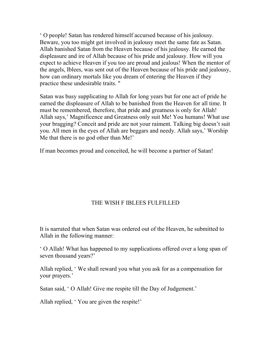' O people! Satan has rendered himself accursed because of his jealousy. Beware, you too might get involved in jealousy meet the same fate as Satan. Allah banished Satan from the Heaven because of his jealousy. He earned the displeasure and ire of Allah because of his pride and jealousy. How will you expect to achieve Heaven if you too are proud and jealous! When the mentor of the angels, Iblees, was sent out of the Heaven because of his pride and jealousy, how can ordinary mortals like you dream of entering the Heaven if they practice these undesirable traits. "

Satan was busy supplicating to Allah for long years but for one act of pride he earned the displeasure of Allah to be banished from the Heaven for all time. It must be remembered, therefore, that pride and greatness is only for Allah! Allah says,' Magnificence and Greatness only suit Me! You humans! What use your bragging? Conceit and pride are not your raiment. Talking big doesn't suit you. All men in the eyes of Allah are beggars and needy. Allah says,' Worship Me that there is no god other than Me!'

If man becomes proud and conceited, he will become a partner of Satan!

# THE WISH F IBLEES FULFILLED

It is narrated that when Satan was ordered out of the Heaven, he submitted to Allah in the following manner:

' O Allah! What has happened to my supplications offered over a long span of seven thousand years?'

Allah replied, ' We shall reward you what you ask for as a compensation for your prayers.'

Satan said, ' O Allah! Give me respite till the Day of Judgement.'

Allah replied, ' You are given the respite!'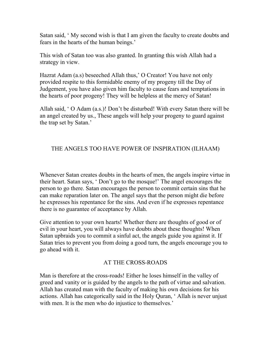Satan said, ' My second wish is that I am given the faculty to create doubts and fears in the hearts of the human beings.'

This wish of Satan too was also granted. In granting this wish Allah had a strategy in view.

Hazrat Adam (a.s) beseeched Allah thus,' O Creator! You have not only provided respite to this formidable enemy of my progeny till the Day of Judgement, you have also given him faculty to cause fears and temptations in the hearts of poor progeny! They will be helpless at the mercy of Satan!

Allah said, ' O Adam (a.s.)! Don't be disturbed! With every Satan there will be an angel created by us., These angels will help your progeny to guard against the trap set by Satan.'

#### THE ANGELS TOO HAVE POWER OF INSPIRATION (ILHAAM)

Whenever Satan creates doubts in the hearts of men, the angels inspire virtue in their heart. Satan says, ' Don't go to the mosque!' The angel encourages the person to go there. Satan encourages the person to commit certain sins that he can make reparation later on. The angel says that the person might die before he expresses his repentance for the sins. And even if he expresses repentance there is no guarantee of acceptance by Allah.

Give attention to your own hearts! Whether there are thoughts of good or of evil in your heart, you will always have doubts about these thoughts! When Satan upbraids you to commit a sinful act, the angels guide you against it. If Satan tries to prevent you from doing a good turn, the angels encourage you to go ahead with it.

#### AT THE CROSS-ROADS

Man is therefore at the cross-roads! Either he loses himself in the valley of greed and vanity or is guided by the angels to the path of virtue and salvation. Allah has created man with the faculty of making his own decisions for his actions. Allah has categorically said in the Holy Quran, ' Allah is never unjust with men. It is the men who do injustice to themselves.'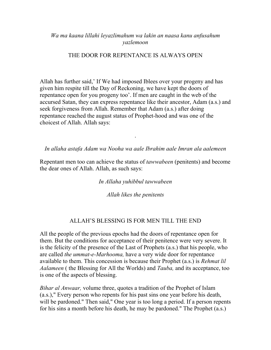#### *Wa ma kaana lillahi leyazlimahum wa lakin an naasa kanu anfusahum yazlemoon*

#### THE DOOR FOR REPENTANCE IS ALWAYS OPEN

Allah has further said,' If We had imposed Iblees over your progeny and has given him respite till the Day of Reckoning, we have kept the doors of repentance open for you progeny too'. If men are caught in the web of the accursed Satan, they can express repentance like their ancestor, Adam (a.s.) and seek forgiveness from Allah. Remember that Adam (a.s.) after doing repentance reached the august status of Prophet-hood and was one of the choicest of Allah. Allah says:

#### *In allaha astafa Adam wa Nooha wa aale Ibrahim aale Imran ala aalemeen*

.

Repentant men too can achieve the status of *tawwabeen* (penitents) and become the dear ones of Allah. Allah, as such says:

#### *In Allaha yuhibbul tawwabeen*

*Allah likes the penitents* 

#### ALLAH'S BLESSING IS FOR MEN TILL THE END

All the people of the previous epochs had the doors of repentance open for them. But the conditions for acceptance of their penitence were very severe. It is the felicity of the presence of the Last of Prophets (a.s.) that his people, who are called *the ummat-e-Marhooma,* have a very wide door for repentance available to them. This concession is because their Prophet (a.s.) is *Rehmat lil Aalameen* ( the Blessing for All the Worlds) and *Tauba,* and its acceptance, too is one of the aspects of blessing.

*Bihar al Anwaar,* volume three, quotes a tradition of the Prophet of Islam (a.s.)," Every person who repents for his past sins one year before his death, will be pardoned." Then said," One year is too long a period. If a person repents for his sins a month before his death, he may be pardoned." The Prophet (a.s.)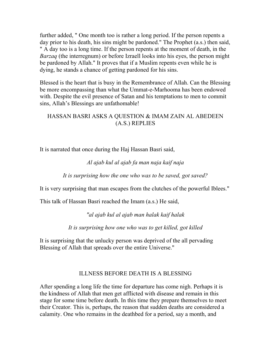further added, " One month too is rather a long period. If the person repents a day prior to his death, his sins might be pardoned." The Prophet (a.s.) then said, " A day too is a long time. If the person repents at the moment of death, in the *Barzaq* (the interregnum) or before Izraell looks into his eyes, the person might be pardoned by Allah." It proves that if a Muslim repents even while he is dying, he stands a chance of getting pardoned for his sins.

Blessed is the heart that is busy in the Remembrance of Allah. Can the Blessing be more encompassing than what the Ummat-e-Marhooma has been endowed with. Despite the evil presence of Satan and his temptations to men to commit sins, Allah's Blessings are unfathomable!

#### HASSAN BASRI ASKS A QUESTION & IMAM ZAIN AL ABEDEEN (A.S.) REPLIES

It is narrated that once during the Haj Hassan Basri said,

#### *Al ajab kul al ajab fa man naja kaif naja*

*It is surprising how the one who was to be saved, got saved?* 

It is very surprising that man escapes from the clutches of the powerful Iblees."

This talk of Hassan Basri reached the Imam (a.s.) He said,

*"al ajab kul al ajab man halak kaif halak* 

*It is surprising how one who was to get killed, got killed* 

It is surprising that the unlucky person was deprived of the all pervading Blessing of Allah that spreads over the entire Universe."

# ILLNESS BEFORE DEATH IS A BLESSING

After spending a long life the time for departure has come nigh. Perhaps it is the kindness of Allah that men get afflicted with disease and remain in this stage for some time before death. In this time they prepare themselves to meet their Creator. This is, perhaps, the reason that sudden deaths are considered a calamity. One who remains in the deathbed for a period, say a month, and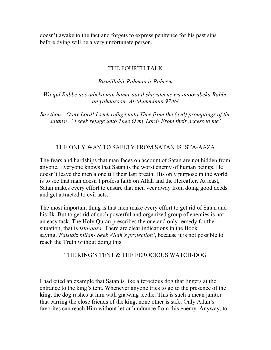doesn't awake to the fact and forgets to express penitence for his past sins before dying will be a very unfortunate person.

#### THE FOURTH TALK

#### *Bismillahir Rahman ir Raheem*

*Wa qul Rabbe aoozubeka min hamazaat il shayateene wa aaoozubeka Rabbe an yahdaroon- Al-Mumminun 97/98* 

*Say thou: 'O my Lord! I seek refuge unto Thee from the (evil) promptings of the satans!' ' I seek refuge unto Thee O my Lord! From their access to me'* 

#### THE ONLY WAY TO SAFETY FROM SATAN IS ISTA-AAZA

The fears and hardships that man faces on account of Satan are not hidden from anyone. Everyone knows that Satan is the worst enemy of human beings. He doesn't leave the men alone till their last breath. His only purpose in the world is to see that man doesn't profess faith on Allah and the Hereafter. At least, Satan makes every effort to ensure that men veer away from doing good deeds and get attracted to evil acts.

The most important thing is that men make every effort to get rid of Satan and his ilk. But to get rid of such powerful and organized group of enemies is not an easy task. The Holy Quran prescribes the one and only remedy for the situation, that is *Ista-aaza.* There are clear indications in the Book saying,'*Faistaiz billah- Seek Allah's protection'*, because it is not possible to reach the Truth without doing this.

#### THE KING'S TENT & THE FEROCIOUS WATCH-DOG

I had cited an example that Satan is like a ferocious dog that lingers at the entrance to the king's tent. Whenever anyone tries to go to the presence of the king, the dog rushes at him with gnawing teethe. This is such a mean janitor that barring the close friends of the king, none other is safe. Only Allah's favorites can reach Him without let or hindrance from this enemy. Anyway, to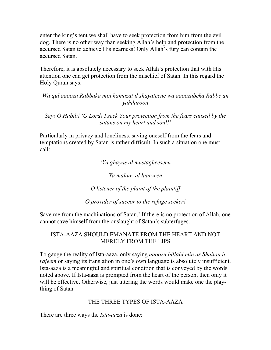enter the king's tent we shall have to seek protection from him from the evil dog. There is no other way than seeking Allah's help and protection from the accursed Satan to achieve His nearness! Only Allah's fury can contain the accursed Satan.

Therefore, it is absolutely necessary to seek Allah's protection that with His attention one can get protection from the mischief of Satan. In this regard the Holy Quran says:

*Wa qul aaoozu Rabbaka min hamazat il shayateene wa aaoozubeka Rabbe an yahdaroon* 

*Say! O Habib! 'O Lord! I seek Your protection from the fears caused by the satans on my heart and soul!'* 

Particularly in privacy and loneliness, saving oneself from the fears and temptations created by Satan is rather difficult. In such a situation one must call:

*'Ya ghayas al mustagheeseen* 

*Ya malaaz al laaezeen* 

*O listener of the plaint of the plaintiff* 

*O provider of succor to the refuge seeker!* 

Save me from the machinations of Satan.' If there is no protection of Allah, one cannot save himself from the onslaught of Satan's subterfuges.

#### ISTA-AAZA SHOULD EMANATE FROM THE HEART AND NOT MERELY FROM THE LIPS

To gauge the reality of Ista-aaza, only saying *aaoozu billahi min as Shaitan ir rajeem* or saying its translation in one's own language is absolutely insufficient. Ista-aaza is a meaningful and spiritual condition that is conveyed by the words noted above. If Ista-aaza is prompted from the heart of the person, then only it will be effective. Otherwise, just uttering the words would make one the plaything of Satan

# THE THREE TYPES OF ISTA-AAZA

There are three ways the *Ista-aaza* is done: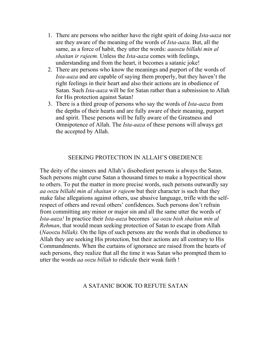- 1. There are persons who neither have the right spirit of doing *Ista-aaza* nor are they aware of the meaning of the words of *Ista-aaza.* But, all the same, as a force of habit, they utter the words: *aaoozu billahi min al shaitan ir rajeem.* Unless the *Ista-aaza* comes with feelings, understanding and from the heart, it becomes a satanic joke!
- 2. There are persons who know the meanings and purport of the words of *Ista-aaza* and are capable of saying them properly, but they haven't the right feelings in their heart and also their actions are in obedience of Satan. Such *Ista-aaza* will be for Satan rather than a submission to Allah for His protection against Satan!
- 3. There is a third group of persons who say the words of *Ista-aaza* from the depths of their hearts and are fully aware of their meaning, purport and spirit. These persons will be fully aware of the Greatness and Omnipotence of Allah. The *Ista-aaza* of these persons will always get the accepted by Allah.

#### SEEKING PROTECTION IN ALLAH'S OBEDIENCE

The deity of the sinners and Allah's disobedient persons is always the Satan. Such persons might curse Satan a thousand times to make a hypocritical show to others. To put the matter in more precise words, such persons outwardly say *aa oozu billahi min al shaitan ir rajeem* but their character is such that they make false allegations against others, use abusive language, trifle with the selfrespect of others and reveal others' confidences. Such persons don't refrain from committing any minor or major sin and all the same utter the words of *Ista-aaza!* In practice their *Ista-aaza* becomes *'aa oozu bish shaitan min al Rehman*, that would mean seeking protection of Satan to escape from Allah (*Naoozu billah).* On the lips of such persons are the words that in obedience to Allah they are seeking His protection, but their actions are all contrary to His Commandments. When the curtains of ignorance are raised from the hearts of such persons, they realize that all the time it was Satan who prompted them to utter the words *aa oozu billah* to ridicule their weak faith !

#### A SATANIC BOOK TO REFUTE SATAN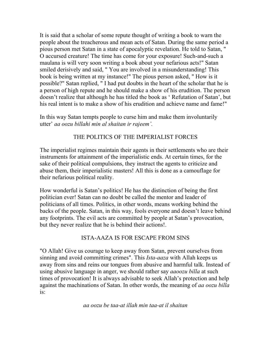It is said that a scholar of some repute thought of writing a book to warn the people about the treacherous and mean acts of Satan. During the same period a pious person met Satan in a state of apocalyptic revelation. He told to Satan, " O accursed creature! The time has come for your exposure! Such-and-such a maulana is will very soon writing a book about your nefarious acts!" Satan smiled derisively and said, " You are involved in a misunderstanding! This book is being written at my instance!" The pious person asked, " How is it possible?" Satan replied, " I had put doubts in the heart of the scholar that he is a person of high repute and he should make a show of his erudition. The person doesn't realize that although he has titled the book as ' Refutation of Satan', but his real intent is to make a show of his erudition and achieve name and fame!"

In this way Satan tempts people to curse him and make them involuntarily utter' *aa oozu billahi min al shaitan ir rajeem'.* 

#### THE POLITICS OF THE IMPERIALIST FORCES

The imperialist regimes maintain their agents in their settlements who are their instruments for attainment of the imperialistic ends. At certain times, for the sake of their political compulsions, they instruct the agents to criticize and abuse them, their imperialistic masters! All this is done as a camouflage for their nefarious political reality.

How wonderful is Satan's politics! He has the distinction of being the first politician ever! Satan can no doubt be called the mentor and leader of politicians of all times. Politics, in other words, means working behind the backs of the people. Satan, in this way, fools everyone and doesn't leave behind any footprints. The evil acts are committed by people at Satan's provocation, but they never realize that he is behind their actions!.

#### ISTA-AAZA IS FOR ESCAPE FROM SINS

"O Allah! Give us courage to keep away from Satan, prevent ourselves from sinning and avoid committing crimes". This *Ista-aaza* with Allah keeps us away from sins and reins our tongues from abusive and harmful talk. Instead of using abusive language in anger, we should rather say *aaoozu billa* at such times of provocation! It is always advisable to seek Allah's protection and help against the machinations of Satan. In other words, the meaning of *aa oozu billa*  is:

*aa oozu be taa-at illah min taa-at il shaitan*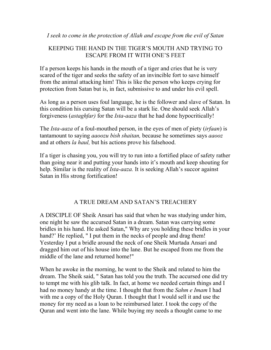*I seek to come in the protection of Allah and escape from the evil of Satan* 

# KEEPING THE HAND IN THE TIGER'S MOUTH AND TRYING TO ESCAPE FROM IT WITH ONE'S FEET

If a person keeps his hands in the mouth of a tiger and cries that he is very scared of the tiger and seeks the safety of an invincible fort to save himself from the animal attacking him! This is like the person who keeps crying for protection from Satan but is, in fact, submissive to and under his evil spell.

As long as a person uses foul language, he is the follower and slave of Satan. In this condition his cursing Satan will be a stark lie. One should seek Allah's forgiveness (*astaghfar)* for the *Ista-aaza* that he had done hypocritically!

The *Ista-aaza* of a foul-mouthed person, in the eyes of men of piety (*irfaan*) is tantamount to saying *aaoozu bish shaitan,* because he sometimes says *aaooz*  and at others *la haul,* but his actions prove his falsehood.

If a tiger is chasing you, you will try to run into a fortified place of safety rather than going near it and putting your hands into it's mouth and keep shouting for help. Similar is the reality of *Ista-aaza*. It is seeking Allah's succor against Satan in His strong fortification!

# A TRUE DREAM AND SATAN'S TREACHERY

A DISCIPLE OF Sheik Ansari has said that when he was studying under him, one night he saw the accursed Satan in a dream. Satan was carrying some bridles in his hand. He asked Satan," Why are you holding these bridles in your hand?' He replied, " I put them in the necks of people and drag them! Yesterday I put a bridle around the neck of one Sheik Murtada Ansari and dragged him out of his house into the lane. But he escaped from me from the middle of the lane and returned home!"

When he awoke in the morning, he went to the Sheik and related to him the dream. The Sheik said, " Satan has told you the truth. The accursed one did try to tempt me with his glib talk. In fact, at home we needed certain things and I had no money handy at the time. I thought that from the *Sahm e Imam* I had with me a copy of the Holy Quran. I thought that I would sell it and use the money for my need as a loan to be reimbursed later. I took the copy of the Quran and went into the lane. While buying my needs a thought came to me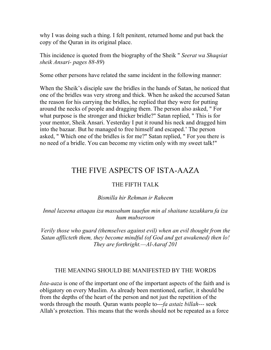why I was doing such a thing. I felt penitent, returned home and put back the copy of the Quran in its original place.

This incidence is quoted from the biography of the Sheik " *Seerat wa Shaqsiat sheik Ansari- pages 88-89*)

Some other persons have related the same incident in the following manner:

When the Sheik's disciple saw the bridles in the hands of Satan, he noticed that one of the bridles was very strong and thick. When he asked the accursed Satan the reason for his carrying the bridles, he replied that they were for putting around the necks of people and dragging them. The person also asked, " For what purpose is the stronger and thicker bridle?" Satan replied, " This is for your mentor, Sheik Ansari. Yesterday I put it round his neck and dragged him into the bazaar. But he managed to free himself and escaped.' The person asked, " Which one of the bridles is for me?" Satan replied, " For you there is no need of a bridle. You can become my victim only with my sweet talk!"

# THE FIVE ASPECTS OF ISTA-AAZA

# THE FIFTH TALK

#### *Bismilla hir Rehman ir Raheem*

#### *Innal lazeena attaqau iza massahum taaefun min al shaitane tazakkaru fa iza hum mubseroon*

*Verily those who guard (themselves against evil) when an evil thought from the Satan afflicteth them, they become mindful (of God and get awakened) then lo! They are forthright.—Al-Aaraf 201* 

#### THE MEANING SHOULD BE MANIFESTED BY THE WORDS

*Ista-aaza* is one of the important one of the important aspects of the faith and is obligatory on every Muslim. As already been mentioned, earlier, it should be from the depths of the heart of the person and not just the repetition of the words through the mouth. Quran wants people to---*fa astaiz billah---* seek Allah's protection. This means that the words should not be repeated as a force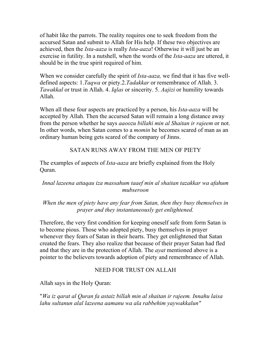of habit like the parrots. The reality requires one to seek freedom from the accursed Satan and submit to Allah for His help. If these two objectives are achieved, then the *Ista-aaza* is really *Ista-aaza*! Otherwise it will just be an exercise in futility. In a nutshell, when the words of the *Ista-aaza* are uttered, it should be in the true spirit required of him.

When we consider carefully the spirit of *Ista-aaza,* we find that it has five welldefined aspects: 1.*Taqwa* or piety.2.*Tadakkar* or remembrance of Allah. 3. *Tawakkal* or trust in Allah. 4. *Iqlas* or sincerity. 5. *Aajizi* or humility towards Allah.

When all these four aspects are practiced by a person, his *Ista-aaza* will be accepted by Allah. Then the accursed Satan will remain a long distance away from the person whether he says *aaoozu billahi min al Shaitan ir rajeem* or not. In other words, when Satan comes to a *momin* he becomes scared of man as an ordinary human being gets scared of the company of Jinns.

#### SATAN RUNS AWAY FROM THE MEN OF PIETY

The examples of aspects of *Ista-aaza* are briefly explained from the Holy Quran.

#### *Innal lazeena attaqau iza massahum taaef min al shaitan tazakkar wa afahum mubseroon*

#### *When the men of piety have any fear from Satan, then they busy themselves in prayer and they instantaneously get enlightened.*

Therefore, the very first condition for keeping oneself safe from form Satan is to become pious. Those who adopted piety, busy themselves in prayer whenever they fears of Satan in their hearts. They get enlightened that Satan created the fears. They also realize that because of their prayer Satan had fled and that they are in the protection of Allah. The *ayat* mentioned above is a pointer to the believers towards adoption of piety and remembrance of Allah.

#### NEED FOR TRUST ON ALLAH

Allah says in the Holy Quran:

"*Wa iz qarat al Quran fa astaiz billah min al shaitan ir rajeem. Innahu laisa lahu sultanun alal lazeena aamanu wa ala rabbehim yaywakkalun"*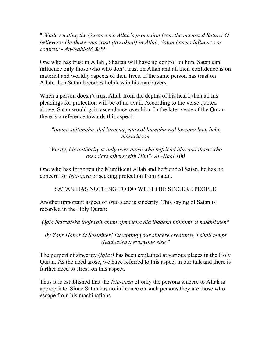" *While reciting the Quran seek Allah's protection from the accursed Satan./ O believers! On those who trust (tawakkal) in Allah, Satan has no influence or control."- An-Nahl-98 &99* 

One who has trust in Allah , Shaitan will have no control on him. Satan can influence only those who who don't trust on Allah and all their confidence is on material and worldly aspects of their lives. If the same person has trust on Allah, then Satan becomes helpless in his maneuvers.

When a person doesn't trust Allah from the depths of his heart, then all his pleadings for protection will be of no avail. According to the verse quoted above, Satan would gain ascendance over him. In the later verse of the Quran there is a reference towards this aspect:

*"innma sultanahu alal lazeena yatawal launahu wal lazeena hum behi mushrikoon* 

*"Verily, his authority is only over those who befriend him and those who associate others with Him"- An-Nahl 100* 

One who has forgotten the Munificent Allah and befriended Satan, he has no concern for *Ista-aaza* or seeking protection from Satan.

SATAN HAS NOTHING TO DO WITH THE SINCERE PEOPLE

Another important aspect of *Ista-aaza* is sincerity. This saying of Satan is recorded in the Holy Quran:

*Qala beizzateka laghwainahum ajmaeena ala ibadeka minhum al mukhliseen"* 

*By Your Honor O Sustainer! Excepting your sincere creatures, I shall tempt (lead astray) everyone else."* 

The purport of sincerity (*Iqlas)* has been explained at various places in the Holy Quran. As the need arose, we have referred to this aspect in our talk and there is further need to stress on this aspect.

Thus it is established that the *Ista-aaza* of only the persons sincere to Allah is appropriate. Since Satan has no influence on such persons they are those who escape from his machinations.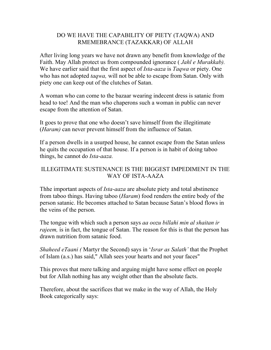#### DO WE HAVE THE CAPABILITY OF PIETY (TAQWA) AND RMEMEBRANCE (TAZAKKAR) OF ALLAH

After living long years we have not drawn any benefit from knowledge of the Faith. May Allah protect us from compounded ignorance ( *Jahl e Murakkab).*  We have earlier said that the first aspect of *Ista-aaza* is *Taqwa* or piety. One who has not adopted *taqwa,* will not be able to escape from Satan. Only with piety one can keep out of the clutches of Satan.

A woman who can come to the bazaar wearing indecent dress is satanic from head to toe! And the man who chaperons such a woman in public can never escape from the attention of Satan.

It goes to prove that one who doesn't save himself from the illegitimate (*Haram)* can never prevent himself from the influence of Satan.

If a person dwells in a usurped house, he cannot escape from the Satan unless he quits the occupation of that house. If a person is in habit of doing taboo things, he cannot do *Ista-aaza.* 

### ILLEGITIMATE SUSTENANCE IS THE BIGGEST IMPEDIMENT IN THE WAY OF ISTA-AAZA

Thhe important aspects of *Ista-aaza* are absolute piety and total abstinence from taboo things. Having taboo (*Haram*) food renders the entire body of the person satanic. He becomes attached to Satan because Satan's blood flows in the veins of the person.

The tongue with which such a person says *aa oozu billahi min al shaitan ir rajeem*, is in fact, the tongue of Satan. The reason for this is that the person has drawn nutrition from satanic food.

*Shaheed eTaani (* Martyr the Second) says in '*Israr as Salath'* that the Prophet of Islam (a.s.) has said," Allah sees your hearts and not your faces"

This proves that mere talking and arguing might have some effect on people but for Allah nothing has any weight other than the absolute facts.

Therefore, about the sacrifices that we make in the way of Allah, the Holy Book categorically says: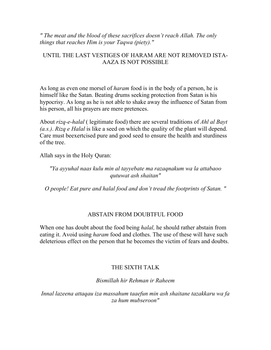*" The meat and the blood of these sacrifices doesn't reach Allah. The only things that reaches Him is your Taqwa (piety)."* 

#### UNTIL THE LAST VESTIGES OF HARAM ARE NOT REMOVED ISTA-AAZA IS NOT POSSIBLE

As long as even one morsel of *haram* food is in the body of a person, he is himself like the Satan. Beating drums seeking protection from Satan is his hypocrisy. As long as he is not able to shake away the influence of Satan from his person, all his prayers are mere pretences.

About *rizq-e-halal* ( legitimate food) there are several traditions of *Ahl al Bayt (a.s.)*. *Rizq e Halal* is like a seed on which the quality of the plant will depend. Care must beexertcised pure and good seed to ensure the health and sturdiness of the tree.

Allah says in the Holy Quran:

#### *"Ya ayyuhal naas kulu min al tayyebate ma razaqnakum wa la attabaoo qutuwat ash shaitan"*

*O people! Eat pure and halal food and don't tread the footprints of Satan. "* 

#### ABSTAIN FROM DOUBTFUL FOOD

When one has doubt about the food being *halal,* he should rather abstain from eating it. Avoid using *haram* food and clothes. The use of these will have such deleterious effect on the person that he becomes the victim of fears and doubts.

#### THE SIXTH TALK

*Bismillah hir Rehman ir Raheem* 

*Innal lazeena attaqau iza massahum taaefun min ash shaitane tazakkaru wa fa za hum mubseroon"*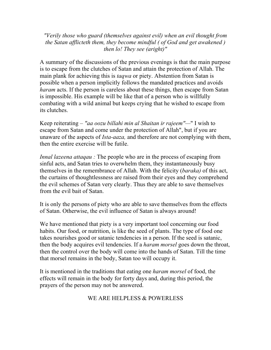*"Verily those who guard (themselves against evil) when an evil thought from the Satan afflicteth them, they become mindful ( of God and get awakened ) then lo! They see (aright)"* 

A summary of the discussions of the previous evenings is that the main purpose is to escape from the clutches of Satan and attain the protection of Allah. The main plank for achieving this is *taqwa* or piety. Abstention from Satan is possible when a person implicitly follows the mandated practices and avoids *haram* acts. If the person is careless about these things, then escape from Satan is impossible. His example will be like that of a person who is willfully combating with a wild animal but keeps crying that he wished to escape from its clutches.

Keep reiterating *– "aa oozu billahi min al Shaitan ir rajeem"—*" I wish to escape from Satan and come under the protection of Allah", but if you are unaware of the aspects of *Ista-aaza,* and therefore are not complying with them, then the entire exercise will be futile.

*Innal lazeena attaqau* : The people who are in the process of escaping from sinful acts, and Satan tries to overwhelm them, they instantaneously busy themselves in the remembrance of Allah. With the felicity (*baraka)* of this act, the curtains of thoughtlessness are raised from their eyes and they comprehend the evil schemes of Satan very clearly. Thus they are able to save themselves from the evil bait of Satan.

It is only the persons of piety who are able to save themselves from the effects of Satan. Otherwise, the evil influence of Satan is always around!

We have mentioned that piety is a very important tool concerning our food habits. Our food, or nutrition, is like the seed of plants. The type of food one takes nourishes good or satanic tendencies in a person. If the seed is satanic, then the body acquires evil tendencies. If a *haram morsel* goes down the throat, then the control over the body will come into the hands of Satan. Till the time that morsel remains in the body, Satan too will occupy it.

It is mentioned in the traditions that eating one *haram morsel* of food, the effects will remain in the body for forty days and, during this period, the prayers of the person may not be answered.

#### WE ARE HELPLESS & POWERLESS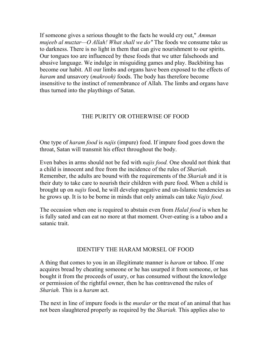If someone gives a serious thought to the facts he would cry out," *Amman mujeeb al muztar—O Allah! What shall we do"* The foods we consume take us to darkness. There is no light in them that can give nourishment to our spirits. Our tongues too are influenced by these foods that we utter falsehoods and abusive language. We indulge in misguiding games and play. Backbiting has become our habit. All our limbs and organs have been exposed to the effects of *haram* and unsavory (*makrooh)* foods. The body has therefore become insensitive to the instinct of remembrance of Allah. The limbs and organs have thus turned into the playthings of Satan.

#### THE PURITY OR OTHERWISE OF FOOD

One type of *haram food* is *najis* (impure) food. If impure food goes down the throat, Satan will transmit his effect throughout the body.

Even babes in arms should not be fed with *najis food.* One should not think that a child is innocent and free from the incidence of the rules of *Shariah.*  Remember, the adults are bound with the requirements of the *Shariah* and it is their duty to take care to nourish their children with pure food. When a child is brought up on *najis* food, he will develop negative and un-Islamic tendencies as he grows up. It is to be borne in minds that only animals can take *Najis food.* 

The occasion when one is required to abstain even from *Halal food* is when he is fully sated and can eat no more at that moment. Over-eating is a taboo and a satanic trait.

#### IDENTIFY THE HARAM MORSEL OF FOOD

A thing that comes to you in an illegitimate manner is *haram* or taboo. If one acquires bread by cheating someone or he has usurped it from someone, or has bought it from the proceeds of usury, or has consumed without the knowledge or permission of the rightful owner, then he has contravened the rules of *Shariah.* This is a *haram* act.

The next in line of impure foods is the *murdar* or the meat of an animal that has not been slaughtered properly as required by the *Shariah.* This applies also to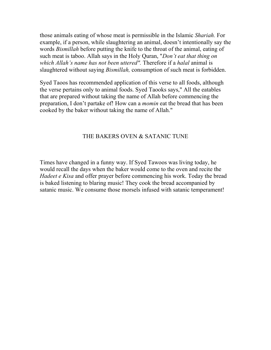those animals eating of whose meat is permissible in the Islamic *Shariah.* For example, if a person, while slaughtering an animal, doesn't intentionally say the words *Bismillah* before putting the knife to the throat of the animal, eating of such meat is taboo. Allah says in the Holy Quran, "*Don't eat that thing on which Allah's name has not been uttered".* Therefore if a *halal* animal is slaughtered without saying *Bismillah,* consumption of such meat is forbidden.

Syed Taoos has recommended application of this verse to all foods, although the verse pertains only to animal foods. Syed Taooks says," All the eatables that are prepared without taking the name of Allah before commencing the preparation, I don't partake of! How can a *momin* eat the bread that has been cooked by the baker without taking the name of Allah."

#### THE BAKERS OVEN & SATANIC TUNE

Times have changed in a funny way. If Syed Tawoos was living today, he would recall the days when the baker would come to the oven and recite the *Hadeet e Kisa* and offer prayer before commencing his work. Today the bread is baked listening to blaring music! They cook the bread accompanied by satanic music. We consume those morsels infused with satanic temperament!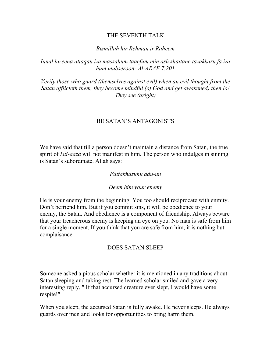#### THE SEVENTH TALK

#### *Bismillah hir Rehman ir Raheem*

*Innal lazeena attaqau iza massahum taaefum min ash shaitane tazakkaru fa iza hum mubseroon- Al-ARAF 7.201* 

*Verily those who guard (themselves against evil) when an evil thought from the Satan afflicteth them, they become mindful (of God and get awakened) then lo! They see (aright)* 

#### BE SATAN'S ANTAGONISTS

We have said that till a person doesn't maintain a distance from Satan, the true spirit of *Isti-aaza* will not manifest in him. The person who indulges in sinning is Satan's subordinate. Allah says:

#### *Fattakhazuhu adu-un*

#### *Deem him your enemy*

He is your enemy from the beginning. You too should reciprocate with enmity. Don't befriend him. But if you commit sins, it will be obedience to your enemy, the Satan. And obedience is a component of friendship. Always beware that your treacherous enemy is keeping an eye on you. No man is safe from him for a single moment. If you think that you are safe from him, it is nothing but complaisance.

#### DOES SATAN SLEEP

Someone asked a pious scholar whether it is mentioned in any traditions about Satan sleeping and taking rest. The learned scholar smiled and gave a very interesting reply, " If that accursed creature ever slept, I would have some respite!"

When you sleep, the accursed Satan is fully awake. He never sleeps. He always guards over men and looks for opportunities to bring harm them.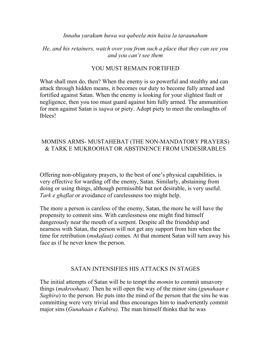#### *Innahu yarakum huwa wa qabeela min haisu la taraunahum*

#### *He, and his retainers, watch over you from such a place that they can see you and you can't see them*

#### YOU MUST REMAIN FORTIFIED

What shall men do, then? When the enemy is so powerful and stealthy and can attack through hidden means, it becomes our duty to become fully armed and fortified against Satan. When the enemy is looking for your slightest fault or negligence, then you too must guard against him fully armed. The ammunition for men against Satan is *taqwa* or piety. Adopt piety to meet the onslaughts of Iblees!

#### MOMINS ARMS- MUSTAHEBAT (THE NON-MANDATORY PRAYERS) & TARK E MUKROOHAT OR ABSTINENCE FROM UNDESIRABLES

Offering non-obligatory prayers, to the best of one's physical capabilities, is very effective for warding off the enemy, Satan. Similarly, abstaining from doing or using things, although permissible but not desirable, is very useful. *Tark e ghaflat* or avoidance of carelessness too might help.

The more a person is careless of the enemy, Satan, the more he will have the propensity to commit sins. With carelessness one might find himself dangerously near the mouth of a serpent. Despite all the friendship and nearness with Satan, the person will not get any support from him when the time for retribution (*mukafaat)* comes. At that moment Satan will turn away his face as if he never knew the person.

#### SATAN INTENSIFIES HIS ATTACKS IN STAGES

The initial attempts of Satan will be to tempt the *momin* to commit unsavory things (*makroohaat).* Then he will open the way of the minor sins (*gunahaan e Saghira*) to the person. He puts into the mind of the person that the sins he was committing were very trivial and thus encourages him to inadvertently commit major sins (*Gunahaan e Kabira).* The man himself thinks that he was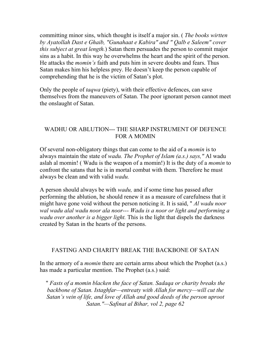committing minor sins, which thought is itself a major sin. ( *The books wirtten by Ayatollah Dast e Ghaib, "Gunahaat e Kabira" and " Qalb e Saleem" cover this subject at great length.*) Satan them persuades the person to commit major sins as a habit. In this way he overwhelms the heart and the spirit of the person. He attacks the *momin's* faith and puts him in severe doubts and fears. Thus Satan makes him his helpless prey. He doesn't keep the person capable of comprehending that he is the victim of Satan's plot.

Only the people of *taqwa* (piety), with their effective defences, can save themselves from the maneuvers of Satan. The poor ignorant person cannot meet the onslaught of Satan.

# WADHU OR ABLUTION--- THE SHARP INSTRUMENT OF DEFENCE FOR A MOMIN

Of several non-obligatory things that can come to the aid of a *momin* is to always maintain the state of *wadu. The Prophet of Islam (a.s.) says,"* Al wadu aslah al momin! ( Wadu is the weapon of a momin!) It is the duty of a *momin* to confront the satans that he is in mortal combat with them. Therefore he must always be clean and with valid *wadu.* 

A person should always be with *wadu,* and if some time has passed after performing the ablution, he should renew it as a measure of carefulness that it might have gone void without the person noticing it. It is said, " *Al wadu noor wal wadu alal wadu noor ala noor--- Wadu is a noor or light and performing a wadu over another is a bigger light.* This is the light that dispels the darkness created by Satan in the hearts of the persons.

### FASTING AND CHARITY BREAK THE BACKBONE OF SATAN

In the armory of a *momin* there are certain arms about which the Prophet (a.s.) has made a particular mention. The Prophet (a.s.) said:

" *Fasts of a momin blacken the face of Satan. Sadaqa or charity breaks the backbone of Satan. Istaghfar—entreaty with Allah for mercy—will cut the Satan's vein of life, and love of Allah and good deeds of the person uproot Satan."—Safinat al Bihar, vol 2, page 62*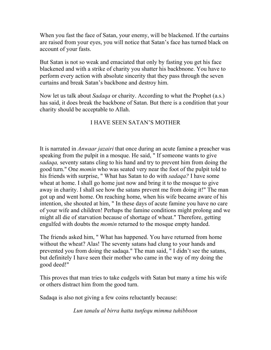When you fast the face of Satan, your enemy, will be blackened. If the curtains are raised from your eyes, you will notice that Satan's face has turned black on account of your fasts.

But Satan is not so weak and emaciated that only by fasting you get his face blackened and with a strike of charity you shatter his backbnone. You have to perform every action with absolute sincerity that they pass through the seven curtains and break Satan's backbone and destroy him.

Now let us talk about *Sadaqa* or charity. According to what the Prophet (a.s.) has said, it does break the backbone of Satan. But there is a condition that your charity should be acceptable to Allah.

### I HAVE SEEN SATAN'S MOTHER

It is narrated in *Anwaar jazairi* that once during an acute famine a preacher was speaking from the pulpit in a mosque. He said, " If someone wants to give *sadaqa,* seventy satans cling to his hand and try to prevent him from doing the good turn." One *momin* who was seated very near the foot of the pulpit told to his friends with surprise, " What has Satan to do with *sadaqa?* I have some wheat at home. I shall go home just now and bring it to the mosque to give away in charity. I shall see how the satans prevent me from doing it!" The man got up and went home. On reaching home, when his wife became aware of his intention, she shouted at him, " In these days of acute famine you have no care of your wife and children! Perhaps the famine conditions might prolong and we might all die of starvation because of shortage of wheat." Therefore, getting engulfed with doubts the *momin* returned to the mosque empty handed.

The friends asked him, " What has happened. You have returned from home without the wheat? Alas! The seventy satans had clung to your hands and prevented you from doing the sadaqa." The man said, " I didn't see the satans, but definitely I have seen their mother who came in the way of my doing the good deed!"

This proves that man tries to take cudgels with Satan but many a time his wife or others distract him from the good turn.

Sadaqa is also not giving a few coins reluctantly because:

*Lun tanalu al birra hatta tunfequ mimma tuhibboon*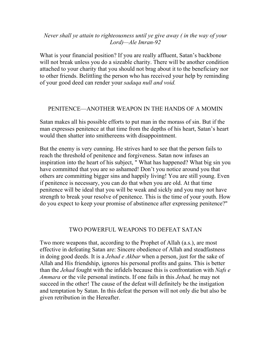#### *Never shall ye attain to righteousness until ye give away ( in the way of your Lord)—Ale Imran-92*

What is your financial position? If you are really affluent, Satan's backbone will not break unless you do a sizeable charity. There will be another condition attached to your charity that you should not brag about it to the beneficiary nor to other friends. Belittling the person who has received your help by reminding of your good deed can render your *sadaqa null and void.* 

### PENITENCE—ANOTHER WEAPON IN THE HANDS OF A MOMIN

Satan makes all his possible efforts to put man in the morass of sin. But if the man expresses penitence at that time from the depths of his heart, Satan's heart would then shatter into smithereens with disappointment.

But the enemy is very cunning. He strives hard to see that the person fails to reach the threshold of penitence and forgiveness. Satan now infuses an inspiration into the heart of his subject, " What has happened? What big sin you have committed that you are so ashamed! Don't you notice around you that others are committing bigger sins and happily living! You are still young. Even if penitence is necessary, you can do that when you are old. At that time penitence will be ideal that you will be weak and sickly and you may not have strength to break your resolve of penitence. This is the time of your youth. How do you expect to keep your promise of abstinence after expressing penitence?"

#### TWO POWERFUL WEAPONS TO DEFEAT SATAN

Two more weapons that, according to the Prophet of Allah (a.s.), are most effective in defeating Satan are: Sincere obedience of Allah and steadfastness in doing good deeds. It is a *Jehad e Akbar* when a person, just for the sake of Allah and His friendship, ignores his personal profits and gains. This is better than the *Jehad* fought with the infidels because this is confrontation with *Nafs e Ammara* or the vile personal instincts. If one fails in this *Jehad,* he may not succeed in the other! The cause of the defeat will definitely be the instigation and temptation by Satan. In this defeat the person will not only die but also be given retribution in the Hereafter.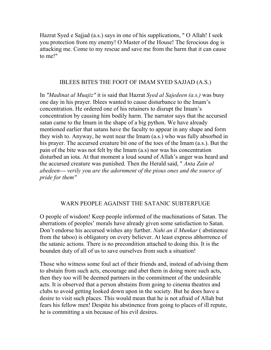Hazrat Syed e Sajjad (a.s.) says in one of his supplications, " O Allah! I seek you protection from my enemy! O Master of the House! The ferocious dog is attacking me. Come to my rescue and save me from the harm that it can cause to me!"

#### IBLEES BITES THE FOOT OF IMAM SYED SAJJAD (A.S.)

In *"Madinat al Muajiz"* it is said that Hazrat *Syed al Sajedeen (a.s.)* was busy one day in his prayer. Iblees wanted to cause disturbance to the Imam's concentration. He ordered one of his retainers to disrupt the Imam's concentration by causing him bodily harm. The narrator says that the accursed satan came to the Imam in the shape of a big python. We have already mentioned earlier that satans have the faculty to appear in any shape and form they wish to. Anyway, he went near the Imam (a.s.) who was fully absorbed in his prayer. The accursed creature bit one of the toes of the Imam (a.s.). But the pain of the bite was not felt by the Imam (a.s) nor was his concentration disturbed an iota. At that moment a loud sound of Allah's anger was heard and the accursed creature was punished. Then the Herald said, " *Anta Zain al abedeen--- verily you are the adornment of the pious ones and the source of pride for them"* 

### WARN PEOPLE AGAINST THE SATANIC SUBTERFUGE

O people of wisdom! Keep people informed of the machinations of Satan. The aberrations of peoples' morals have already given some satisfaction to Satan. Don't endorse his accursed wishes any further. *Nahi an il Munkar* ( abstinence from the taboo) is obligatory on every believer. At least express abhorrence of the satanic actions. There is no precondition attached to doing this. It is the bounden duty of all of us to save ourselves from such a situation!

Those who witness some foul act of their friends and, instead of advising them to abstain from such acts, encourage and abet them in doing more such acts, then they too will be deemed partners in the commitment of the undesirable acts. It is observed that a person abstains from going to cinema theatres and clubs to avoid getting looked down upon in the society. But he does have a desire to visit such places. This would mean that he is not afraid of Allah but fears his fellow men! Despite his abstinence from going to places of ill repute, he is committing a sin because of his evil desires.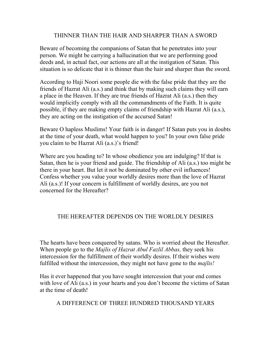#### THINNER THAN THE HAIR AND SHARPER THAN A SWORD

Beware of becoming the companions of Satan that he penetrates into your person. We might be carrying a hallucination that we are performing good deeds and, in actual fact, our actions are all at the instigation of Satan. This situation is so delicate that it is thinner than the hair and sharper than the sword.

According to Haji Noori some people die with the false pride that they are the friends of Hazrat Ali (a.s.) and think that by making such claims they will earn a place in the Heaven. If they are true friends of Hazrat Ali (a.s.) then they would implicitly comply with all the commandments of the Faith. It is quite possible, if they are making empty claims of friendship with Hazrat Ali (a.s.), they are acting on the instigation of the accursed Satan!

Beware O hapless Muslims! Your faith is in danger! If Satan puts you in doubts at the time of your death, what would happen to you? In your own false pride you claim to be Hazrat Ali (a.s.)'s friend!

Where are you heading to? In whose obedience you are indulging? If that is Satan, then he is your friend and guide. The friendship of Ali (a.s.) too might be there in your heart. But let it not be dominated by other evil influences! Confess whether you value your worldly desires more than the love of Hazrat Ali (a.s.)! If your concern is fulfillment of worldly desires, are you not concerned for the Hereafter?

### THE HEREAFTER DEPENDS ON THE WORLDLY DESIRES

The hearts have been conquered by satans. Who is worried about the Hereafter. When people go to the *Majlis of Hazrat Abul Fazlil Abbas,* they seek his intercession for the fulfillment of their worldly desires. If their wishes were fulfilled without the intercession, they might not have gone to the *majlis!* 

Has it ever happened that you have sought intercession that your end comes with love of Ali (a.s.) in your hearts and you don't become the victims of Satan at the time of death!

A DIFFERENCE OF THREE HUNDRED THOUSAND YEARS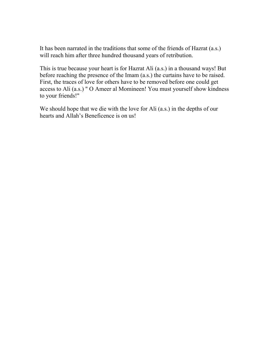It has been narrated in the traditions that some of the friends of Hazrat (a.s.) will reach him after three hundred thousand years of retribution.

This is true because your heart is for Hazrat Ali (a.s.) in a thousand ways! But before reaching the presence of the Imam (a.s.) the curtains have to be raised. First, the traces of love for others have to be removed before one could get access to Ali (a.s.) " O Ameer al Momineen! You must yourself show kindness to your friends!"

We should hope that we die with the love for Ali (a.s.) in the depths of our hearts and Allah's Beneficence is on us!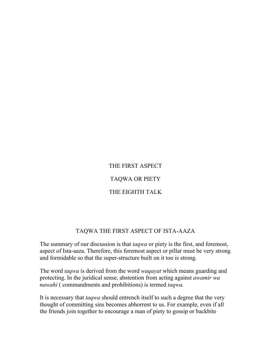# THE FIRST ASPECT

### TAQWA OR PIETY

# THE EIGHTH TALK

### TAQWA THE FIRST ASPECT OF ISTA-AAZA

The summary of our discussion is that *taqwa* or piety is the first, and foremost, aspect of Ista-aaza. Therefore, this foremost aspect or pillar must be very strong and formidable so that the super-structure built on it too is strong.

The word *taqwa* is derived from the word *waqayat* which means guarding and protecting. In the juridical sense, abstention from acting against *awamir wa nawahi* ( commandments and prohibitions) is termed *taqwa.* 

It is necessary that *taqwa* should entrench itself to such a degree that the very thought of committing sins becomes abhorrent to us. For example, even if all the friends join together to encourage a man of piety to gossip or backbite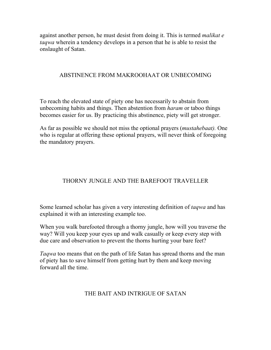against another person, he must desist from doing it. This is termed *malikat e taqwa* wherein a tendency develops in a person that he is able to resist the onslaught of Satan.

#### ABSTINENCE FROM MAKROOHAAT OR UNBECOMING

To reach the elevated state of piety one has necessarily to abstain from unbecoming habits and things. Then abstention from *haram* or taboo things becomes easier for us. By practicing this abstinence, piety will get stronger.

As far as possible we should not miss the optional prayers (*mustahebaat).* One who is regular at offering these optional prayers, will never think of foregoing the mandatory prayers.

# THORNY JUNGLE AND THE BAREFOOT TRAVELLER

Some learned scholar has given a very interesting definition of *taqwa* and has explained it with an interesting example too.

When you walk barefooted through a thorny jungle, how will you traverse the way? Will you keep your eyes up and walk casually or keep every step with due care and observation to prevent the thorns hurting your bare feet?

*Taqwa* too means that on the path of life Satan has spread thorns and the man of piety has to save himself from getting hurt by them and keep moving forward all the time.

# THE BAIT AND INTRIGUE OF SATAN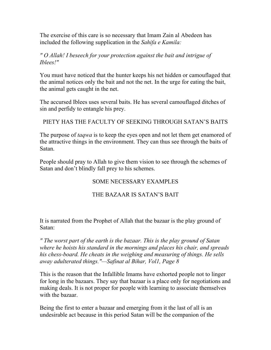The exercise of this care is so necessary that Imam Zain al Abedeen has included the following supplication in the *Sahifa e Kamila:* 

### *" O Allah! I beseech for your protection against the bait and intrigue of Iblees!"*

You must have noticed that the hunter keeps his net hidden or camouflaged that the animal notices only the bait and not the net. In the urge for eating the bait, the animal gets caught in the net.

The accursed Iblees uses several baits. He has several camouflaged ditches of sin and perfidy to entangle his prey.

PIETY HAS THE FACULTY OF SEEKING THROUGH SATAN'S BAITS

The purpose of *taqwa* is to keep the eyes open and not let them get enamored of the attractive things in the environment. They can thus see through the baits of Satan.

People should pray to Allah to give them vision to see through the schemes of Satan and don't blindly fall prey to his schemes.

# SOME NECESSARY EXAMPLES

# THE BAZAAR IS SATAN'S BAIT

It is narrated from the Prophet of Allah that the bazaar is the play ground of Satan:

*" The worst part of the earth is the bazaar. This is the play ground of Satan where he hoists his standard in the mornings and places his chair, and spreads his chess-board. He cheats in the weighing and measuring of things. He sells away adulterated things."—Safinat al Bihar, Vol1, Page 8* 

This is the reason that the Infallible Imams have exhorted people not to linger for long in the bazaars. They say that bazaar is a place only for negotiations and making deals. It is not proper for people with learning to associate themselves with the bazaar.

Being the first to enter a bazaar and emerging from it the last of all is an undesirable act because in this period Satan will be the companion of the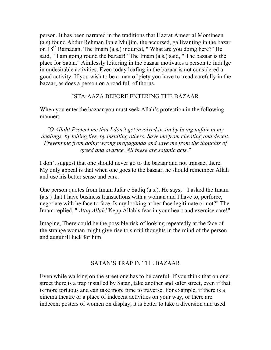person. It has been narrated in the traditions that Hazrat Ameer al Momineen (a.s) found Abdur Rehman Ibn e Muljim, the accursed, gallivanting in the bazar on 18<sup>th</sup> Ramadan. The Imam (a.s.) inquired, " What are you doing here?" He said, " I am going round the bazaar!" The Imam (a.s.) said, " The bazaar is the place for Satan." Aimlessly loitering in the bazaar motivates a person to indulge in undesirable activities. Even today loafing in the bazaar is not considered a good activity. If you wish to be a man of piety you have to tread carefully in the bazaar, as does a person on a road full of thorns.

### ISTA-AAZA BEFORE ENTERING THE BAZAAR

When you enter the bazaar you must seek Allah's protection in the following manner:

*"O Allah! Protect me that I don't get involved in sin by being unfair in my dealings, by telling lies, by insulting others. Save me from cheating and deceit. Prevent me from doing wrong propaganda and save me from the thoughts of greed and avarice. All these are satanic acts."* 

I don't suggest that one should never go to the bazaar and not transact there. My only appeal is that when one goes to the bazaar, he should remember Allah and use his better sense and care.

One person quotes from Imam Jafar e Sadiq (a.s.). He says, " I asked the Imam (a.s.) that I have business transactions with a woman and I have to, perforce, negotiate with he face to face. Is my looking at her face legitimate or not?" The Imam replied, " *Attiq Allah!* Kepp Allah's fear in your heart and exercise care!"

Imagine, There could be the possible risk of looking repeatedly at the face of the strange woman might give rise to sinful thoughts in the mind of the person and augur ill luck for him!

### SATAN'S TRAP IN THE BAZAAR

Even while walking on the street one has to be careful. If you think that on one street there is a trap installed by Satan, take another and safer street, even if that is more tortuous and can take more time to traverse. For example, if there is a cinema theatre or a place of indecent activities on your way, or there are indecent posters of women on display, it is better to take a diversion and used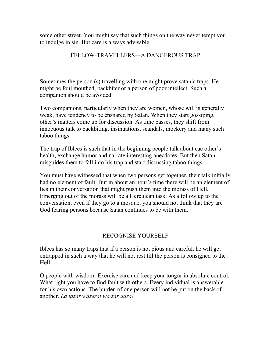some other street. You might say that such things on the way never tempt you to indulge in sin. But care is always advisable.

### FELLOW-TRAVELLERS—A DANGEROUS TRAP

Sometimes the person (s) travelling with one might prove satanic traps. He might be foul mouthed, backbiter or a person of poor intellect. Such a companion should be avoided.

Two companions, particularly when they are women, whose will is generally weak, have tendency to be ensnared by Satan. When they start gossiping, other's matters come up for discussion. As time passes, they shift from innocuous talk to backbiting, insinuations, scandals, mockery and many such taboo things.

The trap of Iblees is such that in the beginning people talk about eac other's health, exchange humor and narrate interesting anecdotes. But then Satan misguides them to fall into his trap and start discussing taboo things.

You must have witnessed that when two persons get together, their talk initially had no element of fault. But in about an hour's time there will be an element of lies in their conversation that might push them into the morass of Hell. Emerging out of the morass will be a Herculean task. As a follow up to the conversation, even if they go to a mosque, you should not think that they are God fearing persons because Satan continues to be with them.

# RECOGNISE YOURSELF

Iblees has so many traps that if a person is not pious and careful, he will get entrapped in such a way that he will not rest till the person is consigned to the Hell.

O people with wisdom! Exercise care and keep your tongur in absolute control. What right you have to find fault with others. Every individual is answerable for his own actions. The burden of one person will not be put on the back of another. *La tazar wazerat wa zar uqra!*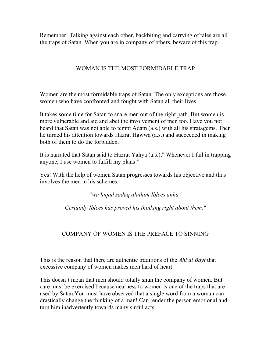Remember! Talking against each other, backbiting and carrying of tales are all the traps of Satan. When you are in company of others, beware of this trap.

## WOMAN IS THE MOST FORMIDABLE TRAP

Women are the most formidable traps of Satan. The only exceptions are those women who have confronted and fought with Satan all their lives.

It takes some time for Satan to snare men out of the right path. But women is more vulnerable and aid and abet the involvement of men too. Have you not heard that Satan was not able to tempt Adam (a.s.) with all his stratagems. Then he turned his attention towards Hazrat Hawwa (a.s.) and succeeded in making both of them to do the forbidden.

It is narrated that Satan said to Hazrat Yahya (a.s.)," Whenever I fail in trapping anyone, I use women to fulfill my plans!"

Yes! With the help of women Satan progresses towards his objective and thus involves the men in his schemes.

"*wa laqad sadaq alaihim Iblees anha"* 

*Certainly Iblees has proved his thinking right about them."* 

# COMPANY OF WOMEN IS THE PREFACE TO SINNING

This is the reason that there are authentic traditions of the *Ahl al Bayt* that excessive company of women makes men hard of heart.

This doesn't mean that men should totally shun the company of women. But care must be exercised because nearness to women is one of the traps that are used by Satan.You must have observed that a single word from a woman can drastically change the thinking of a man! Can render the person emotional and turn him inadvertently towards many sinful acts.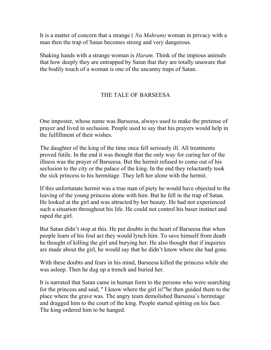It is a matter of concern that a strange ( *Na Mahram)* woman in privacy with a man then the trap of Satan becomes strong and very dangerous.

Shaking hands with a strange woman is *Haram.* Think of the impious animals that how deeply they are entrapped by Satan that they are totally unaware that the bodily touch of a woman is one of the uncanny traps of Satan.

## THE TALE OF BARSEESA

One imposter, whose name was Barseesa, always used to make the pretense of prayer and lived in seclusion. People used to say that his prayers would help in the fulfillment of their wishes.

The daughter of the king of the time once fell seriously ill. All treatments proved futile. In the end it was thought that the only way for curing her of the illness was the prayer of Barseesa. But the hermit refused to come out of his seclusion to the city or the palace of the king. In the end they reluctantly took the sick princess to his hermitage. They left her alone with the hermit.

If this unfortunate hermit was a true man of piety he would have objected to the leaving of the young princess alone with him. But he fell in the trap of Satan. He looked at the girl and was attracted by her beauty. He had not experienced such a situation throughout his life. He could not control his baser instinct and raped the girl.

But Satan didn't stop at this. He put doubts in the heart of Barseesa that when people learn of his foul act they would lynch him. To save himself from death he thought of killing the girl and burying her. He also thought that if inquiries are made about the girl, he would say that he didn't know where she had gone.

With these doubts and fears in his mind, Barseesa killed the princess while she was asleep. Then he dug up a trench and buried her.

It is narrated that Satan came in human form to the persons who were searching for the princess and said, " I know where the girl is!"he then guided them to the place where the grave was. The angry team demolished Barseesa's hermitage and dragged him to the court of the king. People started spitting on his face. The king ordered him to be hanged.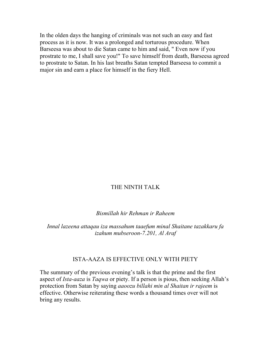In the olden days the hanging of criminals was not such an easy and fast process as it is now. It was a prolonged and torturous procedure. When Barseesa was about to die Satan came to him and said, " Even now if you prostrate to me, I shall save you!" To save himself from death, Barseesa agreed to prostrate to Satan. In his last breaths Satan tempted Barseesa to commit a major sin and earn a place for himself in the fiery Hell.

#### THE NINTH TALK

#### *Bismillah hir Rehman ir Raheem*

*Innal lazeena attaqau iza massahum taaefum minal Shaitane tazakkaru fa izahum mubseroon-7.201, Al Araf* 

#### ISTA-AAZA IS EFFECTIVE ONLY WITH PIETY

The summary of the previous evening's talk is that the prime and the first aspect of *Ista-aaza* is *Taqwa* or piety. If a person is pious, then seeking Allah's protection from Satan by saying *aaoozu billahi min al Shaitan ir rajeem* is effective. Otherwise reiterating these words a thousand times over will not bring any results.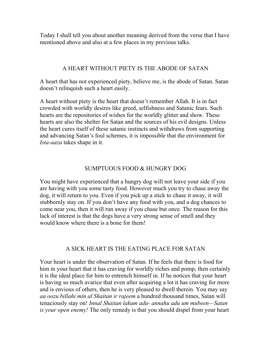Today I shall tell you about another meaning derived from the verse that I have mentioned above and also at a few places in my previous talks.

### A HEART WITHOUT PIETY IS THE ABODE OF SATAN

A heart that has not experienced piety, believe me, is the abode of Satan. Satan doesn't relinquish such a heart easily.

A heart without piety is the heart that doesn't remember Allah. It is in fact crowded with worldly desires like greed, selfishness and Satanic fears. Such hearts are the repositories of wishes for the worldly glitter and show. These hearts are also the shelter for Satan and the sources of his evil designs. Unless the heart cures itself of these satanic instincts and withdraws from supporting and advancing Satan's foul schemes, it is impossible that the environment for *Ista-aaza* takes shape in it.

### SUMPTUOUS FOOD & HUNGRY DOG

You might have experienced that a hungry dog will not leave your side if you are having with you some tasty food. However much you try to chase away the dog, it will return to you. Even if you pick up a stick to chase it away, it will stubbornly stay on. If you don't have any food with you, and a dog chances to come near you, then it will run away if you chase but once. The reason for this lack of interest is that the dogs have a very strong sense of smell and they would know where there is a bone for them!

#### A SICK HEART IS THE EATING PLACE FOR SATAN

Your heart is under the observation of Satan. If he feels that there is food for him in your heart that it has craving for worldly riches and pomp, then certainly it is the ideal place for him to entrench himself in. If he notices that your heart is having so much avarice that even after acquiring a lot it has craving for more and is envious of others, then he is very pleased to dwell therein. You may say *aa oozu billahi min al Shaitan ir rajeem* a hundred thousand times, Satan will tenaciously stay on! *Innal Shaitan lakum adu- annahu adu um mubeen—Satan is your open enemy!* The only remedy is that you should dispel from your heart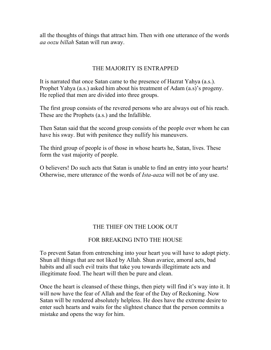all the thoughts of things that attract him. Then with one utterance of the words *aa oozu billah* Satan will run away.

## THE MAJORITY IS ENTRAPPED

It is narrated that once Satan came to the presence of Hazrat Yahya (a.s.). Prophet Yahya (a.s.) asked him about his treatment of Adam (a.s)'s progeny. He replied that men are divided into three groups.

The first group consists of the revered persons who are always out of his reach. These are the Prophets (a.s.) and the Infallible.

Then Satan said that the second group consists of the people over whom he can have his sway. But with penitence they nullify his maneuvers.

The third group of people is of those in whose hearts he, Satan, lives. These form the vast majority of people.

O believers! Do such acts that Satan is unable to find an entry into your hearts! Otherwise, mere utterance of the words of *Ista-aaza* will not be of any use.

# THE THIEF ON THE LOOK OUT

### FOR BREAKING INTO THE HOUSE

To prevent Satan from entrenching into your heart you will have to adopt piety. Shun all things that are not liked by Allah. Shun avarice, amoral acts, bad habits and all such evil traits that take you towards illegitimate acts and illegitimate food. The heart will then be pure and clean.

Once the heart is cleansed of these things, then piety will find it's way into it. It will now have the fear of Allah and the fear of the Day of Reckoning. Now Satan will be rendered absolutely helpless. He does have the extreme desire to enter such hearts and waits for the slightest chance that the person commits a mistake and opens the way for him.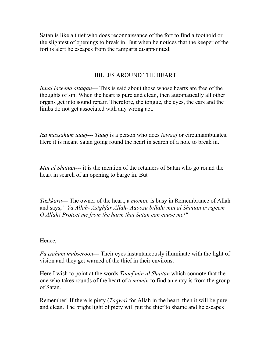Satan is like a thief who does reconnaissance of the fort to find a foothold or the slightest of openings to break in. But when he notices that the keeper of the fort is alert he escapes from the ramparts disappointed.

#### IBLEES AROUND THE HEART

*Innal lazeena attaqau---* This is said about those whose hearts are free of the thoughts of sin. When the heart is pure and clean, then automatically all other organs get into sound repair. Therefore, the tongue, the eyes, the ears and the limbs do not get associated with any wrong act.

*Iza massahum taaef--- Taaef* is a person who does *tawaaf* or circumambulates. Here it is meant Satan going round the heart in search of a hole to break in.

*Min al Shaitan---* it is the mention of the retainers of Satan who go round the heart in search of an opening to barge in. But

*Tazkkaru---* The owner of the heart, a *momin,* is busy in Remembrance of Allah and says, " *Ya Allah- Astghfar Allah- Aaoozu billahi min al Shaitan ir rajeem— O Allah! Protect me from the harm that Satan can cause me!"* 

Hence,

*Fa izahum mubseroon---* Their eyes instantaneously illuminate with the light of vision and they get warned of the thief in their environs.

Here I wish to point at the words *Taaef min al Shaitan* which connote that the one who takes rounds of the heart of a *momin* to find an entry is from the group of Satan.

Remember! If there is piety (*Taqwa)* for Allah in the heart, then it will be pure and clean. The bright light of piety will put the thief to shame and he escapes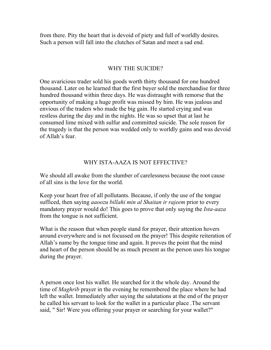from there. Pity the heart that is devoid of piety and full of worldly desires. Such a person will fall into the clutches of Satan and meet a sad end.

#### WHY THE SUICIDE?

One avaricious trader sold his goods worth thirty thousand for one hundred thousand. Later on he learned that the first buyer sold the merchandise for three hundred thousand within three days. He was distraught with remorse that the opportunity of making a huge profit was missed by him. He was jealous and envious of the traders who made the big gain. He started crying and was restless during the day and in the nights. He was so upset that at last he consumed lime mixed with sulfur and committed suicide. The sole reason for the tragedy is that the person was wedded only to worldly gains and was devoid of Allah's fear.

#### WHY ISTA-AAZA IS NOT EFFECTIVE?

We should all awake from the slumber of carelessness because the root cause of all sins is the love for the world.

Keep your heart free of all pollutants. Because, if only the use of the tongue sufficed, then saying *aaoozu billahi min al Shaitan ir rajeem* prior to every mandatory prayer would do! This goes to prove that only saying the *Ista-aaza*  from the tongue is not sufficient.

What is the reason that when people stand for prayer, their attention hovers around everywhere and is not focussed on the prayer! This despite reiteration of Allah's name by the tongue time and again. It proves the point that the mind and heart of the person should be as much present as the person uses his tongue during the prayer.

A person once lost his wallet. He searched for it the whole day. Around the time of *Maghrib* prayer in the evening he remembered the place where he had left the wallet. Immediately after saying the salutations at the end of the prayer he called his servant to look for the wallet in a particular place .The servant said, " Sir! Were you offering your prayer or searching for your wallet?"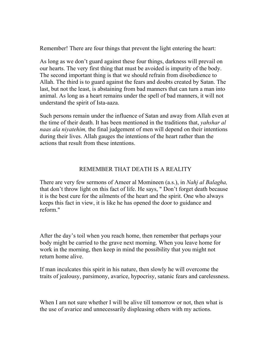Remember! There are four things that prevent the light entering the heart:

As long as we don't guard against these four things, darkness will prevail on our hearts. The very first thing that must be avoided is impurity of the body. The second important thing is that we should refrain from disobedience to Allah. The third is to guard against the fears and doubts created by Satan. The last, but not the least, is abstaining from bad manners that can turn a man into animal. As long as a heart remains under the spell of bad manners, it will not understand the spirit of Ista-aaza.

Such persons remain under the influence of Satan and away from Allah even at the time of their death. It has been mentioned in the traditions that, *yahshar al naas ala niyatehim,* the final judgement of men will depend on their intentions during their lives. Allah gauges the intentions of the heart rather than the actions that result from these intentions.

### REMEMBER THAT DEATH IS A REALITY

There are very few sermons of Ameer al Momineen (a.s.), in *Nahj al Balagha,*  that don't throw light on this fact of life. He says, " Don't forget death because it is the best cure for the ailments of the heart and the spirit. One who always keeps this fact in view, it is like he has opened the door to guidance and reform."

After the day's toil when you reach home, then remember that perhaps your body might be carried to the grave next morning. When you leave home for work in the morning, then keep in mind the possibility that you might not return home alive.

If man inculcates this spirit in his nature, then slowly he will overcome the traits of jealousy, parsimony, avarice, hypocrisy, satanic fears and carelessness.

When I am not sure whether I will be alive till tomorrow or not, then what is the use of avarice and unnecessarily displeasing others with my actions.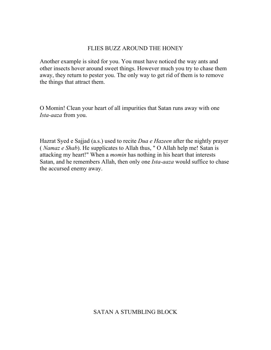#### FLIES BUZZ AROUND THE HONEY

Another example is sited for you. You must have noticed the way ants and other insects hover around sweet things. However much you try to chase them away, they return to pester you. The only way to get rid of them is to remove the things that attract them.

O Momin! Clean your heart of all impurities that Satan runs away with one *Ista-aaza* from you.

Hazrat Syed e Sajjad (a.s.) used to recite *Dua e Hazeen* after the nightly prayer ( *Namaz e Shab*). He supplicates to Allah thus, " O Allah help me! Satan is attacking my heart!" When a *momin* has nothing in his heart that interests Satan, and he remembers Allah, then only one *Ista-aaza* would suffice to chase the accursed enemy away.

### SATAN A STUMBLING BLOCK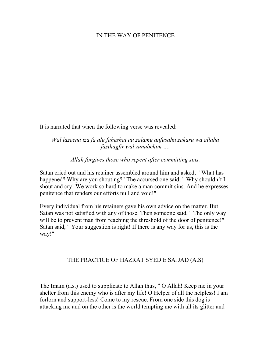#### IN THE WAY OF PENITENCE

It is narrated that when the following verse was revealed:

*Wal lazeena iza fa alu faheshat au zalamu anfusahu zakaru wa allaha fasthagfir wal zunubehim ….* 

*Allah forgives those who repent after committing sins.* 

Satan cried out and his retainer assembled around him and asked, " What has happened? Why are you shouting?" The accursed one said, " Why shouldn't I shout and cry! We work so hard to make a man commit sins. And he expresses penitence that renders our efforts null and void!"

Every individual from his retainers gave his own advice on the matter. But Satan was not satisfied with any of those. Then someone said, " The only way will be to prevent man from reaching the threshold of the door of penitence!" Satan said, " Your suggestion is right! If there is any way for us, this is the way!"

#### THE PRACTICE OF HAZRAT SYED E SAJJAD (A.S)

The Imam (a.s.) used to supplicate to Allah thus, " O Allah! Keep me in your shelter from this enemy who is after my life! O Helper of all the helpless! I am forlorn and support-less! Come to my rescue. From one side this dog is attacking me and on the other is the world tempting me with all its glitter and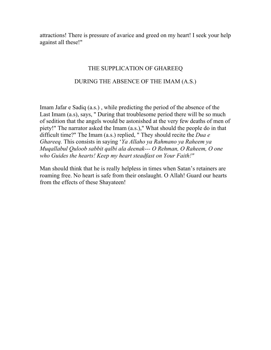attractions! There is pressure of avarice and greed on my heart! I seek your help against all these!"

#### THE SUPPLICATION OF GHAREEQ

#### DURING THE ABSENCE OF THE IMAM (A.S.)

Imam Jafar e Sadiq (a.s.) , while predicting the period of the absence of the Last Imam (a.s), says, " During that troublesome period there will be so much of sedition that the angels would be astonished at the very few deaths of men of piety!" The narrator asked the Imam (a.s.)," What should the people do in that difficult time?" The Imam (a.s.) replied, " They should recite the *Dua e Ghareeq.* This consists in saying '*Ya Allaho ya Rahmano ya Raheem ya Muqallabul Quloob sabbit qalbi ala deenak--- O Rehman, O Raheem, O one who Guides the hearts! Keep my heart steadfast on Your Faith!"* 

Man should think that he is really helpless in times when Satan's retainers are roaming free. No heart is safe from their onslaught. O Allah! Guard our hearts from the effects of these Shayateen!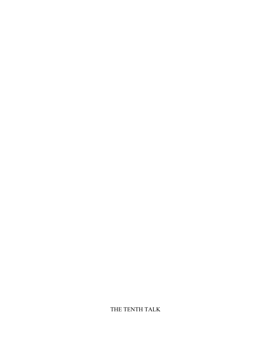THE TENTH TALK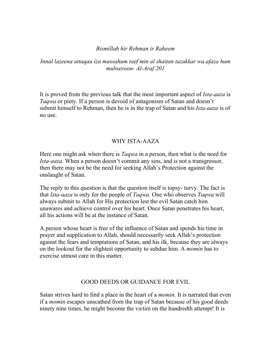#### *Bismillah hir Rehman ir Raheem*

### *Innal lazeena attaqau iza massahum taef min al shaitan tazakkar wa afaza hum mubseroon- Al-Araf 201*

It is proved from the previous talk that the most important aspect of *Ista-aaza* is *Taqwa* or piety. If a person is devoid of antagonism of Satan and doesn't submit himself to Rehman, then he is in the trap of Satan and his *Ista-aaza* is of no use.

#### WHY ISTA-AAZA

Here one might ask when there is *Taqwa* in a person, then what is the need for *Ista-aaza.* When a person doesn't commit any sins, and is not a transgressor, then there may not be the need for seeking Allah's Protection against the onslaught of Satan.

The reply to this question is that the question itself is topsy- turvy. The fact is that *Ista-aaza* is only for the people of *Taqwa.* One who observes *Taqwa* will always submit to Allah for His protection lest the evil Satan catch him unawares and achieve control over his heart. Once Satan penetrates his heart, all his actions will be at the instance of Satan.

A person whose heart is free of the influence of Satan and spends his time in prayer and supplication to Allah, should necessarily seek Allah's protection against the fears and temptations of Satan, and his ilk, because they are always on the lookout for the slightest opportunity to subdue him. A *momin* has to exercise utmost care in this matter.

#### GOOD DEEDS OR GUIDANCE FOR EVIL

Satan strives hard to find a place in the heart of a *momin.* It is narrated that even if a *momin* escapes unscathed from the trap of Satan because of his good deeds ninety nine times, he might become the victim on the hundredth attempt! It is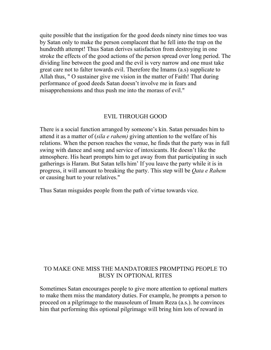quite possible that the instigation for the good deeds ninety nine times too was by Satan only to make the person complacent that he fell into the trap on the hundredth attempt! Thus Satan derives satisfaction from destroying in one stroke the effects of the good actions of the person spread over long period. The dividing line between the good and the evil is very narrow and one must take great care not to falter towards evil. Therefore the Imams (a.s) supplicate to Allah thus, " O sustainer give me vision in the matter of Faith! That during performance of good deeds Satan doesn't involve me in fears and misapprehensions and thus push me into the morass of evil."

#### EVIL THROUGH GOOD

There is a social function arranged by someone's kin. Satan persuades him to attend it as a matter of (*sila e rahem)* giving attention to the welfare of his relations. When the person reaches the venue, he finds that the party was in full swing with dance and song and service of intoxicants. He doesn't like the atmosphere. His heart prompts him to get away from that participating in such gatherings is Haram. But Satan tells him' If you leave the party while it is in progress, it will amount to breaking the party. This step will be *Qata e Rahem*  or causing hurt to your relatives."

Thus Satan misguides people from the path of virtue towards vice.

#### TO MAKE ONE MISS THE MANDATORIES PROMPTING PEOPLE TO BUSY IN OPTIONAL RITES

Sometimes Satan encourages people to give more attention to optional matters to make them miss the mandatory duties. For example, he prompts a person to proceed on a pilgrimage to the mausoleum of Imam Reza (a.s.). he convinces him that performing this optional pilgrimage will bring him lots of reward in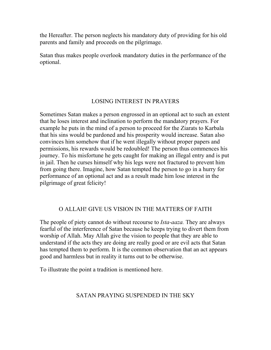the Hereafter. The person neglects his mandatory duty of providing for his old parents and family and proceeds on the pilgrimage.

Satan thus makes people overlook mandatory duties in the performance of the optional.

## LOSING INTEREST IN PRAYERS

Sometimes Satan makes a person engrossed in an optional act to such an extent that he loses interest and inclination to perform the mandatory prayers. For example he puts in the mind of a person to proceed for the Ziarats to Karbala that his sins would be pardoned and his prosperity would increase. Satan also convinces him somehow that if he went illegally without proper papers and permissions, his rewards would be redoubled! The person thus commences his journey. To his misfortune he gets caught for making an illegal entry and is put in jail. Then he curses himself why his legs were not fractured to prevent him from going there. Imagine, how Satan tempted the person to go in a hurry for performance of an optional act and as a result made him lose interest in the pilgrimage of great felicity!

### O ALLAH! GIVE US VISION IN THE MATTERS OF FAITH

The people of piety cannot do without recourse to *Ista-aaza.* They are always fearful of the interference of Satan because he keeps trying to divert them from worship of Allah. May Allah give the vision to people that they are able to understand if the acts they are doing are really good or are evil acts that Satan has tempted them to perform. It is the common observation that an act appears good and harmless but in reality it turns out to be otherwise.

To illustrate the point a tradition is mentioned here.

# SATAN PRAYING SUSPENDED IN THE SKY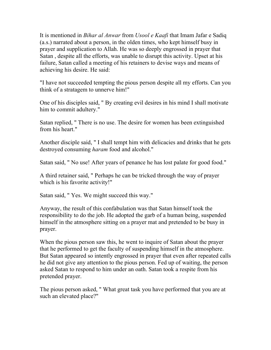It is mentioned in *Bihar al Anwar* from *Usool e Kaafi* that Imam Jafar e Sadiq (a.s.) narrated about a person, in the olden times, who kept himself busy in prayer and supplication to Allah. He was so deeply engrossed in prayer that Satan , despite all the efforts, was unable to disrupt this activity. Upset at his failure, Satan called a meeting of his retainers to devise ways and means of achieving his desire. He said:

"I have not succeeded tempting the pious person despite all my efforts. Can you think of a stratagem to unnerve him!"

One of his disciples said, " By creating evil desires in his mind I shall motivate him to commit adultery."

Satan replied, " There is no use. The desire for women has been extinguished from his heart."

Another disciple said, " I shall tempt him with delicacies and drinks that he gets destroyed consuming *haram* food and alcohol."

Satan said, " No use! After years of penance he has lost palate for good food."

A third retainer said, " Perhaps he can be tricked through the way of prayer which is his favorite activity!"

Satan said, " Yes. We might succeed this way."

Anyway, the result of this confabulation was that Satan himself took the responsibility to do the job. He adopted the garb of a human being, suspended himself in the atmosphere sitting on a prayer mat and pretended to be busy in prayer.

When the pious person saw this, he went to inquire of Satan about the prayer that he performed to get the faculty of suspending himself in the atmosphere. But Satan appeared so intently engrossed in prayer that even after repeated calls he did not give any attention to the pious person. Fed up of waiting, the person asked Satan to respond to him under an oath. Satan took a respite from his pretended prayer.

The pious person asked, " What great task you have performed that you are at such an elevated place?"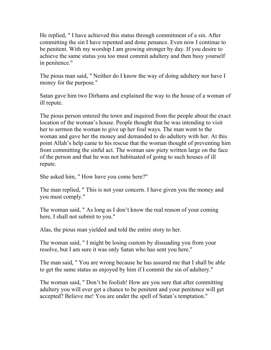He replied, " I have achieved this status through commitment of a sin. After committing the sin I have repented and done penance. Even now I continue to be penitent. With my worship I am growing stronger by day. If you desire to achieve the same status you too must commit adultery and then busy yourself in penitence."

The pious man said, " Neither do I know the way of doing adultery nor have I money for the purpose."

Satan gave him two Dirhams and explained the way to the house of a woman of ill repute.

The pious person entered the town and inquired from the people about the exact location of the woman's house. People thought that he was intending to visit her to sermon the woman to give up her foul ways. The man went to the woman and gave her the money and demanded to do adultery with her. At this point Allah's help came to his rescue that the woman thought of preventing him from committing the sinful act. The woman saw piety written large on the face of the person and that he was not habituated of going to such houses of ill repute.

She asked him, " How have you come here?"

The man replied, " This is not your concern. I have given you the money and you must comply."

The woman said, " As long as I don't know the real reason of your coming here, I shall not submit to you."

Alas, the pious man yielded and told the entire story to her.

The woman said, " I might be losing custom by dissuading you from your resolve, but I am sure it was only Satan who has sent you here."

The man said, " You are wrong because he has assured me that I shall be able to get the same status as enjoyed by him if I commit the sin of adultery."

The woman said, " Don't be foolish! How are you sure that after committing adultery you will ever get a chance to be penitent and your penitence will get accepted? Believe me! You are under the spell of Satan's temptation."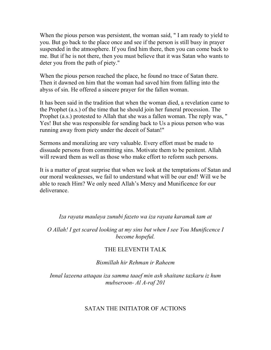When the pious person was persistent, the woman said, " I am ready to yield to you. But go back to the place once and see if the person is still busy in prayer suspended in the atmosphere. If you find him there, then you can come back to me. But if he is not there, then you must believe that it was Satan who wants to deter you from the path of piety."

When the pious person reached the place, he found no trace of Satan there. Then it dawned on him that the woman had saved him from falling into the abyss of sin. He offered a sincere prayer for the fallen woman.

It has been said in the tradition that when the woman died, a revelation came to the Prophet (a.s.) of the time that he should join her funeral procession. The Prophet (a.s.) protested to Allah that she was a fallen woman. The reply was, " Yes! But she was responsible for sending back to Us a pious person who was running away from piety under the deceit of Satan!"

Sermons and moralizing are very valuable. Every effort must be made to dissuade persons from committing sins. Motivate them to be penitent. Allah will reward them as well as those who make effort to reform such persons.

It is a matter of great surprise that when we look at the temptations of Satan and our moral weaknesses, we fail to understand what will be our end! Will we be able to reach Him? We only need Allah's Mercy and Munificence for our deliverance.

*Iza rayata maulaya zunubi fazeto wa iza rayata karamak tam at* 

*O Allah! I get scared looking at my sins but when I see You Munificence I become hopeful.* 

#### THE ELEVENTH TALK

*Bismillah hir Rehman ir Raheem* 

*Innal lazeena attaqau iza samma taaef min ash shaitane tazkaru iz hum mubseroon- Al A-raf 201* 

#### SATAN THE INITIATOR OF ACTIONS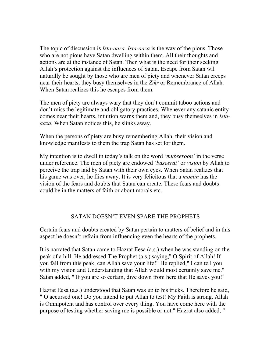The topic of discussion is *Ista-aaza. Ista-aaza* is the way of the pious. Those who are not pious have Satan dwelling within them. All their thoughts and actions are at the instance of Satan. Then what is the need for their seeking Allah's protection against the influences of Satan. Escape from Satan wil naturally be sought by those who are men of piety and whenever Satan creeps near their hearts, they busy themselves in the *Zikr* or Remembrance of Allah. When Satan realizes this he escapes from them.

The men of piety are always wary that they don't commit taboo actions and don't miss the legitimate and obligatory practices. Whenever any satanic entity comes near their hearts, intuition warns them and, they busy themselves in *Istaaaza.* When Satan notices this, he slinks away.

When the persons of piety are busy remembering Allah, their vision and knowledge manifests to them the trap Satan has set for them.

My intention is to dwell in today's talk on the word '*mubseroon'* in the verse under reference. The men of piety are endowed '*baseerat'* or *vision* by Allah to perceive the trap laid by Satan with their own eyes. When Satan realizes that his game was over, he flies away. It is very felicitous that a *momin* has the vision of the fears and doubts that Satan can create. These fears and doubts could be in the matters of faith or about morals etc.

### SATAN DOESN'T EVEN SPARE THE PROPHETS

Certain fears and doubts created by Satan pertain to matters of belief and in this aspect he doesn't refrain from influencing even the hearts of the prophets.

It is narrated that Satan came to Hazrat Eesa (a.s.) when he was standing on the peak of a hill. He addressed The Prophet (a.s.) saying," O Spirit of Allah! If you fall from this peak, can Allah save your life!" He replied," I can tell you with my vision and Understanding that Allah would most certainly save me." Satan added, " If you are so certain, dive down from here that He saves you!"

Hazrat Eesa (a.s.) understood that Satan was up to his tricks. Therefore he said, " O accursed one! Do you intend to put Allah to test! My Faith is strong. Allah is Omnipotent and has control over every thing. You have come here with the purpose of testing whether saving me is possible or not." Hazrat also added, "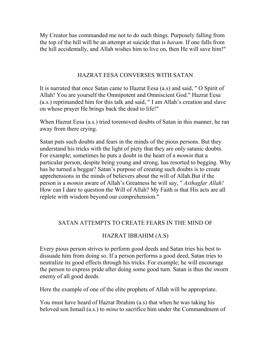My Creator has commanded me not to do such things. Purposely falling from the top of the hill will be an attempt at suicide that is *haram.* If one falls from the hill accidentally, and Allah wishes him to live on, then He will save him!"

#### HAZRAT EESA CONVERSES WITH SATAN

It is narrated that once Satan came to Hazrat Eesa (a.s) and said, " O Spirit of Allah! You are yourself the Omnipotent and Omniscient God." Hazrat Eesa (a.s.) reprimanded him for this talk and said, " I am Allah's creation and slave on whose prayer He brings back the dead to life!"

When Hazrat Eesa (a.s.) tried toremoved doubts of Satan in this manner, he ran away from there crying.

Satan puts such doubts and fears in the minds of the pious persons. But they understand his tricks with the light of piety that they are only satanic doubts. For example; sometimes he puts a doubt in the heart of a *momin* that a particular person, despite being young and strong, has resorted to begging. Why has he turned a beggar? Satan's purpose of creating such doubts is to create apprehensions in the minds of believers about the will of Allah.But if the person is a *momin* aware of Allah's Greatness he will say, " *Asthagfar Allah!*  How can I dare to question the Will of Allah? My Faith is that His acts are all replete with wisdom beyond our comprehension."

### SATAN ATTEMPTS TO CREATE FEARS IN THE MIND OF

# HAZRAT IBRAHIM (A.S)

Every pious person strives to perform good deeds and Satan tries his best to dissuade him from doing so. If a person performs a good deed, Satan tries to neutralize its good effects through his tricks. For example; he will encourage the person to express pride after doing some good turn. Satan is thus the sworn enemy of all good deeds.

Here the example of one of the elite prophets of Allah will be appropriate.

You must have heard of Hazrat Ibrahim (a.s) that when he was taking his beloved son Ismail (a.s.) to *mina* to sacrifice him under the Commandment of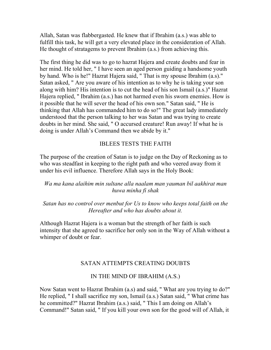Allah, Satan was flabbergasted. He knew that if Ibrahim (a.s.) was able to fulfill this task, he will get a very elevated place in the consideration of Allah. He thought of stratagems to prevent Ibrahim (a.s.) from achieving this.

The first thing he did was to go to hazrat Hajera and create doubts and fear in her mind. He told her, " I have seen an aged person guiding a handsome youth by hand. Who is he!" Hazrat Hajera said, " That is my spouse Ibrahim (a.s)." Satan asked, " Are you aware of his intention as to why he is taking your son along with him? His intention is to cut the head of his son Ismail (a.s.)" Hazrat Hajera replied, " Ibrahim (a.s.) has not harmed even his sworn enemies. How is it possible that he will sever the head of his own son." Satan said, " He is thinking that Allah has commanded him to do so!" The great lady immediately understood that the person talking to her was Satan and was trying to create doubts in her mind. She said, " O accursed creature! Run away! If what he is doing is under Allah's Command then we abide by it."

## IBLEES TESTS THE FAITH

The purpose of the creation of Satan is to judge on the Day of Reckoning as to who was steadfast in keeping to the right path and who veered away from it under his evil influence. Therefore Allah says in the Holy Book:

#### *Wa ma kana alaihim min sultane alla naalam man yauman bil aakhirat man huwa minha fi shak*

#### *Satan has no control over menbut for Us to know who keeps total faith on the Hereafter and who has doubts about it.*

Although Hazrat Hajera is a woman but the strength of her faith is such intensity that she agreed to sacrifice her only son in the Way of Allah without a whimper of doubt or fear.

### SATAN ATTEMPTS CREATING DOUBTS

### IN THE MIND OF IBRAHIM (A.S.)

Now Satan went to Hazrat Ibrahim (a.s) and said, " What are you trying to do?" He replied, " I shall sacrifice my son, Ismail (a.s.) Satan said, " What crime has he committed?" Hazrat Ibrahim (a.s.) said, " This I am doing on Allah's Command!" Satan said, " If you kill your own son for the good will of Allah, it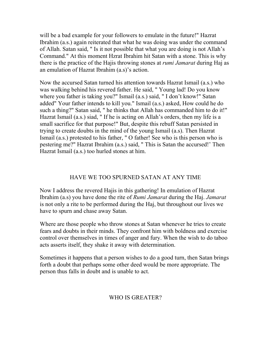will be a bad example for your followers to emulate in the future!" Hazrat Ibrahim (a.s.) again reiterated that what he was doing was under the command of Allah. Satan said, " Is it not possible that what you are doing is not Allah's Command." At this moment Hzrat Ibrahim hit Satan with a stone. This is why there is the practice of the Hajis throwing stones at *rumi Jamarat* during Haj as an emulation of Hazrat Ibrahim (a.s)'s action.

Now the accursed Satan turned his attention towards Hazrat Ismail (a.s.) who was walking behind his revered father. He said, " Young lad! Do you know where you father is taking you?" Ismail (a.s.) said, "I don't know!" Satan added" Your father intends to kill you." Ismail (a.s.) asked, How could he do such a thing?" Satan said, " he thinks that Allah has commanded him to do it!" Hazrat Ismail (a.s.) siad, " If he is acting on Allah's orders, then my life is a small sacrifice for that purpose!" But, despite this rebuff Satan persisted in trying to create doubts in the mind of the young Ismail (a.s). Then Hazrat Ismail (a.s.) protested to his father, " O father! See who is this person who is pestering me?" Hazrat Ibrahim (a.s.) said, " This is Satan the accursed!' Then Hazrat Ismail (a.s.) too hurled stones at him.

# HAVE WE TOO SPURNED SATAN AT ANY TIME

Now I address the revered Hajis in this gathering! In emulation of Hazrat Ibrahim (a.s) you have done the rite of *Rumi Jamarat* during the Haj. *Jamarat*  is not only a rite to be performed during the Haj, but throughout our lives we have to spurn and chase away Satan.

Where are those people who throw stones at Satan whenever he tries to create fears and doubts in their minds. They confront him with boldness and exercise control over themselves in times of anger and fury. When the wish to do taboo acts asserts itself, they shake it away with determination.

Sometimes it happens that a person wishes to do a good turn, then Satan brings forth a doubt that perhaps some other deed would be more appropriate. The person thus falls in doubt and is unable to act.

# WHO IS GREATER?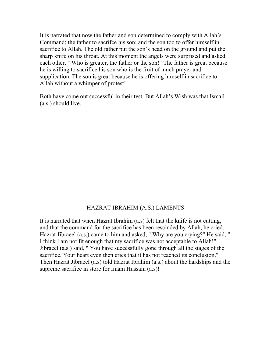It is narrated that now the father and son determined to comply with Allah's Command; the father to sacrifce his son; and the son too to offer himself in sacrifice to Allah. The old father put the son's head on the ground and put the sharp knife on his throat. At this moment the angels were surprised and asked each other, " Who is greater, the father or the son!" The father is great because he is willing to sacrifice his son who is the fruit of much prayer and supplication. The son is great because he is offering himself in sacrifice to Allah without a whimper of protest!

Both have come out successful in their test. But Allah's Wish was that Ismail (a.s.) should live.

### HAZRAT IBRAHIM (A.S.) LAMENTS

It is narrated that when Hazrat Ibrahim (a.s) felt that the knife is not cutting, and that the command for the sacrifice has been rescinded by Allah, he cried. Hazrat Jibraeel (a.s.) came to him and asked, " Why are you crying?" He said, " I think I am not fit enough that my sacrifice was not acceptable to Allah!" Jibraeel (a.s.) said, " You have successfully gone through all the stages of the sacrifice. Your heart even then cries that it has not reached its conclusion." Then Hazrat Jibraeel (a.s) told Hazrat Ibrahim (a.s.) about the hardships and the supreme sacrifice in store for Imam Hussain (a.s)!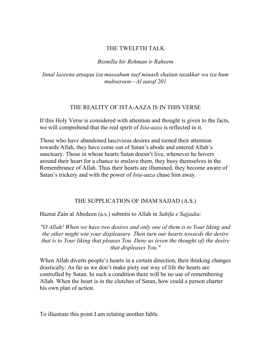#### THE TWELFTH TALK

#### *Bismilla hir Rehman ir Raheem*

*Innal lazeena attaqau iza massahum taef minash shaitan tazakkar wa iza hum mubseroon—Al aaraf 201* 

#### THE REALITY OF ISTA-AAZA IS IN THIS VERSE

If this Holy Verse is considered with attention and thought is given to the facts, we will comprehend that the real spirit of *Ista-aaza* is reflected in it.

Those who have abandoned lascivious desires and turned their attention towards Allah, they have come out of Satan's abode and entered Allah's sanctuary. Those in whose hearts Satan doesn't live, whenever he hovers around their heart for a chance to enslave them, they busy themselves in the Remembrance of Allah. Thus their hearts are illumined, they become aware of Satan's trickery and with the power of *Ista-aaza* chase him away.

#### THE SUPPLICATION OF IMAM SAJJAD (A.S.)

Hazrat Zain al Abedeen (a.s.) submits to Allah in *Sahifa e Sajjadia:* 

*"O Allah! When we have two desires and only one of them is to Your liking and the other might win your displeasure. Then turn our hearts towards the desire that is to Your liking that pleases You. Deny us (even the thought of) the desire that displeases You."* 

When Allah diverts people's hearts in a certain direction, their thinking changes drastically. As far as we don't make piety our way of life the hearts are controlled by Satan. In such a condition there will be no use of remembering Allah. When the heart is in the clutches of Satan, how could a person charter his own plan of action.

To illustrate this point I am relating another fable.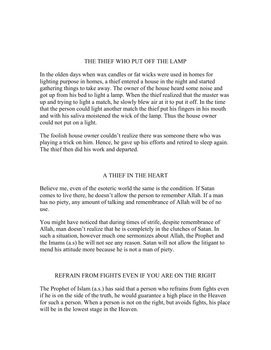#### THE THIEF WHO PUT OFF THE LAMP

In the olden days when wax candles or fat wicks were used in homes for lighting purpose in homes, a thief entered a house in the night and started gathering things to take away. The owner of the house heard some noise and got up from his bed to light a lamp. When the thief realized that the master was up and trying to light a match, he slowly blew air at it to put it off. In the time that the person could light another match the thief put his fingers in his mouth and with his saliva moistened the wick of the lamp. Thus the house owner could not put on a light.

The foolish house owner couldn't realize there was someone there who was playing a trick on him. Hence, he gave up his efforts and retired to sleep again. The thief then did his work and departed.

#### A THIEF IN THE HEART

Believe me, even of the esoteric world the same is the condition. If Satan comes to live there, he doesn't allow the person to remember Allah. If a man has no piety, any amount of talking and remembrance of Allah will be of no use.

You might have noticed that during times of strife, despite remembrance of Allah, man doesn't realize that he is completely in the clutches of Satan. In such a situation, however much one sermonizes about Allah, the Prophet and the Imams (a.s) he will not see any reason. Satan will not allow the litigant to mend his attitude more because he is not a man of piety.

#### REFRAIN FROM FIGHTS EVEN IF YOU ARE ON THE RIGHT

The Prophet of Islam (a.s.) has said that a person who refrains from fights even if he is on the side of the truth, he would guarantee a high place in the Heaven for such a person. When a person is not on the right, but avoids fights, his place will be in the lowest stage in the Heaven.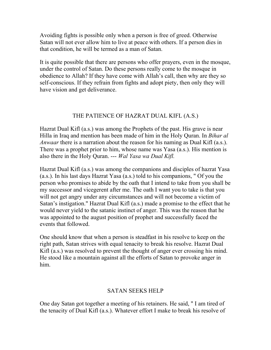Avoiding fights is possible only when a person is free of greed. Otherwise Satan will not ever allow him to live at peace with others. If a person dies in that condition, he will be termed as a man of Satan.

It is quite possible that there are persons who offer prayers, even in the mosque, under the control of Satan. Do these persons really come to the mosque in obedience to Allah? If they have come with Allah's call, then why are they so self-conscious. If they refrain from fights and adopt piety, then only they will have vision and get deliverance.

#### THE PATIENCE OF HAZRAT DUAL KIFL (A.S.)

Hazrat Dual Kifl (a.s.) was among the Prophets of the past. His grave is near Hilla in Iraq and mention has been made of him in the Holy Quran. In *Bihar al Anwaar* there is a narration about the reason for his naming as Dual Kifl (a.s.). There was a prophet prior to him, whose name was Yasa (a.s.). His mention is also there in the Holy Quran. --- *Wal Yasa wa Dual Kifl.* 

Hazrat Dual Kifl (a.s.) was among the companions and disciples of hazrat Yasa (a.s.). In his last days Hazrat Yasa (a.s.) told to his companions, " Of you the person who promises to abide by the oath that I intend to take from you shall be my successor and vicegerent after me. The oath I want you to take is that you will not get angry under any circumstances and will not become a victim of Satan's instigation." Hazrat Dual Kifl (a.s.) made a promise to the effect that he would never yield to the satanic instinct of anger. This was the reason that he was appointed to the august position of prophet and successfully faced the events that followed.

One should know that when a person is steadfast in his resolve to keep on the right path, Satan strives with equal tenacity to break his resolve. Hazrat Dual Kifl (a.s.) was resolved to prevent the thought of anger ever crossing his mind. He stood like a mountain against all the efforts of Satan to provoke anger in him.

#### SATAN SEEKS HELP

One day Satan got together a meeting of his retainers. He said, " I am tired of the tenacity of Dual Kifl (a.s.). Whatever effort I make to break his resolve of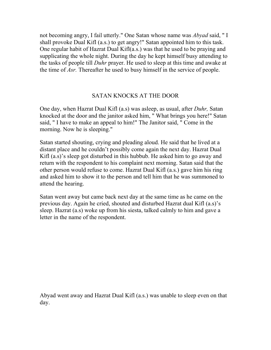not becoming angry, I fail utterly." One Satan whose name was *Abyad* said, " I shall provoke Dual Kifl (a.s.) to get angry!" Satan appointed him to this task. One regular habit of Hazrat Dual Kifl(a.s.) was that he used to be praying and supplicating the whole night. During the day he kept himself busy attending to the tasks of people till *Duhr* prayer. He used to sleep at this time and awake at the time of *Asr.* Thereafter he used to busy himself in the service of people.

#### SATAN KNOCKS AT THE DOOR

One day, when Hazrat Dual Kifl (a.s) was asleep, as usual, after *Duhr,* Satan knocked at the door and the janitor asked him, " What brings you here!" Satan said, " I have to make an appeal to him!" The Janitor said, " Come in the morning. Now he is sleeping."

Satan started shouting, crying and pleading aloud. He said that he lived at a distant place and he couldn't possibly come again the next day. Hazrat Dual Kifl (a.s)'s sleep got disturbed in this hubbub. He asked him to go away and return with the respondent to his complaint next morning. Satan said that the other person would refuse to come. Hazrat Dual Kifl (a.s.) gave him his ring and asked him to show it to the person and tell him that he was summoned to attend the hearing.

Satan went away but came back next day at the same time as he came on the previous day. Again he cried, shouted and disturbed Hazrat dual Kifl (a.s)'s sleep. Hazrat (a.s) woke up from his siesta, talked calmly to him and gave a letter in the name of the respondent.

Abyad went away and Hazrat Dual Kifl (a.s.) was unable to sleep even on that day.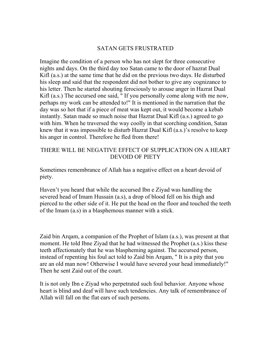#### SATAN GETS FRUSTRATED

Imagine the condition of a person who has not slept for three consecutive nights and days. On the third day too Satan came to the door of hazrat Dual Kifl (a.s.) at the same time that he did on the previous two days. He disturbed his sleep and said that the respondent did not bother to give any cognizance to his letter. Then he started shouting ferociously to arouse anger in Hazrat Dual Kifl (a.s.) The accursed one said, " If you personally come along with me now, perhaps my work can be attended to!" It is mentioned in the narration that the day was so hot that if a piece of meat was kept out, it would become a kebab instantly. Satan made so much noise that Hazrat Dual Kifl (a.s.) agreed to go with him. When he traversed the way coolly in that scorching condition, Satan knew that it was impossible to disturb Hazrat Dual Kifl (a.s.)'s resolve to keep his anger in control. Therefore he fled from there!

#### THERE WILL BE NEGATIVE EFFECT OF SUPPLICATION ON A HEART DEVOID OF PIETY

Sometimes remembrance of Allah has a negative effect on a heart devoid of piety.

Haven't you heard that while the accursed Ibn e Ziyad was handling the severed head of Imam Hussain (a.s), a drop of blood fell on his thigh and pierced to the other side of it. He put the head on the floor and touched the teeth of the Imam (a.s) in a blasphemous manner with a stick.

Zaid bin Arqam, a companion of the Prophet of Islam (a.s.), was present at that moment. He told Ibne Ziyad that he had witnessed the Prophet (a.s.) kiss these teeth affectionately that he was blaspheming against. The accursed person, instead of repenting his foul act told to Zaid bin Arqam, " It is a pity that you are an old man now! Otherwise I would have severed your head immediately!" Then he sent Zaid out of the court.

It is not only Ibn e Ziyad who perpetrated such foul behavior. Anyone whose heart is blind and deaf will have such tendencies. Any talk of remembrance of Allah will fall on the flat ears of such persons.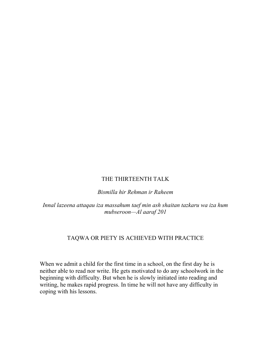#### THE THIRTEENTH TALK

*Bismilla hir Rehman ir Raheem* 

*Innal lazeena attaqau iza massahum taef min ash shaitan tazkaru wa iza hum mubseroon—Al aaraf 201* 

#### TAQWA OR PIETY IS ACHIEVED WITH PRACTICE

When we admit a child for the first time in a school, on the first day he is neither able to read nor write. He gets motivated to do any schoolwork in the beginning with difficulty. But when he is slowly initiated into reading and writing, he makes rapid progress. In time he will not have any difficulty in coping with his lessons.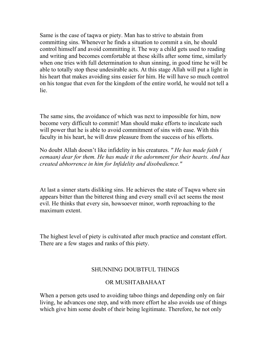Same is the case of taqwa or piety. Man has to strive to abstain from committing sins. Whenever he finds a situation to commit a sin, he should control himself and avoid committing it. The way a child gets used to reading and writing and becomes comfortable at these skills after some time, similarly when one tries with full determination to shun sinning, in good time he will be able to totally stop these undesirable acts. At this stage Allah will put a light in his heart that makes avoiding sins easier for him. He will have so much control on his tongue that even for the kingdom of the entire world, he would not tell a lie.

The same sins, the avoidance of which was next to impossible for him, now become very difficult to commit! Man should make efforts to inculcate such will power that he is able to avoid commitment of sins with ease. With this faculty in his heart, he will draw pleasure from the success of his efforts.

No doubt Allah doesn't like infidelity in his creatures. *" He has made faith ( eemaan) dear for them. He has made it the adornment for their hearts. And has created abhorrence in him for Infidelity and disobedience."* 

At last a sinner starts disliking sins. He achieves the state of Taqwa where sin appears bitter than the bitterest thing and every small evil act seems the most evil. He thinks that every sin, howsoever minor, worth reproaching to the maximum extent.

The highest level of piety is cultivated after much practice and constant effort. There are a few stages and ranks of this piety.

#### SHUNNING DOUBTFUL THINGS

#### OR MUSHTABAHAAT

When a person gets used to avoiding taboo things and depending only on fair living, he advances one step, and with more effort he also avoids use of things which give him some doubt of their being legitimate. Therefore, he not only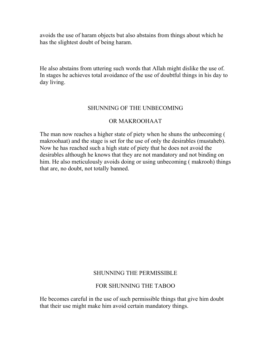avoids the use of haram objects but also abstains from things about which he has the slightest doubt of being haram.

He also abstains from uttering such words that Allah might dislike the use of. In stages he achieves total avoidance of the use of doubtful things in his day to day living.

#### SHUNNING OF THE UNBECOMING

#### OR MAKROOHAAT

The man now reaches a higher state of piety when he shuns the unbecoming ( makroohaat) and the stage is set for the use of only the desirables (mustaheb). Now he has reached such a high state of piety that he does not avoid the desirables although he knows that they are not mandatory and not binding on him. He also meticulously avoids doing or using unbecoming ( makrooh) things that are, no doubt, not totally banned.

#### SHUNNING THE PERMISSIBLE

#### FOR SHUNNING THE TABOO

He becomes careful in the use of such permissible things that give him doubt that their use might make him avoid certain mandatory things.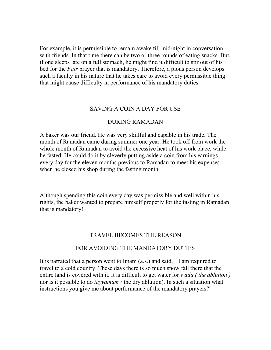For example, it is permissible to remain awake till mid-night in conversation with friends. In that time there can be two or three rounds of eating snacks. But, if one sleeps late on a full stomach, he might find it difficult to stir out of his bed for the *Fajr* prayer that is mandatory. Therefore, a pious person develops such a faculty in his nature that he takes care to avoid every permissible thing that might cause difficulty in performance of his mandatory duties.

#### SAVING A COIN A DAY FOR USE

#### DURING RAMADAN

A baker was our friend. He was very skillful and capable in his trade. The month of Ramadan came during summer one year. He took off from work the whole month of Ramadan to avoid the excessive heat of his work place, while he fasted. He could do it by cleverly putting aside a coin from his earnings every day for the eleven months previous to Ramadan to meet his expenses when he closed his shop during the fasting month.

Although spending this coin every day was permissible and well within his rights, the baker wanted to prepare himself properly for the fasting in Ramadan that is mandatory!

#### TRAVEL BECOMES THE REASON

#### FOR AVOIDING THE MANDATORY DUTIES

It is narrated that a person went to Imam (a.s.) and said, " I am required to travel to a cold country. These days there is so much snow fall there that the entire land is covered with it. It is difficult to get water for *wadu ( the ablution )*  nor is it possible to do *tayyamum (* the dry ablution). In such a situation what instructions you give me about performance of the mandatory prayers?"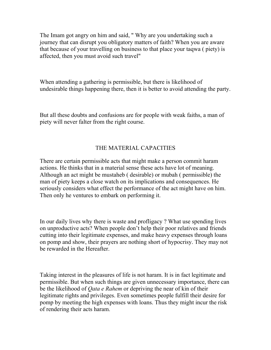The Imam got angry on him and said, " Why are you undertaking such a journey that can disrupt you obligatory matters of faith? When you are aware that because of your travelling on business to that place your taqwa ( piety) is affected, then you must avoid such travel"

When attending a gathering is permissible, but there is likelihood of undesirable things happening there, then it is better to avoid attending the party.

But all these doubts and confusions are for people with weak faiths, a man of piety will never falter from the right course.

## THE MATERIAL CAPACITIES

There are certain permissible acts that might make a person commit haram actions. He thinks that in a material sense these acts have lot of meaning. Although an act might be mustaheb ( desirable) or mubah ( permissible) the man of piety keeps a close watch on its implications and consequences. He seriously considers what effect the performance of the act might have on him. Then only he ventures to embark on performing it.

In our daily lives why there is waste and profligacy ? What use spending lives on unproductive acts? When people don't help their poor relatives and friends cutting into their legitimate expenses, and make heavy expenses through loans on pomp and show, their prayers are nothing short of hypocrisy. They may not be rewarded in the Hereafter.

Taking interest in the pleasures of life is not haram. It is in fact legitimate and permissible. But when such things are given unnecessary importance, there can be the likelihood of *Qata e Rahem* or depriving the near of kin of their legitimate rights and privileges. Even sometimes people fulfill their desire for pomp by meeting the high expenses with loans. Thus they might incur the risk of rendering their acts haram.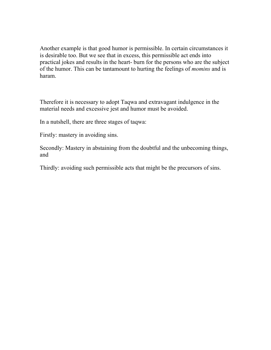Another example is that good humor is permissible. In certain circumstances it is desirable too. But we see that in excess, this permissible act ends into practical jokes and results in the heart- burn for the persons who are the subject of the humor. This can be tantamount to hurting the feelings of *momins* and is haram.

Therefore it is necessary to adopt Taqwa and extravagant indulgence in the material needs and excessive jest and humor must be avoided.

In a nutshell, there are three stages of taqwa:

Firstly: mastery in avoiding sins.

Secondly: Mastery in abstaining from the doubtful and the unbecoming things, and

Thirdly: avoiding such permissible acts that might be the precursors of sins.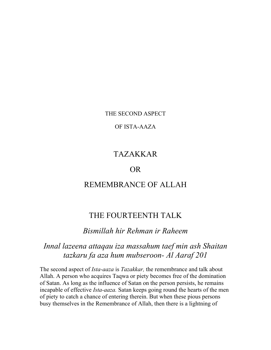THE SECOND ASPECT

OF ISTA-AAZA

## TAZAKKAR

## OR

## REMEMBRANCE OF ALLAH

## THE FOURTEENTH TALK

## *Bismillah hir Rehman ir Raheem*

## *Innal lazeena attaqau iza massahum taef min ash Shaitan tazkaru fa aza hum mubseroon- Al Aaraf 201*

The second aspect of *Ista-aaza* is *Tazakkar,* the remembrance and talk about Allah. A person who acquires Taqwa or piety becomes free of the domination of Satan. As long as the influence of Satan on the person persists, he remains incapable of effective *Ista-aaza.* Satan keeps going round the hearts of the men of piety to catch a chance of entering therein. But when these pious persons busy themselves in the Remembrance of Allah, then there is a lightning of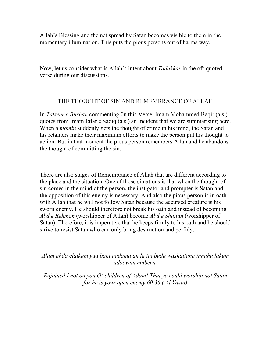Allah's Blessing and the net spread by Satan becomes visible to them in the momentary illumination. This puts the pious persons out of harms way.

Now, let us consider what is Allah's intent about *Tadakkar* in the oft-quoted verse during our discussions.

#### THE THOUGHT OF SIN AND REMEMBRANCE OF ALLAH

In *Tafseer e Burhan* commenting 0n this Verse, Imam Mohammed Baqir (a.s.) quotes from Imam Jafar e Sadiq (a.s.) an incident that we are summarising here. When a *momin* suddenly gets the thought of crime in his mind, the Satan and his retainers make their maximum efforts to make the person put his thought to action. But in that moment the pious person remembers Allah and he abandons the thought of committing the sin.

There are also stages of Remembrance of Allah that are different according to the place and the situation. One of those situations is that when the thought of sin comes in the mind of the person, the instigator and prompter is Satan and the opposition of this enemy is necessary. And also the pious person is in oath with Allah that he will not follow Satan because the accursed creature is his sworn enemy. He should therefore not break his oath and instead of becoming *Abd e Rehman* (worshipper of Allah) become *Abd e Shaitan* (worshipper of Satan). Therefore, it is imperative that he keeps firmly to his oath and he should strive to resist Satan who can only bring destruction and perfidy.

#### *Alam ahda elaikum yaa bani aadama an la taabudu washaitana innahu lakum adoowun mubeen.*

*Enjoined I not on you O' children of Adam! That ye could worship not Satan for he is your open enemy.60.36 ( Al Yasin)*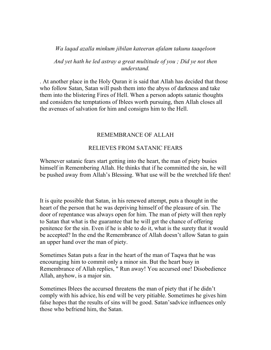#### *Wa laqad azalla minkum jibilan kateeran afalam takunu taaqeloon*

*And yet hath he led astray a great multitude of you ; Did ye not then understand.* 

. At another place in the Holy Quran it is said that Allah has decided that those who follow Satan, Satan will push them into the abyss of darkness and take them into the blistering Fires of Hell. When a person adopts satanic thoughts and considers the temptations of Iblees worth pursuing, then Allah closes all the avenues of salvation for him and consigns him to the Hell.

#### REMEMBRANCE OF ALLAH

#### RELIEVES FROM SATANIC FEARS

Whenever satanic fears start getting into the heart, the man of piety busies himself in Remembering Allah. He thinks that if he committed the sin, he will be pushed away from Allah's Blessing. What use will be the wretched life then!

It is quite possible that Satan, in his renewed attempt, puts a thought in the heart of the person that he was depriving himself of the pleasure of sin. The door of repentance was always open for him. The man of piety will then reply to Satan that what is the guarantee that he will get the chance of offering penitence for the sin. Even if he is able to do it, what is the surety that it would be accepted? In the end the Remembrance of Allah doesn't allow Satan to gain an upper hand over the man of piety.

Sometimes Satan puts a fear in the heart of the man of Taqwa that he was encouraging him to commit only a minor sin. But the heart busy in Remembrance of Allah replies, " Run away! You accursed one! Disobedience Allah, anyhow, is a major sin.

Sometimes Iblees the accursed threatens the man of piety that if he didn't comply with his advice, his end will be very pitiable. Sometimes he gives him false hopes that the results of sins will be good. Satan'sadvice influences only those who befriend him, the Satan.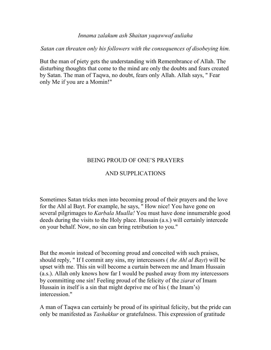#### *Innama zalakum ash Shaitan yaqawwaf auliaha*

*Satan can threaten only his followers with the consequences of disobeying him.* 

But the man of piety gets the understanding with Remembrance of Allah. The disturbing thoughts that come to the mind are only the doubts and fears created by Satan. The man of Taqwa, no doubt, fears only Allah. Allah says, " Fear only Me if you are a Momin!"

#### BEING PROUD OF ONE'S PRAYERS

#### AND SUPPLICATIONS

Sometimes Satan tricks men into becoming proud of their prayers and the love for the Ahl al Bayt. For example, he says, " How nice! You have gone on several pilgrimages to *Karbala Mualla!* You must have done innumerable good deeds during the visits to the Holy place. Hussain (a.s.) will certainly intercede on your behalf. Now, no sin can bring retribution to you."

But the *momin* instead of becoming proud and conceited with such praises, should reply, " If I commit any sins, my intercessors ( *the Ahl al Bayt*) will be upset with me. This sin will become a curtain between me and Imam Hussain (a.s.). Allah only knows how far I would be pushed away from my intercessors by committing one sin! Feeling proud of the felicity of the *ziarat* of Imam Hussain in itself is a sin that might deprive me of his ( the Imam's) intercession."

A man of Taqwa can certainly be proud of its spiritual felicity, but the pride can only be manifested as *Tashakkur* or gratefulness. This expression of gratitude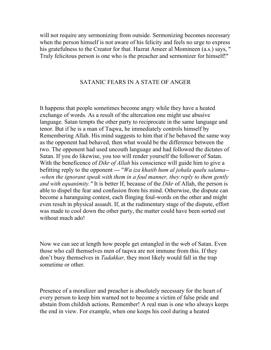will not require any sermonizing from outside. Sermonizing becomes necessary when the person himself is not aware of his felicity and feels no urge to express his gratefulness to the Creator for that. Hazrat Ameer al Momineen (a.s.) says, " Truly felicitous person is one who is the preacher and sermonizer for himself!"

#### SATANIC FEARS IN A STATE OF ANGER

It happens that people sometimes become angry while they have a heated exchange of words. As a result of the altercation one might use abusive language. Satan tempts the other party to reciprocate in the same language and tenor. But if he is a man of Taqwa, he immediately controls himself by Remembering Allah. His mind suggests to him that if he behaved the same way as the opponent had behaved, then what would be the difference between the two. The opponent had used uncouth language and had followed the dictates of Satan. If you do likewise, you too will render yourself the follower of Satan. With the beneficence of *Dikr of Allah* his conscience will guide him to give a befitting reply to the opponent --- "*Wa iza khatib hum al johala qaalu salama-- -when the ignorant speak with them in a foul manner, they reply to them gently and with equanimity."* It is better If, because of the *Dikr* of Allah, the person is able to dispel the fear and confusion from his mind. Otherwise, the dispute can become a haranguing contest, each flinging foul-words on the other and might even result in physical assault. If, at the rudimentary stage of the dispute, effort was made to cool down the other party, the matter could have been sorted out without much ado!

Now we can see at length how people get entangled in the web of Satan. Even those who call themselves men of taqwa are not immune from this. If they don't busy themselves in *Tadakkar,* they most likely would fall in the trap sometime or other.

Presence of a moralizer and preacher is absolutely necessary for the heart of every person to keep him warned not to become a victim of false pride and abstain from childish actions. Remember! A real man is one who always keeps the end in view. For example, when one keeps his cool during a heated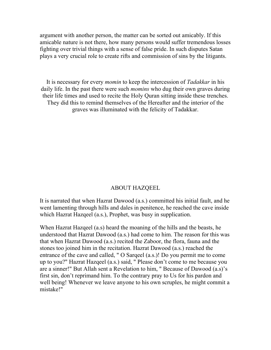argument with another person, the matter can be sorted out amicably. If this amicable nature is not there, how many persons would suffer tremendous losses fighting over trivial things with a sense of false pride. In such disputes Satan plays a very crucial role to create rifts and commission of sins by the litigants.

It is necessary for every *momin* to keep the intercession of *Tadakkar* in his daily life. In the past there were such *momins* who dug their own graves during their life times and used to recite the Holy Quran sitting inside these trenches. They did this to remind themselves of the Hereafter and the interior of the graves was illuminated with the felicity of Tadakkar.

#### ABOUT HAZQEEL

It is narrated that when Hazrat Dawood (a.s.) committed his initial fault, and he went lamenting through hills and dales in penitence, he reached the cave inside which Hazrat Hazqeel (a.s.), Prophet, was busy in supplication.

When Hazrat Hazqeel (a.s) heard the moaning of the hills and the beasts, he understood that Hazrat Dawood (a.s.) had come to him. The reason for this was that when Hazrat Dawood (a.s.) recited the Zaboor, the flora, fauna and the stones too joined him in the recitation. Hazrat Dawood (a.s.) reached the entrance of the cave and called, " O Sarqeel (a.s.)! Do you permit me to come up to you?" Hazrat Hazqeel (a.s.) said, " Please don't come to me because you are a sinner!" But Allah sent a Revelation to him, " Because of Dawood (a.s)'s first sin, don't reprimand him. To the contrary pray to Us for his pardon and well being! Whenever we leave anyone to his own scruples, he might commit a mistake!"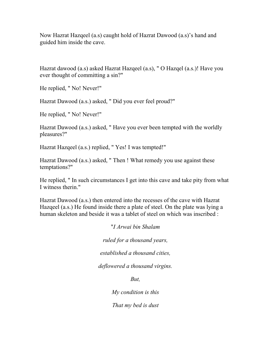Now Hazrat Hazqeel (a.s) caught hold of Hazrat Dawood (a.s)'s hand and guided him inside the cave.

Hazrat dawood (a.s) asked Hazrat Hazqeel (a.s), " O Hazqel (a.s.)! Have you ever thought of committing a sin?"

He replied, " No! Never!"

Hazrat Dawood (a.s.) asked, " Did you ever feel proud?"

He replied, " No! Never!"

Hazrat Dawood (a.s.) asked, " Have you ever been tempted with the worldly pleasures?"

Hazrat Hazqeel (a.s.) replied, " Yes! I was tempted!"

Hazrat Dawood (a.s.) asked, " Then ! What remedy you use against these temptations?"

He replied, " In such circumstances I get into this cave and take pity from what I witness therin."

Hazrat Dawood (a.s.) then entered into the recesses of the cave with Hazrat Hazqeel (a.s.) He found inside there a plate of steel. On the plate was lying a human skeleton and beside it was a tablet of steel on which was inscribed :

"*I Arwai bin Shalam* 

*ruled for a thousand years,* 

*established a thousand cities,* 

*deflowered a thousand virgins.* 

*But,* 

*My condition is this* 

*That my bed is dust*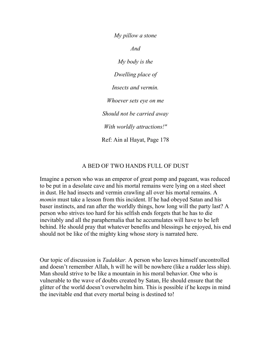*My pillow a stone And My body is the Dwelling place of Insects and vermin. Whoever sets eye on me Should not be carried away With worldly attractions!"*  Ref: Ain al Hayat, Page 178

#### A BED OF TWO HANDS FULL OF DUST

Imagine a person who was an emperor of great pomp and pageant, was reduced to be put in a desolate cave and his mortal remains were lying on a steel sheet in dust. He had insects and vermin crawling all over his mortal remains. A *momin* must take a lesson from this incident. If he had obeyed Satan and his baser instincts, and ran after the worldly things, how long will the party last? A person who strives too hard for his selfish ends forgets that he has to die inevitably and all the paraphernalia that he accumulates will have to be left behind. He should pray that whatever benefits and blessings he enjoyed, his end should not be like of the mighty king whose story is narrated here.

Our topic of discussion is *Tadakkar.* A person who leaves himself uncontrolled and doesn't remember Allah, h will he will be nowhere (like a rudder less ship). Man should strive to be like a mountain in his moral behavior. One who is vulnerable to the wave of doubts created by Satan, He should ensure that the glitter of the world doesn't overwhelm him. This is possible if he keeps in mind the inevitable end that every mortal being is destined to!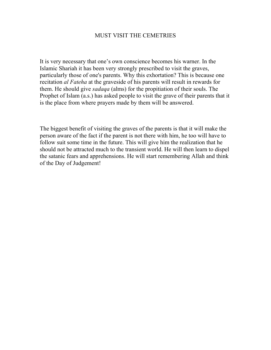#### MUST VISIT THE CEMETRIES

It is very necessary that one's own conscience becomes his warner. In the Islamic Shariah it has been very strongly prescribed to visit the graves, particularly those of one's parents. Why this exhortation? This is because one recitation *al Fateha* at the graveside of his parents will result in rewards for them. He should give *sadaqa* (alms) for the propitiation of their souls. The Prophet of Islam (a.s.) has asked people to visit the grave of their parents that it is the place from where prayers made by them will be answered.

The biggest benefit of visiting the graves of the parents is that it will make the person aware of the fact if the parent is not there with him, he too will have to follow suit some time in the future. This will give him the realization that he should not be attracted much to the transient world. He will then learn to dispel the satanic fears and apprehensions. He will start remembering Allah and think of the Day of Judgement!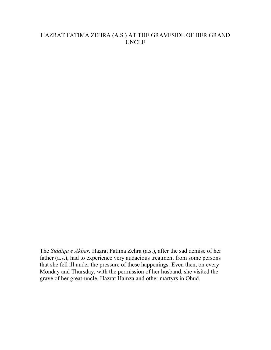#### HAZRAT FATIMA ZEHRA (A.S.) AT THE GRAVESIDE OF HER GRAND UNCLE

The *Siddiqa e Akbar,* Hazrat Fatima Zehra (a.s.), after the sad demise of her father (a.s.), had to experience very audacious treatment from some persons that she fell ill under the pressure of these happenings. Even then, on every Monday and Thursday, with the permission of her husband, she visited the grave of her great-uncle, Hazrat Hamza and other martyrs in Ohud.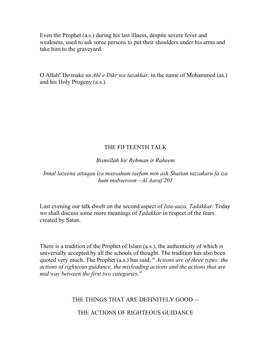Even the Prophet (a.s.) during his last illness, despite severe fever and weakness, used to ask some persons to put their shoulders under his arms and take him to the graveyard.

O Allah! Do make us *Ahl e Dikr wa tazakkar,* in the name of Mohammed (as.) and his Holy Progeny (a.s.).

## THE FIFTEENTH TALK

*Bismillah hir Rehman ir Raheem* 

*Innal lazeena attaqau iza massahum taefum min ash Shaitan tazzakaru fa iza hum mubseroon—Al Aaraf 201* 

Last evening our talk dwelt on the second aspect of *Ista-aaza, Tadakkar.* Today we shall discuss some more meanings of *Tadakkar* in respect of the fears created by Satan.

There is a tradition of the Prophet of Islam (a.s.), the authenticity of which is universally accepted by all the schools of thought. The tradition has also been quoted very much. The Prophet (a.s.) has said, " *Actions are of three types: the actions of righteous guidance, the misleading actions and the actions that are mid way between the first two categories."* 

## THE THINGS THAT ARE DEFINITELY GOOD—

THE ACTIONS OF RIGHTEOUS GUIDANCE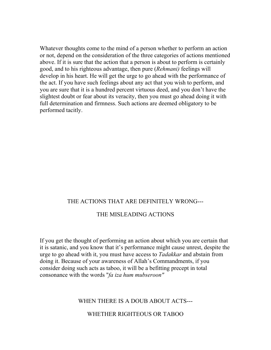Whatever thoughts come to the mind of a person whether to perform an action or not, depend on the consideration of the three categories of actions mentioned above. If it is sure that the action that a person is about to perform is certainly good, and to his righteous advantage, then pure (*Rehmani)* feelings will develop in his heart. He will get the urge to go ahead with the performance of the act. If you have such feelings about any act that you wish to perform, and you are sure that it is a hundred percent virtuous deed, and you don't have the slightest doubt or fear about its veracity, then you must go ahead doing it with full determination and firmness. Such actions are deemed obligatory to be performed tacitly.

#### THE ACTIONS THAT ARE DEFINITELY WRONG---

#### THE MISLEADING ACTIONS

If you get the thought of performing an action about which you are certain that it is satanic, and you know that it's performance might cause unrest, despite the urge to go ahead with it, you must have access to *Tadakkar* and abstain from doing it. Because of your awareness of Allah's Commandments, if you consider doing such acts as taboo, it will be a befitting precept in total consonance with the words "*fa iza hum mubseroon"* 

#### WHEN THERE IS A DOUB ABOUT ACTS---

#### WHETHER RIGHTEOUS OR TABOO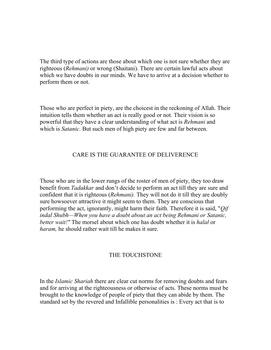The third type of actions are those about which one is not sure whether they are righteous (*Rehmani)* or wrong (Shaitani). There are certain lawful acts about which we have doubts in our minds. We have to arrive at a decision whether to perform them or not.

Those who are perfect in piety, are the choicest in the reckoning of Allah. Their intuition tells them whether an act is really good or not. Their vision is so powerful that they have a clear understanding of what act is *Rehmani* and which is *Satanic*. But such men of high piety are few and far between.

#### CARE IS THE GUARANTEE OF DELIVERENCE

Those who are in the lower rungs of the roster of men of piety, they too draw benefit from *Tadakkar* and don't decide to perform an act till they are sure and confident that it is righteous (*Rehmani).* They will not do it till they are doubly sure howsoever attractive it might seem to them. They are conscious that performing the act, ignorantly, might harm their faith. Therefore it is said, "*Qif indal Shubh—When you have a doubt about an act being Rehmani or Satanic, better wait!"* The morsel about which one has doubt whether it is *halal* or *haram,* he should rather wait till he makes it sure.

#### THE TOUCHSTONE

In the *Islamic Shariah* there are clear cut norms for removing doubts and fears and for arriving at the righteousness or otherwise of acts. These norms must be brought to the knowledge of people of piety that they can abide by them. The standard set by the revered and Infallible personalities is : Every act that is to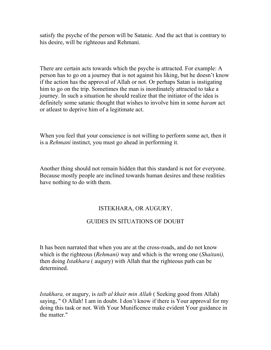satisfy the psyche of the person will be Satanic. And the act that is contrary to his desire, will be righteous and Rehmani.

There are certain acts towards which the psyche is attracted. For example: A person has to go on a journey that is not against his liking, but he doesn't know if the action has the approval of Allah or not. Or perhaps Satan is instigating him to go on the trip. Sometimes the man is inordinately attracted to take a journey. In such a situation he should realize that the initiator of the idea is definitely some satanic thought that wishes to involve him in some *haram* act or atleast to deprive him of a legitimate act.

When you feel that your conscience is not willing to perform some act, then it is a *Rehmani* instinct, you must go ahead in performing it.

Another thing should not remain hidden that this standard is not for everyone. Because mostly people are inclined towards human desires and these realities have nothing to do with them.

#### ISTEKHARA, OR AUGURY,

#### GUIDES IN SITUATIONS OF DOUBT

It has been narrated that when you are at the cross-roads, and do not know which is the righteous (*Rehmani)* way and which is the wrong one (*Shaitani),* then doing *Istakhara* ( augury) with Allah that the righteous path can be determined.

*Istakhara,* or augury, is *talb al khair min Allah* ( Seeking good from Allah) saying, " O Allah! I am in doubt. I don't know if there is Your approval for my doing this task or not. With Your Munificence make evident Your guidance in the matter."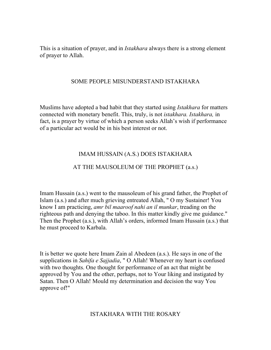This is a situation of prayer, and in *Istakhara* always there is a strong element of prayer to Allah.

#### SOME PEOPLE MISUNDERSTAND ISTAKHARA

Muslims have adopted a bad habit that they started using *Istakhara* for matters connected with monetary benefit. This, truly, is not *istakhara. Istakhara,* in fact, is a prayer by virtue of which a person seeks Allah's wish if performance of a particular act would be in his best interest or not.

#### IMAM HUSSAIN (A.S.) DOES ISTAKHARA

#### AT THE MAUSOLEUM OF THE PROPHET (a.s.)

Imam Hussain (a.s.) went to the mausoleum of his grand father, the Prophet of Islam (a.s.) and after much grieving entreated Allah, " O my Sustainer! You know I am practicing, *amr bil maaroof nahi an il munkar*, treading on the righteous path and denying the taboo. In this matter kindly give me guidance." Then the Prophet (a.s.), with Allah's orders, informed Imam Hussain (a.s.) that he must proceed to Karbala.

It is better we quote here Imam Zain al Abedeen (a.s.). He says in one of the supplications in *Sahifa e Sajjadia*, " O Allah! Whenever my heart is confused with two thoughts. One thought for performance of an act that might be approved by You and the other, perhaps, not to Your liking and instigated by Satan. Then O Allah! Mould my determination and decision the way You approve of!"

#### ISTAKHARA WITH THE ROSARY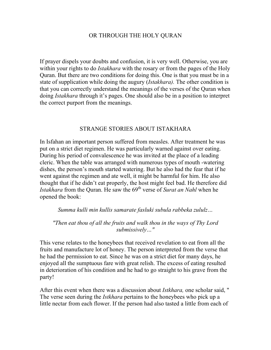#### OR THROUGH THE HOLY QURAN

If prayer dispels your doubts and confusion, it is very well. Otherwise, you are within your rights to do *Istakhara* with the rosary or from the pages of the Holy Quran. But there are two conditions for doing this. One is that you must be in a state of supplication while doing the augury (*Istakhara).* The other condition is that you can correctly understand the meanings of the verses of the Quran when doing *Istakhara* through it's pages. One should also be in a position to interpret the correct purport from the meanings.

#### STRANGE STORIES ABOUT ISTAKHARA

In Isfahan an important person suffered from measles. After treatment he was put on a strict diet regimen. He was particularly warned against over eating. During his period of convalescence he was invited at the place of a leading cleric. When the table was arranged with numerous types of mouth -watering dishes, the person's mouth started watering. But he also had the fear that if he went against the regimen and ate well, it might be harmful for him. He also thought that if he didn't eat properly, the host might feel bad. He therefore did *Istakhara* from the Quran. He saw the 69th verse of *Surat an Nahl* when he opened the book:

*Summa kulli min kullis samarate fasluki subula rabbeka zululz…* 

*"Then eat thou of all the fruits and walk thou in the ways of Thy Lord submissively…"* 

This verse relates to the honeybees that received revelation to eat from all the fruits and manufacture lot of honey. The person interpreted from the verse that he had the permission to eat. Since he was on a strict diet for many days, he enjoyed all the sumptuous fare with great relish. The excess of eating resulted in deterioration of his condition and he had to go straight to his grave from the party!

After this event when there was a discussion about *Istkhara,* one scholar said, " The verse seen during the *Istkhara* pertains to the honeybees who pick up a little nectar from each flower. If the person had also tasted a little from each of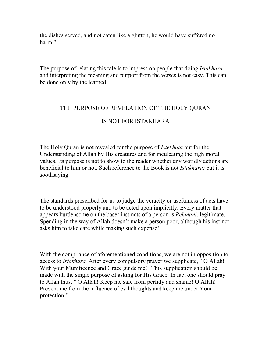the dishes served, and not eaten like a glutton, he would have suffered no harm."

The purpose of relating this tale is to impress on people that doing *Istakhara*  and interpreting the meaning and purport from the verses is not easy. This can be done only by the learned.

#### THE PURPOSE OF REVELATION OF THE HOLY QURAN

#### IS NOT FOR ISTAKHARA

The Holy Quran is not revealed for the purpose of *Istekhata* but for the Understanding of Allah by His creatures and for inculcating the high moral values. Its purpose is not to show to the reader whether any worldly actions are beneficial to him or not. Such reference to the Book is not *Istakhara;* but it is soothsaying.

The standards prescribed for us to judge the veracity or usefulness of acts have to be understood properly and to be acted upon implicitly. Every matter that appears burdensome on the baser instincts of a person is *Rehmani,* legitimate. Spending in the way of Allah doesn't make a person poor, although his instinct asks him to take care while making such expense!

With the compliance of aforementioned conditions, we are not in opposition to access to *Istakhara.* After every compulsory prayer we supplicate, " O Allah! With your Munificence and Grace guide me!" This supplication should be made with the single purpose of asking for His Grace. In fact one should pray to Allah thus, " O Allah! Keep me safe from perfidy and shame! O Allah! Prevent me from the influence of evil thoughts and keep me under Your protection!"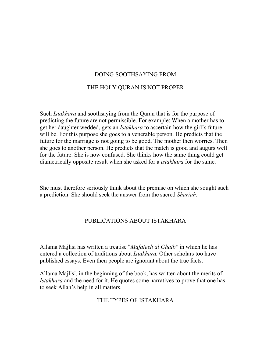# DOING SOOTHSAYING FROM THE HOLY QURAN IS NOT PROPER

Such *Istakhara* and soothsaying from the Quran that is for the purpose of predicting the future are not permissible. For example: When a mother has to get her daughter wedded, gets an *Istakhara* to ascertain how the girl's future will be. For this purpose she goes to a venerable person. He predicts that the future for the marriage is not going to be good. The mother then worries. Then she goes to another person. He predicts that the match is good and augurs well for the future. She is now confused. She thinks how the same thing could get diametrically opposite result when she asked for a *istakhara* for the same.

She must therefore seriously think about the premise on which she sought such a prediction. She should seek the answer from the sacred *Shariah.* 

## PUBLICATIONS ABOUT ISTAKHARA

Allama Majlisi has written a treatise "*Mafateeh al Ghaib"* in which he has entered a collection of traditions about *Istakhara.* Other scholars too have published essays. Even then people are ignorant about the true facts.

Allama Majlisi, in the beginning of the book, has written about the merits of *Istakhara* and the need for it. He quotes some narratives to prove that one has to seek Allah's help in all matters.

#### THE TYPES OF ISTAKHARA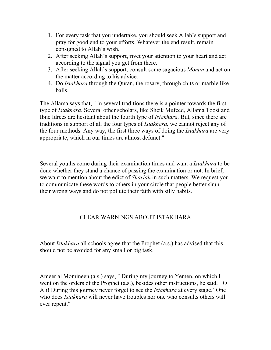- 1. For every task that you undertake, you should seek Allah's support and pray for good end to your efforts. Whatever the end result, remain consigned to Allah's wish.
- 2. After seeking Allah's support, rivet your attention to your heart and act according to the signal you get from there.
- 3. After seeking Allah's support, consult some sagacious *Momin* and act on the matter according to his advice.
- 4. Do *Istakhara* through the Quran, the rosary, through chits or marble like balls.

The Allama says that, " in several traditions there is a pointer towards the first type of *Istakhara.* Several other scholars, like Sheik Mufeed, Allama Toosi and Ibne Idrees are hesitant about the fourth type of *Istakhara.* But, since there are traditions in support of all the four types of *Istakhara,* we cannot reject any of the four methods. Any way, the first three ways of doing the *Istakhara* are very appropriate, which in our times are almost defunct."

Several youths come during their examination times and want a *Istakhara* to be done whether they stand a chance of passing the examination or not. In brief, we want to mention about the edict of *Shariah* in such matters. We request you to communicate these words to others in your circle that people better shun their wrong ways and do not pollute their faith with silly habits.

#### CLEAR WARNINGS ABOUT ISTAKHARA

About *Istakhara* all schools agree that the Prophet (a.s.) has advised that this should not be avoided for any small or big task.

Ameer al Momineen (a.s.) says, " During my journey to Yemen, on which I went on the orders of the Prophet (a.s.), besides other instructions, he said, ' O Ali! During this journey never forget to see the *Istakhara* at every stage.' One who does *Istakhara* will never have troubles nor one who consults others will ever repent."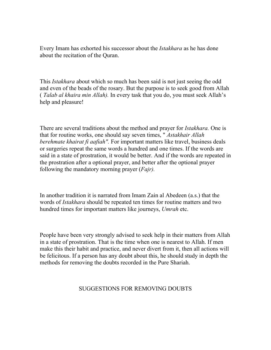Every Imam has exhorted his successor about the *Istakhara* as he has done about the recitation of the Quran.

This *Istakhara* about which so much has been said is not just seeing the odd and even of the beads of the rosary. But the purpose is to seek good from Allah ( *Talab al khaira min Allah).* In every task that you do, you must seek Allah's help and pleasure!

There are several traditions about the method and prayer for *Istakhara.* One is that for routine works, one should say seven times, " *Astakhair Allah berehmate khairat fi aafiah".* For important matters like travel, business deals or surgeries repeat the same words a hundred and one times. If the words are said in a state of prostration, it would be better. And if the words are repeated in the prostration after a optional prayer, and better after the optional prayer following the mandatory morning prayer (*Fajr).* 

In another tradition it is narrated from Imam Zain al Abedeen (a.s.) that the words of *Istakhara* should be repeated ten times for routine matters and two hundred times for important matters like journeys, *Umrah* etc.

People have been very strongly advised to seek help in their matters from Allah in a state of prostration. That is the time when one is nearest to Allah. If men make this their habit and practice, and never divert from it, then all actions will be felicitous. If a person has any doubt about this, he should study in depth the methods for removing the doubts recorded in the Pure Shariah.

#### SUGGESTIONS FOR REMOVING DOUBTS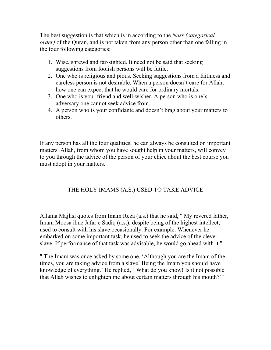The best suggestion is that which is in according to the *Nass (categorical order)* of the Quran, and is not taken from any person other than one falling in the four following categories:

- 1. Wise, shrewd and far-sighted. It need not be said that seeking suggestions from foolish persons will be futile.
- 2. One who is religious and pious. Seeking suggestions from a faithless and careless person is not desirable. When a person doesn't care for Allah, how one can expect that he would care for ordinary mortals.
- 3. One who is your friend and well-wisher. A person who is one's adversary one cannot seek advice from.
- 4. A person who is your confidante and doesn't brag about your matters to others.

If any person has all the four qualities, he can always be consulted on important matters. Allah, from whom you have sought help in your matters, will convey to you through the advice of the person of your chice about the best course you must adopt in your matters.

## THE HOLY IMAMS (A.S.) USED TO TAKE ADVICE

Allama Majlisi quotes from Imam Reza (a.s.) that he said, " My revered father, Imam Moosa ibne Jafar e Sadiq (a.s.). despite being of the highest intellect, used to consult with his slave occasionally. For example: Whenever he embarked on some important task, he used to seek the advice of the clever slave. If performance of that task was advisable, he would go ahead with it."

" The Imam was once asked by some one, 'Although you are the Imam of the times, you are taking advice from a slave! Being the Imam you should have knowledge of everything.' He replied, ' What do you know! Is it not possible that Allah wishes to enlighten me about certain matters through his mouth?'"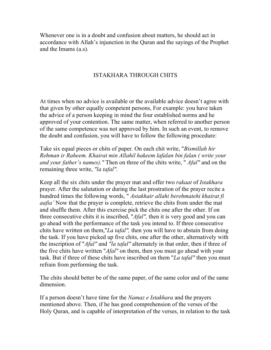Whenever one is in a doubt and confusion about matters, he should act in accordance with Allah's injunction in the Quran and the sayings of the Prophet and the Imams (a.s).

#### ISTAKHARA THROUGH CHITS

At times when no advice is available or the available advice doesn't agree with that given by other equally competent persons, For example: you have taken the advice of a person keeping in mind the four established norms and he approved of your contention. The same matter, when referred to another person of the same competence was not approved by him. In such an event, to remove the doubt and confusion, you will have to follow the following procedure:

Take six equal pieces or chits of paper. On each chit write, "*Bismillah hir Rehman ir Raheem. Khairat min Allahil hakeem lafalan bin falan ( write your and your father's names)."* Then on three of the chits write, " *Afal"* and on the remaining three write, *"la tafal".* 

Keep all the six chits under the prayer mat and offer two *rakaat* of *Istakhara*  prayer. After the salutation or during the last prostration of the prayer recite a hundred times the following words, " *Astakhair allahi berehmatehi khairat fi aafia'* Now that the prayer is complete, retrieve the chits from under the mat and shuffle them. After this exercise pick the chits one after the other. If on three consecutive chits it is inscribed, "*Afal",* then it is very good and you can go ahead with the performance of the task you intend to. If three consecutive chits have written on them,"*La tafal",* then you will have to abstain from doing the task. If you have picked up five chits, one after the other, alternatively with the inscription of "*Afal"* and *"la tafal"* alternately in that order, then if three of the five chits have written "*Afal"* on them, then you must go ahead with your task. But if three of these chits have inscribed on them "*La tafal"* then you must refrain from performing the task.

The chits should better be of the same paper, of the same color and of the same dimension.

If a person doesn't have time for the *Namaz e Istakhara* and the prayers mentioned above. Then, if he has good comprehension of the verses of the Holy Quran, and is capable of interpretation of the verses, in relation to the task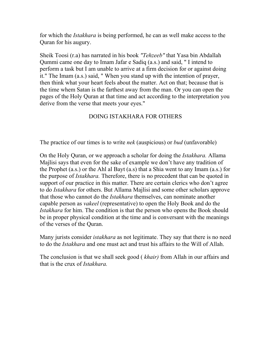for which the *Istakhara* is being performed, he can as well make access to the Quran for his augury.

Sheik Toosi (r.a) has narrated in his book *"Tehzeeb"* that Yasa bin Abdallah Qummi came one day to Imam Jafar e Sadiq (a.s.) and said, " I intend to perform a task but I am unable to arrive at a firm decision for or against doing it." The Imam (a.s.) said, " When you stand up with the intention of prayer, then think what your heart feels about the matter. Act on that; because that is the time whem Satan is the farthest away from the man. Or you can open the pages of the Holy Quran at that time and act according to the interpretation you derive from the verse that meets your eyes."

## DOING ISTAKHARA FOR OTHERS

The practice of our times is to write *nek* (auspicious) or *bud* (unfavorable)

On the Holy Quran, or we approach a scholar for doing the *Istakhara.* Allama Majlisi says that even for the sake of example we don't have any tradition of the Prophet (a.s.) or the Ahl al Bayt (a.s) that a Shia went to any Imam (a.s.) for the purpose of *Istakhara.* Therefore, there is no precedent that can be quoted in support of our practice in this matter. There are certain clerics who don't agree to do *Istakhara* for others. But Allama Majlisi and some other scholars approve that those who cannot do the *Istakhara* themselves, can nominate another capable person as *vakeel* (representative) to open the Holy Book and do the *Istakhara* for him. The condition is that the person who opens the Book should be in proper physical condition at the time and is conversant with the meanings of the verses of the Quran.

Many jurists consider *istakhara* as not legitimate. They say that there is no need to do the *Istakhara* and one must act and trust his affairs to the Will of Allah.

The conclusion is that we shall seek good ( *khair)* from Allah in our affairs and that is the crux of *Istakhara.*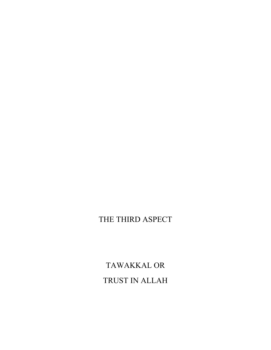# TAWAKKAL OR TRUST IN ALLAH

## THE THIRD ASPECT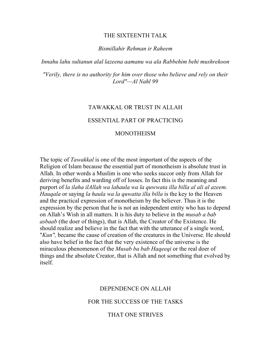#### THE SIXTEENTH TALK

#### *Bismillahir Rehman ir Raheem*

*Innahu lahu sultanun alal lazeena aamanu wa ala Rabbehim behi mushrekoon* 

*"Verily, there is no authority for him over those who believe and rely on their Lord"—Al Nahl 99* 

#### TAWAKKAL OR TRUST IN ALLAH

#### ESSENTIAL PART OF PRACTICING

#### MONOTHEISM

The topic of *Tawakkal* is one of the most important of the aspects of the Religion of Islam because the essential part of monotheism is absolute trust in Allah. In other words a Muslim is one who seeks succor only from Allah for deriving benefits and warding off of losses. In fact this is the meaning and purport of *la ilaha ilAllah wa lahaula wa la quwwata illa billa al ali al azeem. Hauqala* or saying *la haula wa la quwatta illa billa* is the key to the Heaven and the practical expression of monotheism by the believer. Thus it is the expression by the person that he is not an independent entity who has to depend on Allah's Wish in all matters. It is his duty to believe in the *musab a bab asbaab* (the doer of things), that is Allah, the Creator of the Existence. He should realize and believe in the fact that with the utterance of a single word, "*Kun",* became the cause of creation of the creatures in the Universe. He should also have belief in the fact that the very existence of the universe is the miraculous phenomenon of the *Musab ba bab Haqeeqi* or the real doer of things and the absolute Creator, that is Allah and not something that evolved by itself.

#### DEPENDENCE ON ALLAH

#### FOR THE SUCCESS OF THE TASKS

#### THAT ONE STRIVES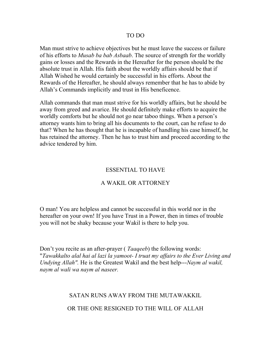### TO DO

Man must strive to achieve objectives but he must leave the success or failure of his efforts to *Musab ba bab Asbaab*. The source of strength for the worldly gains or losses and the Rewards in the Hereafter for the person should be the absolute trust in Allah. His faith about the worldly affairs should be that if Allah Wished he would certainly be successful in his efforts. About the Rewards of the Hereafter, he should always remember that he has to abide by Allah's Commands implicitly and trust in His beneficence.

Allah commands that man must strive for his worldly affairs, but he should be away from greed and avarice. He should definitely make efforts to acquire the worldly comforts but he should not go near taboo things. When a person's attorney wants him to bring all his documents to the court, can he refuse to do that? When he has thought that he is incapable of handling his case himself, he has retained the attorney. Then he has to trust him and proceed according to the advice tendered by him.

# ESSENTIAL TO HAVE

# A WAKIL OR ATTORNEY

O man! You are helpless and cannot be successful in this world nor in the hereafter on your own! If you have Trust in a Power, then in times of trouble you will not be shaky because your Wakil is there to help you.

Don't you recite as an after-prayer ( *Taaqeeb*) the following words: "*Tawakkalto alal hai al lazi la yamoot- I truat my affairs to the Ever Living and Undying Allah".* He is the Greatest Wakil and the best help---*Naym al wakil, naym al wali wa naym al naseer.* 

### SATAN RUNS AWAY FROM THE MUTAWAKKIL

OR THE ONE RESIGNED TO THE WILL OF ALLAH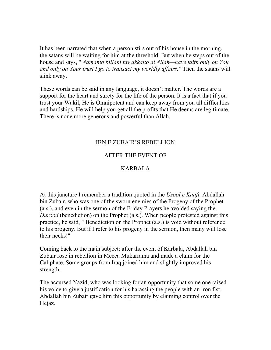It has been narrated that when a person stirs out of his house in the morning, the satans will be waiting for him at the threshold. But when he steps out of the house and says, " *Aamanto billahi tawakkalto al Allah—have faith only on You and only on Your trust I go to transact my worldly affairs."* Then the satans will slink away.

These words can be said in any language, it doesn't matter. The words are a support for the heart and surety for the life of the person. It is a fact that if you trust your Wakil, He is Omnipotent and can keep away from you all difficulties and hardships. He will help you get all the profits that He deems are legitimate. There is none more generous and powerful than Allah.

# IBN E ZUBAIR'S REBELLION

# AFTER THE EVENT OF

# KARBALA

At this juncture I remember a tradition quoted in the *Usool e Kaafi.* Abdallah bin Zubair, who was one of the sworn enemies of the Progeny of the Prophet (a.s.), and even in the sermon of the Friday Prayers he avoided saying the *Durood* (benediction) on the Prophet (a.s.). When people protested against this practice, he said, " Benediction on the Prophet (a.s.) is void without reference to his progeny. But if I refer to his progeny in the sermon, then many will lose their necks!"

Coming back to the main subject: after the event of Karbala, Abdallah bin Zubair rose in rebellion in Mecca Mukarrama and made a claim for the Caliphate. Some groups from Iraq joined him and slightly improved his strength.

The accursed Yazid, who was looking for an opportunity that some one raised his voice to give a justification for his harassing the people with an iron fist. Abdallah bin Zubair gave him this opportunity by claiming control over the Hejaz.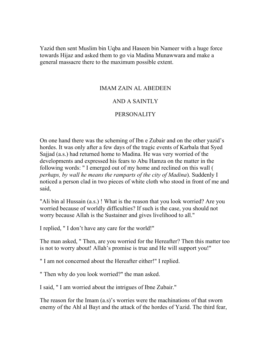Yazid then sent Muslim bin Uqba and Haseen bin Nameer with a huge force towards Hijaz and asked them to go via Madina Munawwara and make a general massacre there to the maximum possible extent.

# IMAM ZAIN AL ABEDEEN

# AND A SAINTLY

# PERSONALITY

On one hand there was the scheming of Ibn e Zubair and on the other yazid's hordes. It was only after a few days of the tragic events of Karbala that Syed Sajjad (a.s.) had returned home to Madina. He was very worried of the developments and expressed his fears to Abu Hamza on the matter in the following words: " I emerged out of my home and reclined on this wall ( *perhaps, by wall he means the ramparts of the city of Madina*). Suddenly I noticed a person clad in two pieces of white cloth who stood in front of me and said,

"Ali bin al Hussain (a.s.) ! What is the reason that you look worried? Are you worried because of worldly difficulties? If such is the case, you should not worry because Allah is the Sustainer and gives livelihood to all."

I replied, " I don't have any care for the world!"

The man asked, " Then, are you worried for the Hereafter? Then this matter too is not to worry about! Allah's promise is true and He will support you!"

" I am not concerned about the Hereafter either!" I replied.

" Then why do you look worried?" the man asked.

I said, " I am worried about the intrigues of Ibne Zubair."

The reason for the Imam (a.s)'s worries were the machinations of that sworn enemy of the Ahl al Bayt and the attack of the hordes of Yazid. The third fear,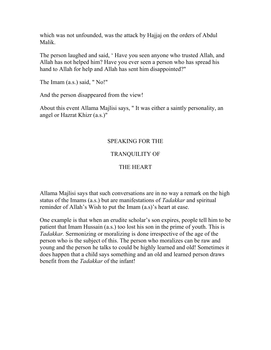which was not unfounded, was the attack by Hajjaj on the orders of Abdul Malik.

The person laughed and said, ' Have you seen anyone who trusted Allah, and Allah has not helped him? Have you ever seen a person who has spread his hand to Allah for help and Allah has sent him disappointed?"

The Imam (a.s.) said, " No!"

And the person disappeared from the view!

About this event Allama Majlisi says, " It was either a saintly personality, an angel or Hazrat Khizr (a.s.)"

# SPEAKING FOR THE

# TRANQUILITY OF

# THE HEART

Allama Majlisi says that such conversations are in no way a remark on the high status of the Imams (a.s.) but are manifestations of *Tadakkar* and spiritual reminder of Allah's Wish to put the Imam (a.s)'s heart at ease.

One example is that when an erudite scholar's son expires, people tell him to be patient that Imam Hussain (a.s.) too lost his son in the prime of youth. This is *Tadakkar.* Sermonizing or moralizing is done irrespective of the age of the person who is the subject of this. The person who moralizes can be raw and young and the person he talks to could be highly learned and old! Sometimes it does happen that a child says something and an old and learned person draws benefit from the *Tadakkar* of the infant!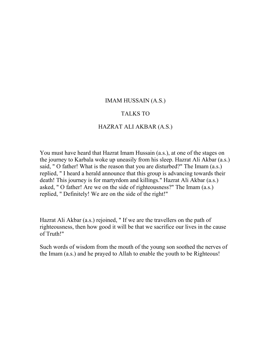### IMAM HUSSAIN (A.S.)

### TALKS TO

### HAZRAT ALI AKBAR (A.S.)

You must have heard that Hazrat Imam Hussain (a.s.), at one of the stages on the journey to Karbala woke up uneasily from his sleep. Hazrat Ali Akbar (a.s.) said, " O father! What is the reason that you are disturbed?" The Imam (a.s.) replied, " I heard a herald announce that this group is advancing towards their death! This journey is for martyrdom and killings." Hazrat Ali Akbar (a.s.) asked, " O father! Are we on the side of righteousness?" The Imam (a.s.) replied, " Definitely! We are on the side of the right!"

Hazrat Ali Akbar (a.s.) rejoined, " If we are the travellers on the path of righteousness, then how good it will be that we sacrifice our lives in the cause of Truth!"

Such words of wisdom from the mouth of the young son soothed the nerves of the Imam (a.s.) and he prayed to Allah to enable the youth to be Righteous!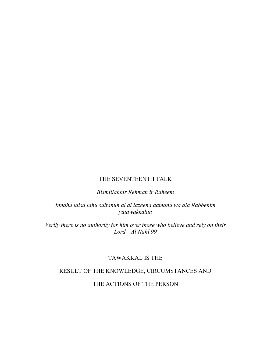### THE SEVENTEENTH TALK

*Bismillahhir Rehman ir Raheem* 

*Innahu laisa lahu sultanun al al lazeena aamanu wa ala Rabbehim yatawakkalun* 

*Verily there is no authority for him over those who believe and rely on their Lord—Al Nahl 99* 

# TAWAKKAL IS THE

# RESULT OF THE KNOWLEDGE, CIRCUMSTANCES AND

THE ACTIONS OF THE PERSON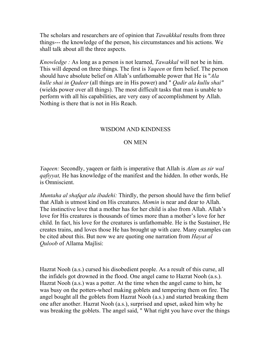The scholars and researchers are of opinion that *Tawakkkal* results from three things--- the knowledge of the person, his circumstances and his actions. We shall talk about all the three aspects.

*Knowledge :* As long as a person is not learned, *Tawakkal* will not be in him. This will depend on three things. The first is *Yaqeen* or firm belief. The person should have absolute belief on Allah's unfathomable power that He is "*Ala kulle shai in Qadeer* (all things are in His power) and " *Qadir ala kullu shai"* (wields power over all things). The most difficult tasks that man is unable to perform with all his capabilities, are very easy of accomplishment by Allah. Nothing is there that is not in His Reach.

# WISDOM AND KINDNESS

### ON MEN

*Yaqeen:* Secondly, yaqeen or faith is imperative that Allah is *Alam as sir wal qafiyyat,* He has knowledge of the manifest and the hidden. In other words, He is Omniscient.

*Muntaha al shafqat ala ibadehi:* Thirdly, the person should have the firm belief that Allah is utmost kind on His creatures. *Momin* is near and dear to Allah. The instinctive love that a mother has for her child is also from Allah. Allah's love for His creatures is thousands of times more than a mother's love for her child. In fact, his love for the creatures is unfathomable. He is the Sustainer, He creates trains, and loves those He has brought up with care. Many examples can be cited about this. But now we are quoting one narration from *Hayat al Quloob* of Allama Majlisi:

Hazrat Nooh (a.s.) cursed his disobedient people. As a result of this curse, all the infidels got drowned in the flood. One angel came to Hazrat Nooh (a.s.). Hazrat Nooh (a.s.) was a potter. At the time when the angel came to him, he was busy on the potters-wheel making goblets and tempering them on fire. The angel bought all the goblets from Hazrat Nooh (a.s.) and started breaking them one after another. Hazrat Nooh (a.s.), surprised and upset, asked him why he was breaking the goblets. The angel said, " What right you have over the things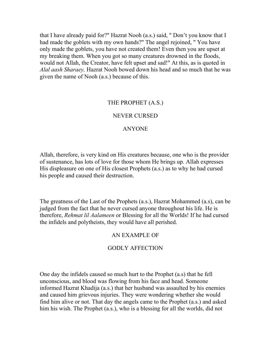that I have already paid for?" Hazrat Nooh (a.s.) said, " Don't you know that I had made the goblets with my own hands?" The angel rejoined, " You have only made the goblets, you have not created them! Even then you are upset at my breaking them. When you got so many creatures drowned in the floods, would not Allah, the Creator, have felt upset and sad!" At this, as is quoted in *Alal aash Sharaey,* Hazrat Nooh bowed down his head and so much that he was given the name of Nooh (a.s.) because of this.

# THE PROPHET (A.S.)

### NEVER CURSED

### ANYONE

Allah, therefore, is very kind on His creatures because, one who is the provider of sustenance, has lots of love for those whom He brings up. Allah expresses His displeasure on one of His closest Prophets (a.s.) as to why he had cursed his people and caused their destruction.

The greatness of the Last of the Prophets (a.s.), Hazrat Mohammed (a.s), can be judged from the fact that he never cursed anyone throughout his life. He is therefore, *Rehmat lil Aalameen* or Blessing for all the Worlds! If he had cursed the infidels and polytheists, they would have all perished.

### AN EXAMPLE OF

### GODLY AFFECTION

One day the infidels caused so much hurt to the Prophet (a.s) that he fell unconscious, and blood was flowing from his face and head. Someone informed Hazrat Khadija (a.s.) that her husband was assaulted by his enemies and caused him grievous injuries. They were wondering whether she would find him alive or not. That day the angels came to the Prophet (a.s.) and asked him his wish. The Prophet (a.s.), who is a blessing for all the worlds, did not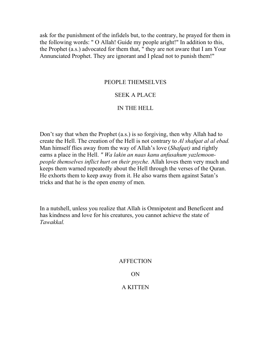ask for the punishment of the infidels but, to the contrary, he prayed for them in the following words: " O Allah! Guide my people aright!" In addition to this, the Prophet (a.s.) advocated for them that, " they are not aware that I am Your Annunciated Prophet. They are ignorant and I plead not to punish them!"

### PEOPLE THEMSELVES

# SEEK A PLACE

### IN THE HELL

Don't say that when the Prophet (a.s.) is so forgiving, then why Allah had to create the Hell. The creation of the Hell is not contrary to *Al shafqat al al ebad.*  Man himself flies away from the way of Allah's love (*Shafqat)* and rightly earns a place in the Hell. *" Wa lakin an naas kanu anfusahum yazlemoonpeople themselves inflict hurt on their psyche.* Allah loves them very much and keeps them warned repeatedly about the Hell through the verses of the Quran. He exhorts them to keep away from it. He also warns them against Satan's tricks and that he is the open enemy of men.

In a nutshell, unless you realize that Allah is Omnipotent and Beneficent and has kindness and love for his creatures, you cannot achieve the state of *Tawakkal.* 

#### **AFFECTION**

#### ON

#### A KITTEN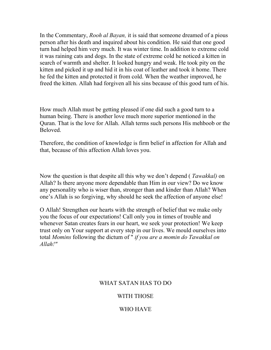In the Commentary, *Rooh al Bayan,* it is said that someone dreamed of a pious person after his death and inquired about his condition. He said that one good turn had helped him very much. It was winter time. In addition to extreme cold it was raining cats and dogs. In the state of extreme cold he noticed a kitten in search of warmth and shelter. It looked hungry and weak. He took pity on the kitten and picked it up and hid it in his coat of leather and took it home. There he fed the kitten and protected it from cold. When the weather improved, he freed the kitten. Allah had forgiven all his sins because of this good turn of his.

How much Allah must be getting pleased if one did such a good turn to a human being. There is another love much more superior mentioned in the Quran. That is the love for Allah. Allah terms such persons His mehboob or the **Beloved** 

Therefore, the condition of knowledge is firm belief in affection for Allah and that, because of this affection Allah loves you.

Now the question is that despite all this why we don't depend ( *Tawakkal)* on Allah? Is there anyone more dependable than Him in our view? Do we know any personality who is wiser than, stronger than and kinder than Allah? When one's Allah is so forgiving, why should he seek the affection of anyone else!

O Allah! Strengthen our hearts with the strength of belief that we make only you the focus of our expectations! Call only you in times of trouble and whenever Satan creates fears in our heart, we seek your protection! We keep trust only on Your support at every step in our lives. We mould ourselves into total *Momins* following the dictum of " *if you are a momin do Tawakkal on Allah!"* 

# WHAT SATAN HAS TO DO

### WITH THOSE

# WHO HAVE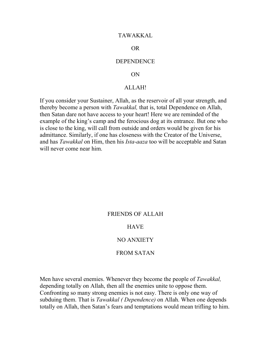#### TAWAKKAL

#### OR

#### **DEPENDENCE**

#### ON

### ALLAH!

If you consider your Sustainer, Allah, as the reservoir of all your strength, and thereby become a person with *Tawakkal,* that is, total Dependence on Allah, then Satan dare not have access to your heart! Here we are reminded of the example of the king's camp and the ferocious dog at its entrance. But one who is close to the king, will call from outside and orders would be given for his admittance. Similarly, if one has closeness with the Creator of the Universe, and has *Tawakkal* on Him, then his *Ista-aaza* too will be acceptable and Satan will never come near him.

#### FRIENDS OF ALLAH

### HAVE

#### NO ANXIETY

### FROM SATAN

Men have several enemies. Whenever they become the people of *Tawakkal,* depending totally on Allah, then all the enemies unite to oppose them. Confronting so many strong enemies is not easy. There is only one way of subduing them. That is *Tawakkal ( Dependence)* on Allah. When one depends totally on Allah, then Satan's fears and temptations would mean trifling to him.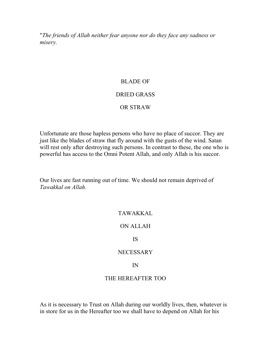"*The friends of Allah neither fear anyone nor do they face any sadness or misery.* 

### BLADE OF

### DRIED GRASS

### OR STRAW

Unfortunate are those hapless persons who have no place of succor. They are just like the blades of straw that fly around with the gusts of the wind. Satan will rest only after destroying such persons. In contrast to these, the one who is powerful has access to the Omni Potent Allah, and only Allah is his succor.

Our lives are fast running out of time. We should not remain deprived of *Tawakkal on Allah.* 

### TAWAKKAL

ON ALLAH

IS

#### **NECESSARY**

#### IN

### THE HEREAFTER TOO

As it is necessary to Trust on Allah during our worldly lives, then, whatever is in store for us in the Hereafter too we shall have to depend on Allah for his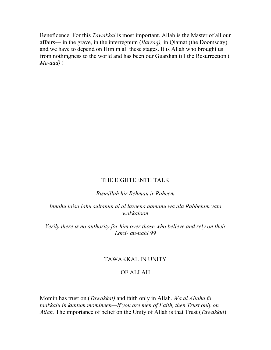Beneficence. For this *Tawakkal* is most important. Allah is the Master of all our affairs--- in the grave, in the interregnum (*Barzaq),* in Qiamat (the Doomsday) and we have to depend on Him in all these stages. It is Allah who brought us from nothingness to the world and has been our Guardian till the Resurrection ( *Me-aad)* !

### THE EIGHTEENTH TALK

### *Bismillah hir Rehman ir Raheem*

## *Innahu laisa lahu sultanun al al lazeena aamanu wa ala Rabbehim yata wakkaloon*

*Verily there is no authority for him over those who believe and rely on their Lord- an-nahl 99* 

#### TAWAKKAL IN UNITY

#### OF ALLAH

Momin has trust on (*Tawakkal)* and faith only in Allah. *Wa al Allaha fa taakkalu in kuntum momineen—If you are men of Faith, then Trust only on Allah.* The importance of belief on the Unity of Allah is that Trust (*Tawakkul*)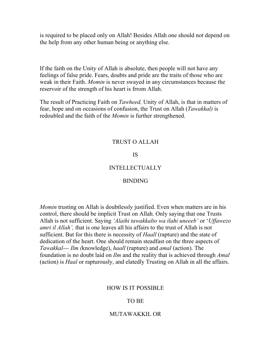is required to be placed only on Allah! Besides Allah one should not depend on the help from any other human being or anything else.

If the faith on the Unity of Allah is absolute, then people will not have any feelings of false pride. Fears, doubts and pride are the traits of those who are weak in their Faith. *Momin* is never swayed in any circumstances because the reservoir of the strength of his heart is frrom Allah.

The result of Practicing Faith on *Tawheed,* Unity of Allah, is that in matters of fear, hope and on occasions of confusion, the Trust on Allah (*Tawakkal)* is redoubled and the faith of the *Momin* is further strengthened.

### TRUST O ALLAH

#### IS

# INTELLECTUALLY

#### BINDING

*Momin* trusting on Allah is doubtlessly justified. Even when matters are in his control, there should be implicit Trust on Allah. Only saying that one Trusts Allah is not sufficient. Saying *'Alaihi tawakkalto wa ilahi uneeeb'* or '*Uffawezo amri il Allah',* that is one leaves all his affairs to the trust of Allah is not sufficient. But for this there is necessity of *Haall* (rapture) and the state of dedication of the heart. One should remain steadfast on the three aspects of *Tawakkal--- Ilm (*knowledge), *haall* (rapture) and *amal* (action). The foundation is no doubt laid on *Ilm* and the reality that is achieved through *Amal*  (action) is *Haal* or rapturously, and elatedly Trusting on Allah in all the affairs.

#### HOW IS IT POSSIBLE

#### TO BE

#### MUTAWAKKIL OR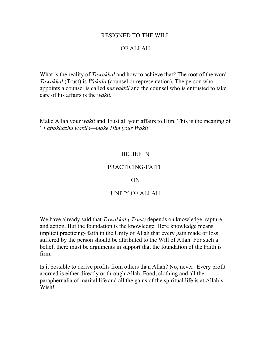### RESIGNED TO THE WILL

# OF ALLAH

What is the reality of *Tawakkal* and how to achieve that? The root of the word *Tawakkal* (Trust) is *Wakala* (counsel or representation). The person who appoints a counsel is called *muwakkil* and the counsel who is entrusted to take care of his affairs is the *wakil.* 

Make Allah your *wakil* and Trust all your affairs to Him. This is the meaning of ' *Fattakhazhu wakila—make Him your Wakil'* 

### BELIEF IN

### PRACTICING-FAITH

#### ON

### UNITY OF ALLAH

We have already said that *Tawakkal ( Trust)* depends on knowledge, rapture and action. But the foundation is the knowledge. Here knowledge means implicit practicing- faith in the Unity of Allah that every gain made or loss suffered by the person should be attributed to the Will of Allah. For such a belief, there must be arguments in support that the foundation of the Faith is firm.

Is it possible to derive profits from others than Allah? No, never! Every profit accrued is either directly or through Allah. Food, clothing and all the paraphernalia of marital life and all the gains of the spiritual life is at Allah's Wish!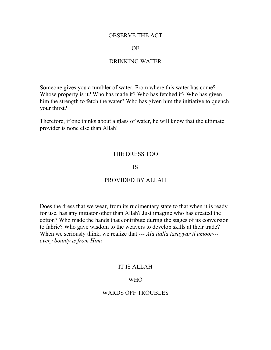### OBSERVE THE ACT

#### OF

### DRINKING WATER

Someone gives you a tumbler of water. From where this water has come? Whose property is it? Who has made it? Who has fetched it? Who has given him the strength to fetch the water? Who has given him the initiative to quench your thirst?

Therefore, if one thinks about a glass of water, he will know that the ultimate provider is none else than Allah!

### THE DRESS TOO

#### IS

#### PROVIDED BY ALLAH

Does the dress that we wear, from its rudimentary state to that when it is ready for use, has any initiator other than Allah? Just imagine who has created the cotton? Who made the hands that contribute during the stages of its conversion to fabric? Who gave wisdom to the weavers to develop skills at their trade? When we seriously think, we realize that *--- Ala ilalla tasayyar il umoor-- every bounty is from Him!* 

### IT IS ALLAH

#### WHO

### WARDS OFF TROUBLES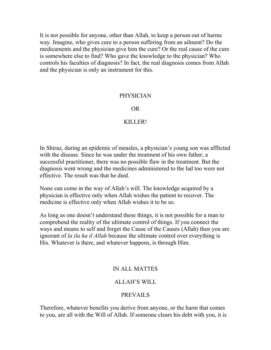It is not possible for anyone, other than Allah, to keep a person out of harms way. Imagine, who gives cure to a person suffering from an ailment? Do the medicaments and the physician give him the cure? Or the real cause of the cure is somewhere else to find? Who gave the knowledge to the physician? Who controls his faculties of diagnosis? In fact, the real diagnosis comes from Allah and the physician is only an instrument for this.

### PHYSICIAN

### OR

### KILLER!

In Shiraz, during an epidemic of measles, a physician's young son was afflicted with the disease. Since he was under the treatment of his own father, a successful practitioner, there was no possible flaw in the treatment. But the diagnosis went wrong and the medicines administered to the lad too were not effective. The result was that he died.

None can come in the way of Allah's will. The knowledge acquired by a physician is effective only when Allah wishes the patient to recover. The medicine is effective only when Allah wishes it to be so.

As long as one doesn't understand these things, it is not possible for a man to comprehend the reality of the ultimate control of things. If you connect the ways and means to self and forget the Cause of the Causes (Allah) then you are ignorant of *la ila ha il Allah* because the ultimate control over everything is His. Whatever is there, and whatever happens, is through Him.

### IN ALL MATTES

### ALLAH'S WILL

### PREVAILS

Therefore, whatever benefits you derive from anyone, or the harm that comes to you, are all with the Will of Allah. If someone clears his debt with you, it is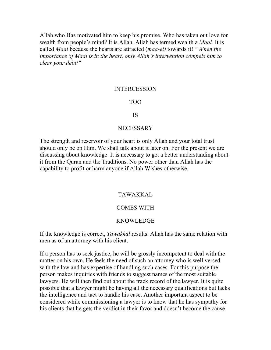Allah who Has motivated him to keep his promise. Who has taken out love for wealth from people's mind? It is Allah. Allah has termed wealth a *Maal.* It is called *Maal* because the hearts are attracted (*maa-el)* towards it! *" When the importance of Maal is in the heart, only Allah's intervention compels him to clear your debt!"* 

#### INTERCESSION

### TOO

#### IS

#### **NECESSARY**

The strength and reservoir of your heart is only Allah and your total trust should only be on Him. We shall talk about it later on. For the present we are discussing about knowledge. It is necessary to get a better understanding about it from the Quran and the Traditions. No power other than Allah has the capability to profit or harm anyone if Allah Wishes otherwise.

# TAWAKKAL

### COMES WITH

#### KNOWLEDGE

If the knowledge is correct, *Tawakkal* results. Allah has the same relation with men as of an attorney with his client.

If a person has to seek justice, he will be grossly incompetent to deal with the matter on his own. He feels the need of such an attorney who is well versed with the law and has expertise of handling such cases. For this purpose the person makes inquiries with friends to suggest names of the most suitable lawyers. He will then find out about the track record of the lawyer. It is quite possible that a lawyer might be having all the necessary qualifications but lacks the intelligence and tact to handle his case. Another important aspect to be considered while commissioning a lawyer is to know that he has sympathy for his clients that he gets the verdict in their favor and doesn't become the cause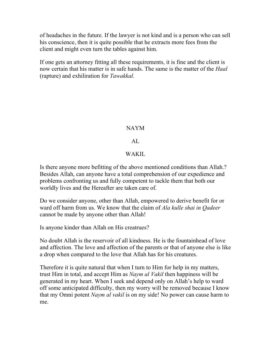of headaches in the future. If the lawyer is not kind and is a person who can sell his conscience, then it is quite possible that he extracts more fees from the client and might even turn the tables against him.

If one gets an attorney fitting all these requirements, it is fine and the client is now certain that his matter is in safe hands. The same is the matter of the *Haal* (rapture) and exhiliration for *Tawakkal.* 

# NAYM

# AL

# WAKIL.

Is there anyone more befitting of the above mentioned conditions than Allah.? Besides Allah, can anyone have a total comprehension of our expedience and problems confronting us and fully competent to tackle them that both our worldly lives and the Hereafter are taken care of.

Do we consider anyone, other than Allah, empowered to derive benefit for or ward off harm from us. We know that the claim of *Ala kulle shai in Qadeer*  cannot be made by anyone other than Allah!

Is anyone kinder than Allah on His creatrues?

No doubt Allah is the reservoir of all kindness. He is the fountainhead of love and affection. The love and affection of the parents or that of anyone else is like a drop when compared to the love that Allah has for his creatures.

Therefore it is quite natural that when I turn to Him for help in my matters, trust Him in total, and accept Him as *Naym al Vakil* then happiness will be generated in my heart. When I seek and depend only on Allah's help to ward off some anticipated difficulty, then my worry will be removed because I know that my Omni potent *Naym al vakil* is on my side! No power can cause harm to me.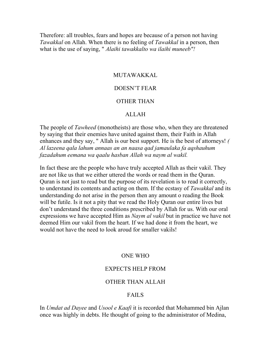Therefore: all troubles, fears and hopes are because of a person not having *Tawakkal* on Allah. When there is no feeling of *Tawakkal* in a person, then what is the use of saying, " *Alaihi tawakkalto wa ilaihi muneeb"!* 

### MUTAWAKKAL

# DOESN'T FEAR

#### OTHER THAN

#### ALLAH

The people of *Tawheed* (monotheists) are those who, when they are threatened by saying that their enemies have united against them, their Faith in Allah enhances and they say, " Allah is our best support. He is the best of attorneys! *( Al lazeena qala lahum annaas an an naasa qad jamaulaka fa aqshauhum fazadahum eemana wa qaalu hasban Allah wa naym al wakil.* 

In fact these are the people who have truly accepted Allah as their vakil. They are not like us that we either uttered the words or read them in the Quran. Quran is not just to read but the purpose of its revelation is to read it correctly, to understand its contents and acting on them. If the ecstasy of *Tawakkal* and its understanding do not arise in the person then any amount o reading the Book will be futile. Is it not a pity that we read the Holy Quran our entire lives but don't understand the three conditions prescribed by Allah for us. With our oral expressions we have accepted Him as *Naym al vakil* but in practice we have not deemed Him our vakil from the heart. If we had done it from the heart, we would not have the need to look aroud for smaller vakils!

#### ONE WHO

#### EXPECTS HELP FROM

#### OTHER THAN ALLAH

# FAILS

In *Umdat ad Dayee* and *Usool e Kaafi* it is recorded that Mohammed bin Ajlan once was highly in debts. He thought of going to the administrator of Medina,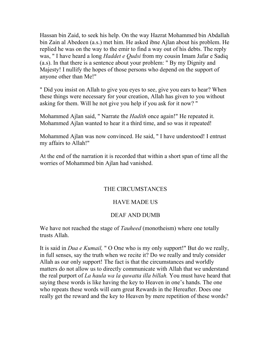Hassan bin Zaid, to seek his help. On the way Hazrat Mohammed bin Abdallah bin Zain al Abedeen (a.s.) met him. He asked ibne Ajlan about his problem. He replied he was on the way to the emir to find a way out of his debts. The reply was, " I have heard a long *Haddet e Qudsi* from my cousin Imam Jafar e Sadiq (a.s). In that there is a sentence about your problem: " By my Dignity and Majesty! I nullify the hopes of those persons who depend on the support of anyone other than Me!"

" Did you insist on Allah to give you eyes to see, give you ears to hear? When these things were necessary for your creation, Allah has given to you without asking for them. Will he not give you help if you ask for it now? "

Mohammed Ajlan said, " Narrate the *Hadith* once again!" He repeated it. Mohammed Ajlan wanted to hear it a third time, and so was it repeated!

Mohammed Ajlan was now convinced. He said, " I have understood! I entrust my affairs to Allah!"

At the end of the narration it is recorded that within a short span of time all the worries of Mohammed bin Ajlan had vanished.

# THE CIRCUMSTANCES

# HAVE MADE US

# DEAF AND DUMB

We have not reached the stage of *Tauheed* (monotheism) where one totally trusts Allah.

It is said in *Dua e Kumail,* " O One who is my only support!" But do we really, in full senses, say the truth when we recite it? Do we really and truly consider Allah as our only support! The fact is that the circumstances and worldly matters do not allow us to directly communicate with Allah that we understand the real purport of *La haula wa la quwatta illa billah.* You must have heard that saying these words is like having the key to Heaven in one's hands. The one who repeats these words will earn great Rewards in the Hereafter. Does one really get the reward and the key to Heaven by mere repetition of these words?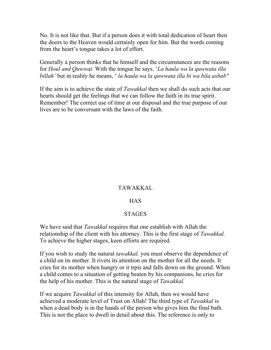No. It is not like that. But if a person does it with total dedication of heart then the doors to the Heaven would certainly open for him. But the words coming from the heart's tongue takes a lot of effort.

Generally a person thinks that he himself and the circumstances are the reasons for *Houl and Quwwat*. With the tongue he says. '*La haula wa la quwwata illa billah'* but in reality he means, ' *la haula wa la quwwata illa bi wa bila asbab"* 

If the aim is to achieve the state of *Tawakkal* then we shall do such acts that our hearts should get the feelings that we can follow the faith in its true spirit. Remember! The correct use of time at our disposal and the true purpose of our lives are to be conversant with the laws of the faith.

# TAWAKKAL

### HAS

### STAGES

We have said that *Tawakkal* requires that one establish with Allah the relationship of the client with his attorney. This is the first stage of *Tawakkal.*  To achieve the higher stages, keen efforts are required.

If you wish to study the natural *tawakkal,* you must observe the dependence of a child on its mother. It rivets its attention on the mother for all the needs. It cries for its mother when hungry or it trpis and falls down on the ground. When a child comes to a situation of getting beaten by his companions, he cries for the help of his mother. This is the natural stage of *Tawakkal.* 

If we acquire *Tawakkal* of this intensity for Allah, then we would have achieved a moderate level of Trust on Allah! The third type of *Tawakkal* is when a dead body is in the hands of the person who gives him the final bath. This is not the place to dwell in detail about this. The reference is only to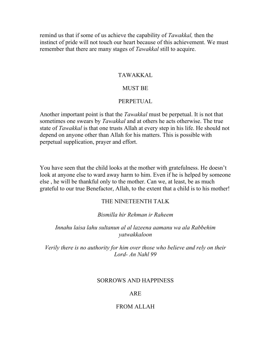remind us that if some of us achieve the capability of *Tawakkal,* then the instinct of pride will not touch our heart because of this achievement. We must remember that there are many stages of *Tawakkal* still to acquire.

# TAWAKKAL

#### MUST BE

#### PERPETUAL

Another important point is that the *Tawakkal* must be perpetual. It is not that sometimes one swears by *Tawakkal* and at others he acts otherwise. The true state of *Tawakkal* is that one trusts Allah at every step in his life. He should not depend on anyone other than Allah for his matters. This is possible with perpetual supplication, prayer and effort.

You have seen that the child looks at the mother with gratefulness. He doesn't look at anyone else to ward away harm to him. Even if he is helped by someone else , he will be thankful only to the mother. Can we, at least, be as much grateful to our true Benefactor, Allah, to the extent that a child is to his mother!

### THE NINETEENTH TALK

### *Bismilla hir Rehman ir Raheem*

### *Innahu laisa lahu sultanun al al lazeena aamanu wa ala Rabbehim yatwakkaloon*

*Verily there is no authority for him over those who believe and rely on their Lord- An Nahl 99* 

### SORROWS AND HAPPINESS

### ARE

### FROM ALLAH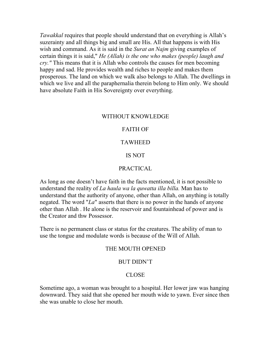*Tawakkal* requires that people should understand that on everything is Allah's suzerainty and all things big and small are His. All that happens is with His wish and command. As it is said in the *Surat an Najm* giving examples of certain things it is said," *He (Allah) is the one who makes (people) laugh and cry."* This means that it is Allah who controls the causes for men becoming happy and sad. He provides wealth and riches to people and makes them prosperous. The land on which we walk also belongs to Allah. The dwellings in which we live and all the paraphernalia therein belong to Him only. We should have absolute Faith in His Sovereignty over everything.

### WITHOUT KNOWLEDGE

### FAITH OF

### TAWHEED

### IS NOT

### PRACTICAL

As long as one doesn't have faith in the facts mentioned, it is not possible to understand the reality of *La haula wa la quwatta illa billa.* Man has to understand that the authority of anyone, other than Allah, on anything is totally negated. The word "*La*" asserts that there is no power in the hands of anyone other than Allah . He alone is the reservoir and fountainhead of power and is the Creator and thw Possessor.

There is no permanent class or status for the creatures. The ability of man to use the tongue and modulate words is because of the Will of Allah.

#### THE MOUTH OPENED

#### BUT DIDN'T

#### CLOSE

Sometime ago, a woman was brought to a hospital. Her lower jaw was hanging downward. They said that she opened her mouth wide to yawn. Ever since then she was unable to close her mouth.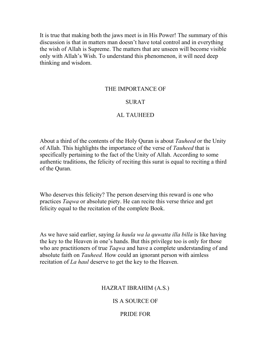It is true that making both the jaws meet is in His Power! The summary of this discussion is that in matters man doesn't have total control and in everything the wish of Allah is Supreme. The matters that are unseen will become visible only with Allah's Wish. To understand this phenomenon, it will need deep thinking and wisdom.

### THE IMPORTANCE OF

### SURAT

# AL TAUHEED

About a third of the contents of the Holy Quran is about *Tauheed* or the Unity of Allah. This highlights the importance of the verse of *Tauheed* that is specifically pertaining to the fact of the Unity of Allah. According to some authentic traditions, the felicity of reciting this surat is equal to reciting a third of the Quran.

Who deserves this felicity? The person deserving this reward is one who practices *Taqwa* or absolute piety. He can recite this verse thrice and get felicity equal to the recitation of the complete Book.

As we have said earlier, saying *la haula wa la quwatta illa billa* is like having the key to the Heaven in one's hands. But this privilege too is only for those who are practitioners of true *Taqwa* and have a complete understanding of and absolute faith on *Tauheed.* How could an ignorant person with aimless recitation of *La haul* deserve to get the key to the Heaven.

### HAZRAT IBRAHIM (A.S.)

# IS A SOURCE OF

### PRIDE FOR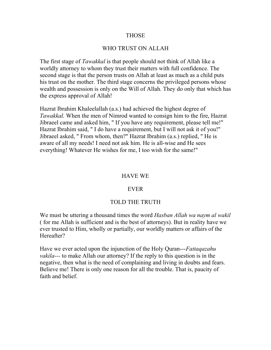### THOSE

### WHO TRUST ON ALLAH

The first stage of *Tawakkal* is that people should not think of Allah like a worldly attorney to whom they trust their matters with full confidence. The second stage is that the person trusts on Allah at least as much as a child puts his trust on the mother. The third stage concerns the privileged persons whose wealth and possession is only on the Will of Allah. They do only that which has the express approval of Allah!

Hazrat Ibrahim Khaleelallah (a.s.) had achieved the highest degree of *Tawakkal.* When the men of Nimrod wanted to consign him to the fire, Hazrat Jibraeel came and asked him, " If you have any requirement, please tell me!" Hazrat Ibrahim said, " I do have a requirement, but I will not ask it of you!" Jibraeel asked, " From whom, then?" Hazrat Ibrahim (a.s.) replied, " He is aware of all my needs! I need not ask him. He is all-wise and He sees everything! Whatever He wishes for me, I too wish for the same!"

### HAVE WE

### EVER

### TOLD THE TRUTH

We must be uttering a thousand times the word *Hasban Allah wa naym al wakil* ( for me Allah is sufficient and is the best of attorneys). But in reality have we ever trusted to Him, wholly or partially, our worldly matters or affairs of the Hereafter?

Have we ever acted upon the injunction of the Holy Quran---*Fattaqazahu vakila---* to make Allah our attorney? If the reply to this question is in the negative, then what is the need of complaining and living in doubts and fears. Believe me! There is only one reason for all the trouble. That is, paucity of faith and belief.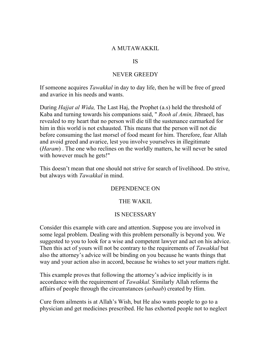### A MUTAWAKKIL

### IS

### NEVER GREEDY

If someone acquires *Tawakkal* in day to day life, then he will be free of greed and avarice in his needs and wants.

During *Hajjat al Wida,* The Last Haj, the Prophet (a.s) held the threshold of Kaba and turning towards his companions said, " *Rooh al Amin,* Jibraeel, has revealed to my heart that no person will die till the sustenance earmarked for him in this world is not exhausted. This means that the person will not die before consuming the last morsel of food meant for him. Therefore, fear Allah and avoid greed and avarice, lest you involve yourselves in illegitimate (*Haram*) . The one who reclines on the worldly matters, he will never be sated with however much he gets!"

This doesn't mean that one should not strive for search of livelihood. Do strive, but always with *Tawakkal* in mind.

### DEPENDENCE ON

### THE WAKIL

### IS NECESSARY

Consider this example with care and attention. Suppose you are involved in some legal problem. Dealing with this problem personally is beyond you. We suggested to you to look for a wise and competent lawyer and act on his advice. Then this act of yours will not be contrary to the requirements of *Tawakkal* but also the attorney's advice will be binding on you because he wants things that way and your action also in accord, because he wishes to set your matters right.

This example proves that following the attorney's advice implicitly is in accordance with the requirement of *Tawakkal.* Similarly Allah reforms the affairs of people through the circumstances (*asbaab*) created by Him.

Cure from ailments is at Allah's Wish, but He also wants people to go to a physician and get medicines prescribed. He has exhorted people not to neglect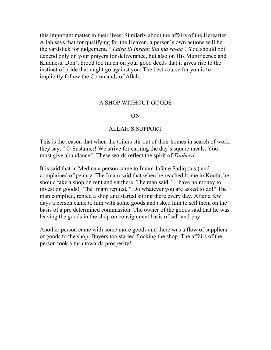this important matter in their lives. Similarly about the affairs of the Hereafter Allah says that for qualifying for the Heaven, a person's own actions will be the yardstick for judgement. *" Laisa lil insaan illa ma sa-aa".* You should not depend only on your prayers for deliverance, but also on His Munificence and Kindness. Don't brood too much on your good deeds that it gives rise to the instinct of pride that might go against you. The best course for you is to implicitly follow the Commands of Allah.

#### A SHOP WITHOUT GOODS

#### ON

#### ALLAH'S SUPPORT

This is the reason that when the toilers stir out of their homes in search of work, they say, " O Sustainer! We strive for earning the day's square meals. You must give abundance!" These words reflect the spirit of *Tauheed.* 

It is said that in Medina a person came to Imam Jafar e Sadiq (a.s.) and complained of penury. The Imam said that when he reached home in Koofa, he should take a shop on rent and sit there. The man said, " I have no money to invest on goods!" The Imam replied, " Do whatever you are asked to do!" The man complied, rented a shop and started sitting there every day. After a few days a person came to him with some goods and asked him to sell them on the basis of a pre determined commission. The owner of the goods said that he was leaving the goods in the shop on consignment basis of sell-and-pay!

Another person came with some more goods and there was a flow of suppliers of goods to the shop. Buyers too started flocking the shop. The affairs of the person took a turn towards prosperity!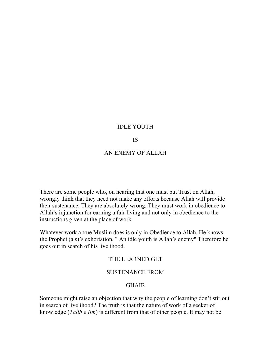### IDLE YOUTH

#### IS

### AN ENEMY OF ALLAH

There are some people who, on hearing that one must put Trust on Allah, wrongly think that they need not make any efforts because Allah will provide their sustenance. They are absolutely wrong. They must work in obedience to Allah's injunction for earning a fair living and not only in obedience to the instructions given at the place of work.

Whatever work a true Muslim does is only in Obedience to Allah. He knows the Prophet (a.s)'s exhortation, " An idle youth is Allah's enemy" Therefore he goes out in search of his livelihood.

### THE LEARNED GET

### SUSTENANCE FROM

### GHAIB

Someone might raise an objection that why the people of learning don't stir out in search of livelihood? The truth is that the nature of work of a seeker of knowledge (*Talib e Ilm*) is different from that of other people. It may not be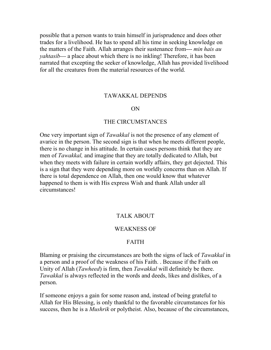possible that a person wants to train himself in jurisprudence and does other trades for a livelihood. He has to spend all his time in seeking knowledge on the matters of the Faith. Allah arranges their sustenance from--- *min hais au yahtasib---* a place about which there is no inkling! Therefore, it has been narrated that excepting the seeker of knowledge, Allah has provided livelihood for all the creatures from the material resources of the world.

#### TAWAKKAL DEPENDS

#### ON

#### THE CIRCUMSTANCES

One very important sign of *Tawakkal* is not the presence of any element of avarice in the person. The second sign is that when he meets different people, there is no change in his attitude. In certain cases persons think that they are men of *Tawakkal,* and imagine that they are totally dedicated to Allah, but when they meets with failure in certain worldly affairs, they get dejected. This is a sign that they were depending more on worldly concerns than on Allah. If there is total dependence on Allah, then one would know that whatever happened to them is with His express Wish and thank Allah under all circumstances!

### TALK ABOUT

#### WEAKNESS OF

### FAITH

Blaming or praising the circumstances are both the signs of lack of *Tawakkal* in a person and a proof of the weakness of his Faith. . Because if the Faith on Unity of Allah (*Tawheed*) is firm, then *Tawakkal* will definitely be there. *Tawakkal* is always reflected in the words and deeds, likes and dislikes, of a person.

If someone enjoys a gain for some reason and, instead of being grateful to Allah for His Blessing, is only thankful to the favorable circumstances for his success, then he is a *Mushrik* or polytheist. Also, because of the circumstances,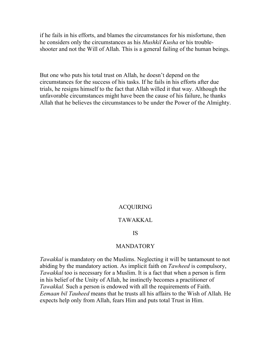if he fails in his efforts, and blames the circumstances for his misfortune, then he considers only the circumstances as his *Mushkil Kusha* or his troubleshooter and not the Will of Allah. This is a general failing of the human beings.

But one who puts his total trust on Allah, he doesn't depend on the circumstances for the success of his tasks. If he fails in his efforts after due trials, he resigns himself to the fact that Allah willed it that way. Although the unfavorable circumstances might have been the cause of his failure, he thanks Allah that he believes the circumstances to be under the Power of the Almighty.

### **ACOUIRING**

#### TAWAKKAL

#### IS

### MANDATORY

*Tawakkal* is mandatory on the Muslims. Neglecting it will be tantamount to not abiding by the mandatory action. As implicit faith on *Tawheed* is compulsory, *Tawakkal* too is necessary for a Muslim. It is a fact that when a person is firm in his belief of the Unity of Allah, he instinctly becomes a practitioner of *Tawakkal.* Such a person is endowed with all the requirements of Faith. *Eemaan bil Tauheed* means that he trusts all his affairs to the Wish of Allah. He expects help only from Allah, fears Him and puts total Trust in Him.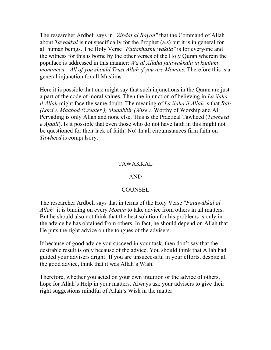The researcher Ardbeli says in "*Zibdat al Bayan"* that the Command of Allah about *Tawakkal* is not specifically for the Prophet (a.s) but it is in general for all human beings. The Holy Verse "*Fattakhazhu wakila"* is for everyone and the witness for this is borne by the other verses of the Holy Quran wherein the populace is addressed in this manner: *Wa al Allaha fatawakkalu in kuntum momineen—All of you should Trust Allah if you are Momins.* Therefore this is a general injunction for all Muslims.

Here it is possible that one might say that such injunctions in the Quran are just a part of the code of moral values. Then the injunction of believing in *La ilaha il Allah* might face the same doubt. The meaning of *La ilaha il Allah* is that *Rab (Lord ), Maabod (Creater ), Mudabbir (Wise ),* Worthy of Worship and All Pervading is only Allah and none else. This is the Practical Tawheed (*Tawheed e Afaali*). Is it possible that even those who do not have faith in this might not be questioned for their lack of faith! No! In all circumstances firm faith on *Tawheed* is compulsory.

# TAWAKKAL

### AND

# **COUNSEL**

The researcher Ardbeli says that in terms of the Holy Verse "*Fatawakkal al Allah"* it is binding on every *Momin* to take advice from others in all matters. But he should also not think that the best solution for his problems is only in the advice he has obtained from others. In fact, he should depend on Allah that He puts the right advice on the tongues of the advisers.

If because of good advice you succeed in your task, then don't say that the desirable result is only because of the advice. You should think that Allah had guided your advisers aright! If you are unsuccessful in your efforts, despite all the good advice, think that it was Allah's Wish.

Therefore, whether you acted on your own intuition or the advice of others, hope for Allah's Help in your matters. Always ask your advisers to give their right suggestions mindful of Allah's Wish in the matter.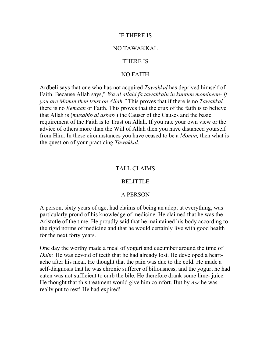### IF THERE IS

#### NO TAWAKKAL

### THERE IS

### NO FAITH

Ardbeli says that one who has not acquired *Tawakkul* has deprived himself of Faith. Because Allah says," *Wa al allahi fa tawakkalu in kuntum momineen- If you are Momin then trust on Allah."* This proves that if there is no *Tawakkal*  there is no *Eemaan* or Faith. This proves that the crux of the faith is to believe that Allah is (*musabib al asbab* ) the Causer of the Causes and the basic requirement of the Faith is to Trust on Allah. If you rate your own view or the advice of others more than the Will of Allah then you have distanced yourself from Him. In these circumstances you have ceased to be a *Momin,* then what is the question of your practicing *Tawakkal.*

### TALL CLAIMS

#### BELITTLE

### A PERSON

A person, sixty years of age, had claims of being an adept at everything, was particularly proud of his knowledge of medicine. He claimed that he was the Aristotle of the time. He proudly said that he maintained his body according to the rigid norms of medicine and that he would certainly live with good health for the next forty years.

One day the worthy made a meal of yogurt and cucumber around the time of *Duhr.* He was devoid of teeth that he had already lost. He developed a heartache after his meal. He thought that the pain was due to the cold. He made a self-diagnosis that he was chronic sufferer of biliousness, and the yogurt he had eaten was not sufficient to curb the bile. He therefore drank some lime- juice. He thought that this treatment would give him comfort. But by *Asr* he was really put to rest! He had expired!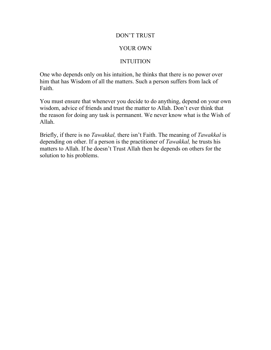# DON'T TRUST

# YOUR OWN

# INTUITION

One who depends only on his intuition, he thinks that there is no power over him that has Wisdom of all the matters. Such a person suffers from lack of Faith.

You must ensure that whenever you decide to do anything, depend on your own wisdom, advice of friends and trust the matter to Allah. Don't ever think that the reason for doing any task is permanent. We never know what is the Wish of Allah.

Briefly, if there is no *Tawakkal,* there isn't Faith. The meaning of *Tawakkal* is depending on other. If a person is the practitioner of *Tawakkal,* he trusts his matters to Allah. If he doesn't Trust Allah then he depends on others for the solution to his problems.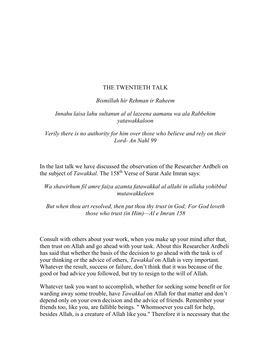# THE TWENTIETH TALK

### *Bismillah hir Rehman ir Raheem*

*Innahu laisa lahu sultanun al al lazeena aamanu wa ala Rabbehim yatawakkaloon* 

*Verily there is no authority for him over those who believe and rely on their Lord- An Nahl 99* 

In the last talk we have discussed the observation of the Researcher Ardbeli on the subject of *Tawakkal*. The 158<sup>th</sup> Verse of Surat Aale Imran says:

# *Wa shawirhum fil amre faiza azamta fatawakkal al allahi in allaha yohibbul mutawakkeleen*

*But when thou art resolved, then put thou thy trust in God; For God loveth those who trust (in Him)—Al e Imran 158* 

Consult with others about your work, when you make up your mind after that, then trust on Allah and go ahead with your task. About this Researcher Ardbeli has said that whether the basis of the decision to go ahead with the task is of your thinking or the advice of others, *Tawakkal* on Allah is very important. Whatever the result, success or failure, don't think that it was because of the good or bad advice you followed, but try to resign to the will of Allah.

Whatever task you want to accomplish, whether for seeking some benefit or for warding away some trouble, have *Tawakkal* on Allah for that matter and don't depend only on your own decision and the advice of friends. Remember your friends too, like you, are fallible beings. " Whomsoever you call for help, besides Allah, is a creature of Allah like you." Therefore it is necessary that the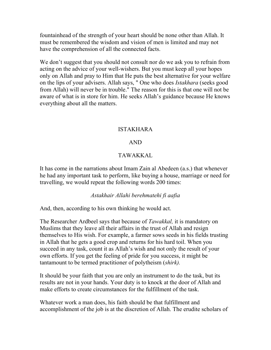fountainhead of the strength of your heart should be none other than Allah. It must be remembered the wisdom and vision of men is limited and may not have the comprehension of all the connected facts.

We don't suggest that you should not consult nor do we ask you to refrain from acting on the advice of your well-wishers. But you must keep all your hopes only on Allah and pray to Him that He puts the best alternative for your welfare on the lips of your advisers. Allah says, " One who does *Istakhara* (seeks good from Allah) will never be in trouble." The reason for this is that one will not be aware of what is in store for him. He seeks Allah's guidance because He knows everything about all the matters.

# ISTAKHARA

# AND

# TAWAKKAL

It has come in the narrations about Imam Zain al Abedeen (a.s.) that whenever he had any important task to perform, like buying a house, marriage or need for travelling, we would repeat the following words 200 times:

# *Astakhair Allahi berehmatehi fi aafia*

And, then, according to his own thinking he would act.

The Researcher Ardbeel says that because of *Tawakkal,* it is mandatory on Muslims that they leave all their affairs in the trust of Allah and resign themselves to His wish. For example, a farmer sows seeds in his fields trusting in Allah that he gets a good crop and returns for his hard toil. When you succeed in any task, count it as Allah's wish and not only the result of your own efforts. If you get the feeling of pride for you success, it might be tantamount to be termed practitioner of polytheism (*shirk).* 

It should be your faith that you are only an instrument to do the task, but its results are not in your hands. Your duty is to knock at the door of Allah and make efforts to create circumstances for the fulfillment of the task.

Whatever work a man does, his faith should be that fulfillment and accomplishment of the job is at the discretion of Allah. The erudite scholars of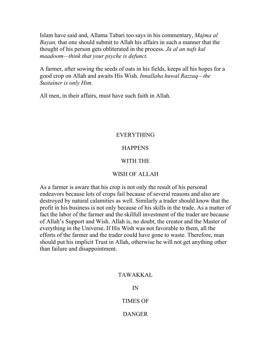Islam have said and, Allama Tabari too says in his commentary, *Majma al Bayan,* that one should submit to Allah his affairs in such a manner that the thought of his person gets obliterated in the process. *Ja al an nafs kal maadoom—think that your psyche is defunct.* 

A farmer, after sowing the seeds of oats in his fields, keeps all his hopes for a good crop on Allah and awaits His Wish. *Innallaha huwal Razzaq—the Sustainer is only Him.* 

All men, in their affairs, must have such faith in Allah.

# EVERYTHING

# **HAPPENS**

# WITH THE

# WISH OF ALLAH

As a farmer is aware that his crop is not only the result of his personal endeavors because lots of crops fail because of several reasons and also are destroyed by natural calamities as well. Similarly a trader should know that the profit in his business is not only because of his skills in the trade. As a matter of fact the labor of the farmer and the skilfull investment of the trader are because of Allah's Support and Wish. Allah is, no doubt, the creator and the Master of everything in the Universe. If His Wish was not favorable to them, all the efforts of the farmer and the trader could have gone to waste. Therefore, man should put his implicit Trust in Allah, otherwise he will not get anything other than failure and disappointment.

### TAWAKKAL

IN

TIMES OF

# DANGER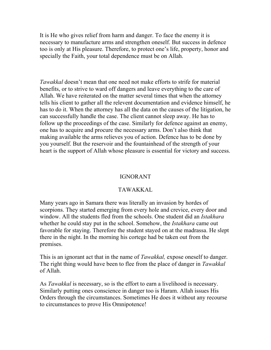It is He who gives relief from harm and danger. To face the enemy it is necessary to manufacture arms and strengthen oneself. But success in defence too is only at His pleasure. Therefore, to protect one's life, property, honor and specially the Faith, your total dependence must be on Allah.

*Tawakkal* doesn't mean that one need not make efforts to strife for material benefits, or to strive to ward off dangers and leave everything to the care of Allah. We have reiterated on the matter several times that when the attorney tells his client to gather all the relevent documentation and evidence himself, he has to do it. When the attorney has all the data on the causes of the litigation, he can successfully handle the case. The client cannot sleep away. He has to follow up the proceedings of the case. Similarly for defence against an enemy, one has to acquire and procure the necessary arms. Don't also think that making available the arms relieves you of action. Defence has to be done by you yourself. But the reservoir and the fountainhead of the strength of your heart is the support of Allah whose pleasure is essential for victory and success.

# IGNORANT

# TAWAKKAL

Many years ago in Samara there was literally an invasion by hordes of scorpions. They started emerging from every hole and crevice, every door and window. All the students fled from the schools. One student did an *Istakhara*  whether he could stay put in the school. Somehow, the *Istakhara* came out favorable for staying. Therefore the student stayed on at the madrassa. He slept there in the night. In the morning his cortege had be taken out from the premises.

This is an ignorant act that in the name of *Tawakkal,* expose oneself to danger. The right thing would have been to flee from the place of danger in *Tawakkal*  of Allah.

As *Tawakkal* is necessary, so is the effort to earn a livelihood is necessary. Similarly putting ones conscience in danger too is Haram. Allah issues His Orders through the circumstances. Sometimes He does it without any recourse to circumstances to prove His Omnipotence!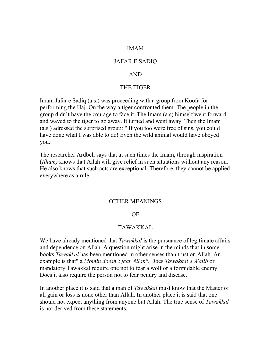### IMAM

#### JAFAR E SADIQ

### AND

#### THE TIGER

Imam Jafar e Sadiq (a.s.) was proceeding with a group from Koofa for performing the Haj. On the way a tiger confronted them. The people in the group didn't have the courage to face it. The Imam (a.s) himself went forward and waved to the tiger to go away. It turned and went away. Then the Imam (a.s.) adressed the surprised group: " If you too were free of sins, you could have done what I was able to do! Even the wild animal would have obeyed you."

The researcher Ardbeli says that at such times the Imam, through inspiration (*Ilham)* knows that Allah will give relief in such situations without any reason. He also knows that such acts are exceptional. Therefore, they cannot be applied everywhere as a rule.

#### OTHER MEANINGS

### OF

#### TAWAKKAL

We have already mentioned that *Tawakkal* is the pursuance of legitimate affairs and dependence on Allah. A question might arise in the minds that in some books *Tawakkal* has been mentioned in other senses than trust on Allah. An example is that" a *Momin doesn't fear Allah".* Does *Tawakkal e Wajib* or mandatory Tawakkal require one not to fear a wolf or a formidable enemy. Does it also require the person not to fear penury and disease.

In another place it is said that a man of *Tawakkal* must know that the Master of all gain or loss is none other than Allah. In another place it is said that one should not expect anything from anyone but Allah. The true sense of *Tawakkal*  is not derived from these statements.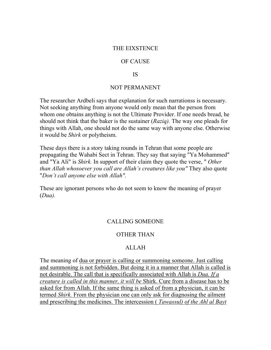### THE EIXSTENCE

### OF CAUSE

### IS

### NOT PERMANENT

The researcher Ardbeli says that explanation for such narrationss is necessary. Not seeking anything from anyone would only mean that the person from whom one obtains anything is not the Ultimate Provider. If one needs bread, he should not think that the baker is the sustainer (*Raziq).* The way one pleads for things with Allah, one should not do the same way with anyone else. Otherwise it would be *Shirk* or polytheism.

These days there is a story taking rounds in Tehran that some people are propagating the Wahabi Sect in Tehran. They say that saying "Ya Mohammed" and "Ya Ali" is *Shirk.* In support of their claim they quote the verse, " *Other than Allah whosoever you call are Allah's creatures like you"* They also quote "*Don't call anyone else with Allah".* 

These are ignorant persons who do not seem to know the meaning of prayer (*Dua).* 

### CALLING SOMEONE

# OTHER THAN

# ALLAH

The meaning of dua or prayer is calling or summoning someone. Just calling and summoning is not forbidden. But doing it in a manner that Allah is called is not desirable. The call that is specifically associated with Allah is *Dua. If a creature is called in this manner, it will be* Shirk. Cure from a disease has to be asked for from Allah. If the same thing is asked of from a physician, it can be termed *Shirk.* From the physician one can only ask for diagnosing the ailment and prescribing the medicines. The intercession ( *Tawassul) of the Ahl al Bayt*